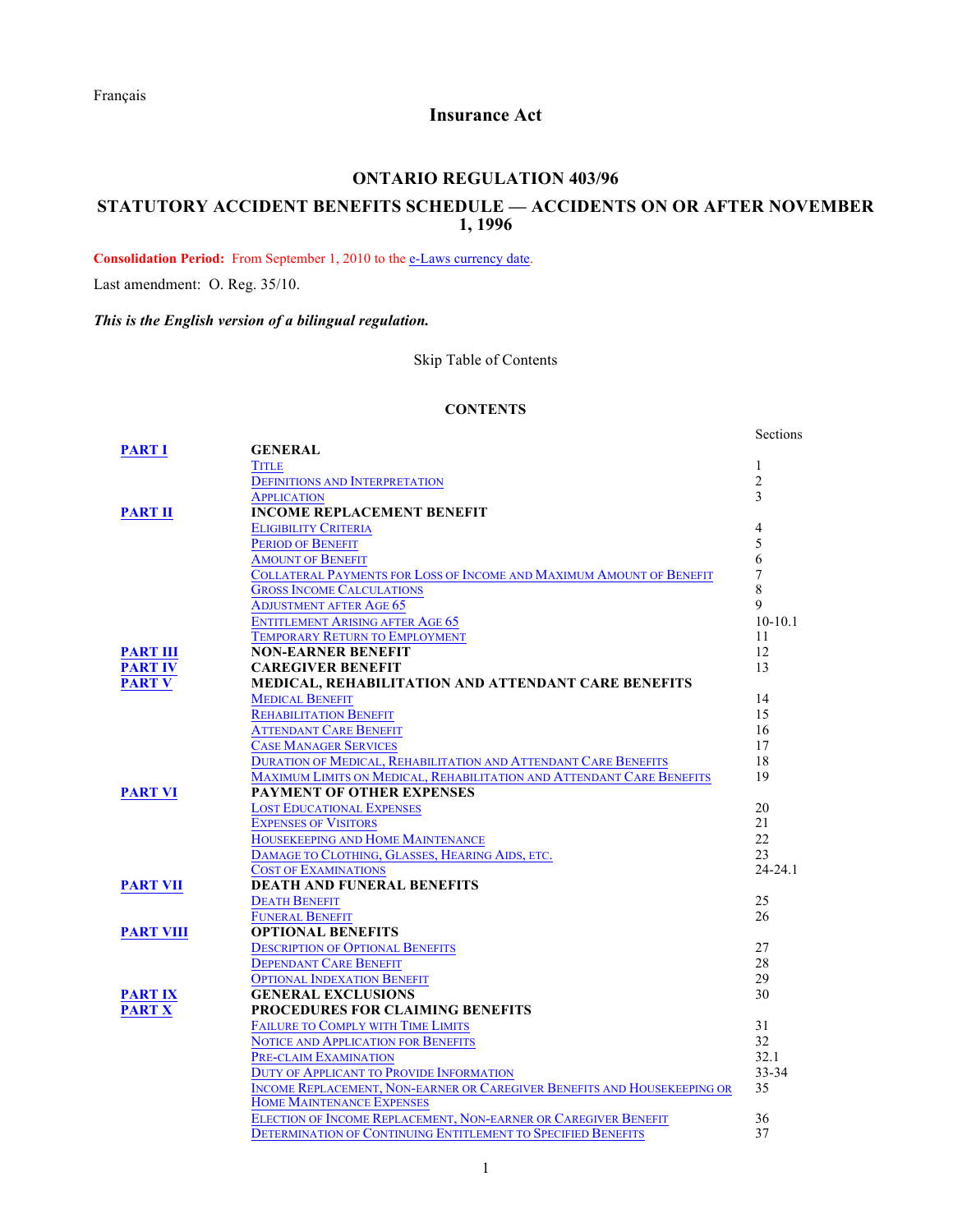Français

## **Insurance Act**

## **ONTARIO REGULATION 403/96**

## **STATUTORY ACCIDENT BENEFITS SCHEDULE — ACCIDENTS ON OR AFTER NOVEMBER 1, 1996**

Consolidation Period: From September 1, 2010 to the **e-Laws currency date**.

Last amendment: O. Reg. 35/10.

*This is the English version of a bilingual regulation.*

Skip Table of Contents

## **CONTENTS**

|                  |                                                                              | Sections       |
|------------------|------------------------------------------------------------------------------|----------------|
| <b>PART I</b>    | <b>GENERAL</b>                                                               |                |
|                  | <b>TITLE</b>                                                                 | $\mathbf{1}$   |
|                  | <b>DEFINITIONS AND INTERPRETATION</b>                                        | $\overline{2}$ |
|                  | <b>APPLICATION</b>                                                           | 3              |
| <b>PART II</b>   | <b>INCOME REPLACEMENT BENEFIT</b>                                            |                |
|                  | <b>ELIGIBILITY CRITERIA</b>                                                  | 4              |
|                  | <b>PERIOD OF BENEFIT</b>                                                     | 5              |
|                  | <b>AMOUNT OF BENEFIT</b>                                                     | 6              |
|                  | COLLATERAL PAYMENTS FOR LOSS OF INCOME AND MAXIMUM AMOUNT OF BENEFIT         | $\tau$         |
|                  | <b>GROSS INCOME CALCULATIONS</b>                                             | 8              |
|                  | <b>ADJUSTMENT AFTER AGE 65</b>                                               | 9              |
|                  | <b>ENTITLEMENT ARISING AFTER AGE 65</b>                                      | $10-10.1$      |
|                  | <b>TEMPORARY RETURN TO EMPLOYMENT</b>                                        | 11             |
| <b>PART III</b>  | <b>NON-EARNER BENEFIT</b>                                                    | 12             |
| <b>PART IV</b>   | <b>CAREGIVER BENEFIT</b>                                                     | 13             |
| <b>PART V</b>    | MEDICAL, REHABILITATION AND ATTENDANT CARE BENEFITS                          |                |
|                  | <b>MEDICAL BENEFIT</b>                                                       | 14             |
|                  | <b>REHABILITATION BENEFIT</b>                                                | 15             |
|                  | <b>ATTENDANT CARE BENEFIT</b>                                                | 16             |
|                  | <b>CASE MANAGER SERVICES</b>                                                 | 17             |
|                  | <b>DURATION OF MEDICAL, REHABILITATION AND ATTENDANT CARE BENEFITS</b>       | 18             |
|                  | <b>MAXIMUM LIMITS ON MEDICAL, REHABILITATION AND ATTENDANT CARE BENEFITS</b> | 19             |
| <b>PART VI</b>   | <b>PAYMENT OF OTHER EXPENSES</b>                                             |                |
|                  | <b>LOST EDUCATIONAL EXPENSES</b>                                             | 20             |
|                  | <b>EXPENSES OF VISITORS</b>                                                  | 21             |
|                  | HOUSEKEEPING AND HOME MAINTENANCE                                            | 22             |
|                  | DAMAGE TO CLOTHING, GLASSES, HEARING AIDS, ETC.                              | 23             |
|                  | <b>COST OF EXAMINATIONS</b>                                                  | 24-24.1        |
| <b>PART VII</b>  | <b>DEATH AND FUNERAL BENEFITS</b>                                            |                |
|                  | <b>DEATH BENEFIT</b>                                                         | 25             |
|                  | <b>FUNERAL BENEFIT</b>                                                       | 26             |
| <b>PART VIII</b> | <b>OPTIONAL BENEFITS</b>                                                     |                |
|                  | <b>DESCRIPTION OF OPTIONAL BENEFITS</b>                                      | 27             |
|                  | <b>DEPENDANT CARE BENEFIT</b>                                                | 28             |
|                  | <b>OPTIONAL INDEXATION BENEFIT</b>                                           | 29             |
| <b>PART IX</b>   | <b>GENERAL EXCLUSIONS</b>                                                    | 30             |
| <b>PART X</b>    | <b>PROCEDURES FOR CLAIMING BENEFITS</b>                                      |                |
|                  | <b>FAILURE TO COMPLY WITH TIME LIMITS</b>                                    | 31             |
|                  | <b>NOTICE AND APPLICATION FOR BENEFITS</b>                                   | 32             |
|                  | PRE-CLAIM EXAMINATION                                                        | 32.1           |
|                  | <b>DUTY OF APPLICANT TO PROVIDE INFORMATION</b>                              | $33 - 34$      |
|                  | INCOME REPLACEMENT, NON-EARNER OR CAREGIVER BENEFITS AND HOUSEKEEPING OR     | 35             |
|                  | HOME MAINTENANCE EXPENSES                                                    |                |
|                  | ELECTION OF INCOME REPLACEMENT, NON-EARNER OR CAREGIVER BENEFIT              | 36             |
|                  | <b>DETERMINATION OF CONTINUING ENTITLEMENT TO SPECIFIED BENEFITS</b>         | 37             |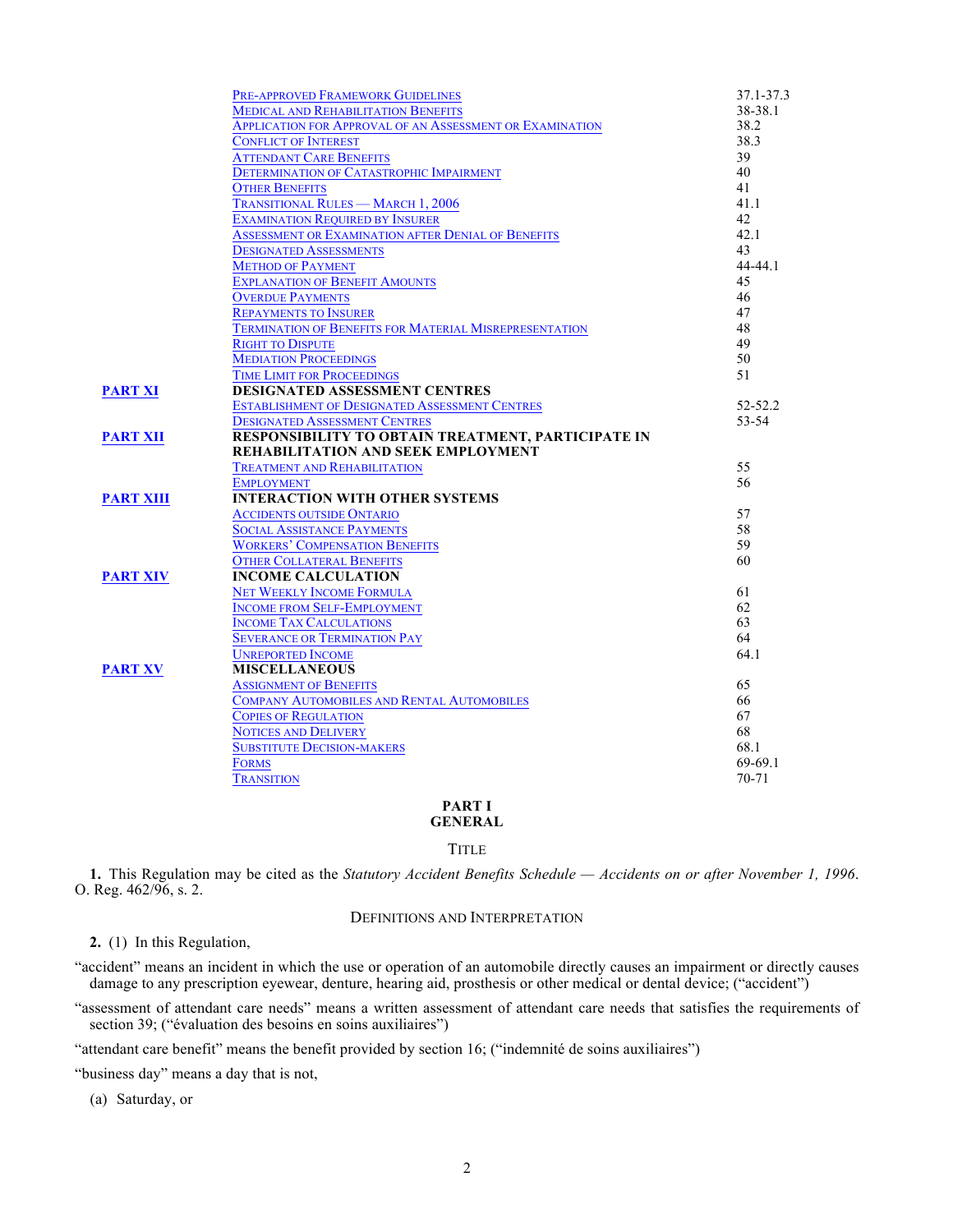|                  | PRE-APPROVED FRAMEWORK GUIDELINES                                                        | 37.1-37.3 |
|------------------|------------------------------------------------------------------------------------------|-----------|
|                  | <b>MEDICAL AND REHABILITATION BENEFITS</b>                                               | 38-38.1   |
|                  | <b>APPLICATION FOR APPROVAL OF AN ASSESSMENT OR EXAMINATION</b>                          | 38.2      |
|                  | <b>CONFLICT OF INTEREST</b>                                                              | 38.3      |
|                  | <b>ATTENDANT CARE BENEFITS</b>                                                           | 39        |
|                  | DETERMINATION OF CATASTROPHIC IMPAIRMENT                                                 | 40        |
|                  | <b>OTHER BENEFITS</b>                                                                    | 41        |
|                  | <b>TRANSITIONAL RULES - MARCH 1, 2006</b>                                                | 41.1      |
|                  | <b>EXAMINATION REQUIRED BY INSURER</b>                                                   | 42        |
|                  | <b>ASSESSMENT OR EXAMINATION AFTER DENIAL OF BENEFITS</b>                                | 42.1      |
|                  | <b>DESIGNATED ASSESSMENTS</b>                                                            | 43        |
|                  | <b>METHOD OF PAYMENT</b>                                                                 | 44-44.1   |
|                  | <b>EXPLANATION OF BENEFIT AMOUNTS</b>                                                    | 45        |
|                  | <b>OVERDUE PAYMENTS</b>                                                                  | 46        |
|                  | <b>REPAYMENTS TO INSURER</b>                                                             | 47        |
|                  | <b>TERMINATION OF BENEFITS FOR MATERIAL MISREPRESENTATION</b>                            | 48        |
|                  | <b>RIGHT TO DISPUTE</b>                                                                  | 49        |
|                  | <b>MEDIATION PROCEEDINGS</b>                                                             | 50        |
|                  | <b>TIME LIMIT FOR PROCEEDINGS</b>                                                        | 51        |
| <b>PART XI</b>   | DESIGNATED ASSESSMENT CENTRES                                                            |           |
|                  | <b>ESTABLISHMENT OF DESIGNATED ASSESSMENT CENTRES</b>                                    | 52-52.2   |
|                  | <b>DESIGNATED ASSESSMENT CENTRES</b>                                                     | 53-54     |
| <b>PART XII</b>  | RESPONSIBILITY TO OBTAIN TREATMENT, PARTICIPATE IN<br>REHABILITATION AND SEEK EMPLOYMENT |           |
|                  | <b>TREATMENT AND REHABILITATION</b>                                                      | 55        |
|                  | <b>EMPLOYMENT</b>                                                                        | 56        |
| <b>PART XIII</b> | <b>INTERACTION WITH OTHER SYSTEMS</b>                                                    |           |
|                  | <b>ACCIDENTS OUTSIDE ONTARIO</b>                                                         | 57        |
|                  | <b>SOCIAL ASSISTANCE PAYMENTS</b>                                                        | 58        |
|                  | <b>WORKERS' COMPENSATION BENEFITS</b>                                                    | 59        |
|                  | <b>OTHER COLLATERAL BENEFITS</b>                                                         | 60        |
| <b>PART XIV</b>  | <b>INCOME CALCULATION</b>                                                                |           |
|                  | <b>NET WEEKLY INCOME FORMULA</b>                                                         | 61        |
|                  | <b>INCOME FROM SELF-EMPLOYMENT</b>                                                       | 62        |
|                  | <b>INCOME TAX CALCULATIONS</b>                                                           | 63        |
|                  | <b>SEVERANCE OR TERMINATION PAY</b>                                                      | 64        |
|                  | <b>UNREPORTED INCOME</b>                                                                 | 64.1      |
| <b>PART XV</b>   | <b>MISCELLANEOUS</b>                                                                     |           |
|                  | <b>ASSIGNMENT OF BENEFITS</b>                                                            | 65        |
|                  | <b>COMPANY AUTOMOBILES AND RENTAL AUTOMOBILES</b>                                        | 66        |
|                  | <b>COPIES OF REGULATION</b>                                                              | 67        |
|                  | <b>NOTICES AND DELIVERY</b>                                                              | 68        |
|                  | <b>SUBSTITUTE DECISION-MAKERS</b>                                                        | 68.1      |
|                  | <b>FORMS</b>                                                                             | 69-69.1   |
|                  | <b>TRANSITION</b>                                                                        | $70 - 71$ |
|                  |                                                                                          |           |

# **PART I**

# **GENERAL**

TITLE

**1.** This Regulation may be cited as the *Statutory Accident Benefits Schedule — Accidents on or after November 1, 1996*. O. Reg. 462/96, s. 2.

## DEFINITIONS AND INTERPRETATION

**2.** (1) In this Regulation,

"accident" means an incident in which the use or operation of an automobile directly causes an impairment or directly causes damage to any prescription eyewear, denture, hearing aid, prosthesis or other medical or dental device; ("accident")

"assessment of attendant care needs" means a written assessment of attendant care needs that satisfies the requirements of section 39; ("évaluation des besoins en soins auxiliaires")

"attendant care benefit" means the benefit provided by section 16; ("indemnité de soins auxiliaires")

"business day" means a day that is not,

(a) Saturday, or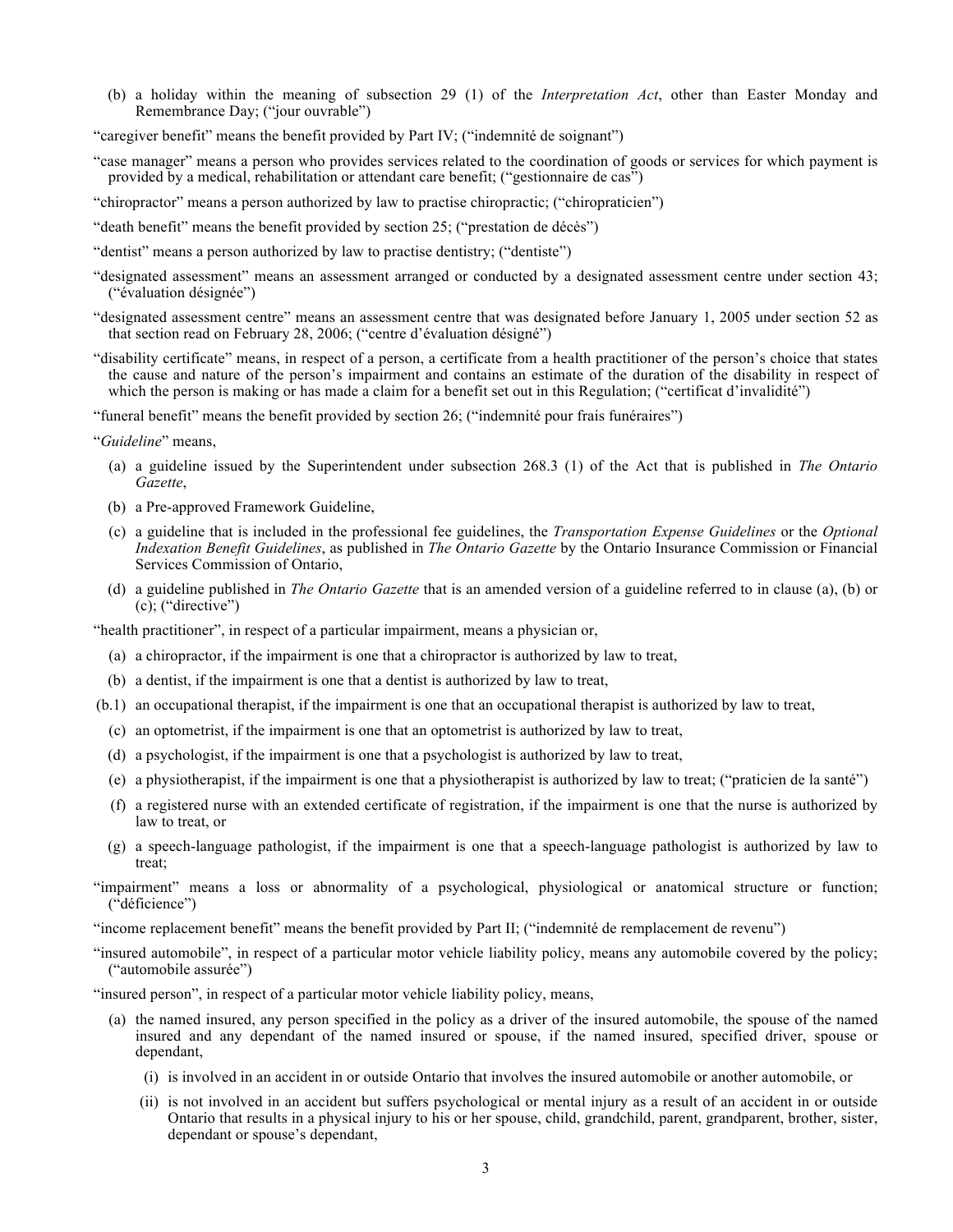- (b) a holiday within the meaning of subsection 29 (1) of the *Interpretation Act*, other than Easter Monday and Remembrance Day; ("jour ouvrable")
- "caregiver benefit" means the benefit provided by Part IV; ("indemnité de soignant")
- "case manager" means a person who provides services related to the coordination of goods or services for which payment is provided by a medical, rehabilitation or attendant care benefit; ("gestionnaire de cas")
- "chiropractor" means a person authorized by law to practise chiropractic; ("chiropraticien")
- "death benefit" means the benefit provided by section 25; ("prestation de décès")
- "dentist" means a person authorized by law to practise dentistry; ("dentiste")
- "designated assessment" means an assessment arranged or conducted by a designated assessment centre under section 43; ("évaluation désignée")
- "designated assessment centre" means an assessment centre that was designated before January 1, 2005 under section 52 as that section read on February 28, 2006; ("centre d'évaluation désigné")
- "disability certificate" means, in respect of a person, a certificate from a health practitioner of the person's choice that states the cause and nature of the person's impairment and contains an estimate of the duration of the disability in respect of which the person is making or has made a claim for a benefit set out in this Regulation; ("certificat d'invalidité")
- "funeral benefit" means the benefit provided by section 26; ("indemnité pour frais funéraires")

"*Guideline*" means,

- (a) a guideline issued by the Superintendent under subsection 268.3 (1) of the Act that is published in *The Ontario Gazette*,
- (b) a Pre-approved Framework Guideline,
- (c) a guideline that is included in the professional fee guidelines, the *Transportation Expense Guidelines* or the *Optional Indexation Benefit Guidelines*, as published in *The Ontario Gazette* by the Ontario Insurance Commission or Financial Services Commission of Ontario,
- (d) a guideline published in *The Ontario Gazette* that is an amended version of a guideline referred to in clause (a), (b) or  $(c)$ ; ("directive")

"health practitioner", in respect of a particular impairment, means a physician or,

- (a) a chiropractor, if the impairment is one that a chiropractor is authorized by law to treat,
- (b) a dentist, if the impairment is one that a dentist is authorized by law to treat,
- (b.1) an occupational therapist, if the impairment is one that an occupational therapist is authorized by law to treat,
	- (c) an optometrist, if the impairment is one that an optometrist is authorized by law to treat,
	- (d) a psychologist, if the impairment is one that a psychologist is authorized by law to treat,
	- (e) a physiotherapist, if the impairment is one that a physiotherapist is authorized by law to treat; ("praticien de la santé")
	- (f) a registered nurse with an extended certificate of registration, if the impairment is one that the nurse is authorized by law to treat, or
	- (g) a speech-language pathologist, if the impairment is one that a speech-language pathologist is authorized by law to treat;
- "impairment" means a loss or abnormality of a psychological, physiological or anatomical structure or function; ("déficience")
- "income replacement benefit" means the benefit provided by Part II; ("indemnité de remplacement de revenu")
- "insured automobile", in respect of a particular motor vehicle liability policy, means any automobile covered by the policy; ("automobile assurée")

"insured person", in respect of a particular motor vehicle liability policy, means,

- (a) the named insured, any person specified in the policy as a driver of the insured automobile, the spouse of the named insured and any dependant of the named insured or spouse, if the named insured, specified driver, spouse or dependant,
	- (i) is involved in an accident in or outside Ontario that involves the insured automobile or another automobile, or
	- (ii) is not involved in an accident but suffers psychological or mental injury as a result of an accident in or outside Ontario that results in a physical injury to his or her spouse, child, grandchild, parent, grandparent, brother, sister, dependant or spouse's dependant,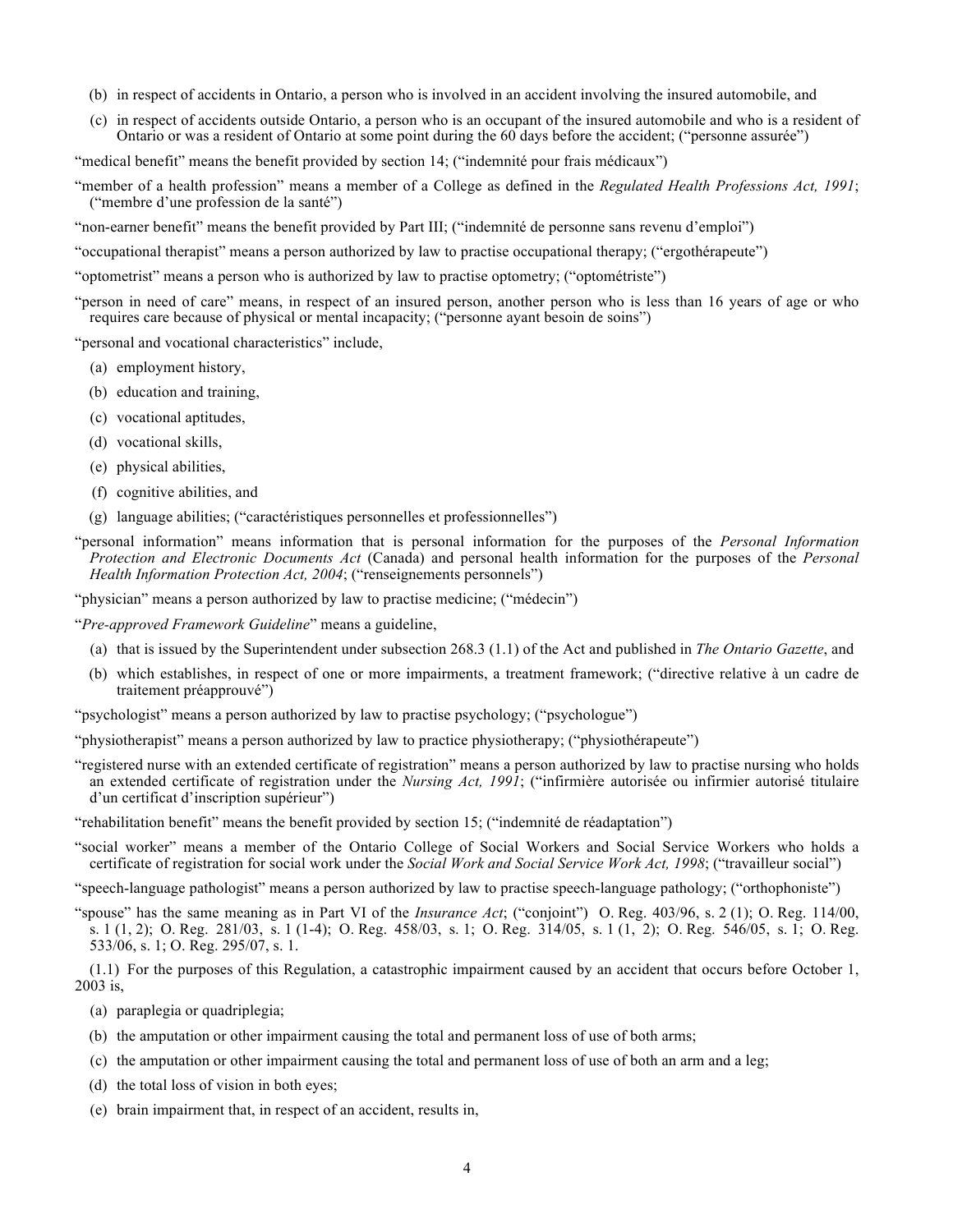- (b) in respect of accidents in Ontario, a person who is involved in an accident involving the insured automobile, and
- (c) in respect of accidents outside Ontario, a person who is an occupant of the insured automobile and who is a resident of Ontario or was a resident of Ontario at some point during the 60 days before the accident; ("personne assurée")
- "medical benefit" means the benefit provided by section 14; ("indemnité pour frais médicaux")
- "member of a health profession" means a member of a College as defined in the *Regulated Health Professions Act, 1991*; ("membre d'une profession de la santé")
- "non-earner benefit" means the benefit provided by Part III; ("indemnité de personne sans revenu d'emploi")
- "occupational therapist" means a person authorized by law to practise occupational therapy; ("ergothérapeute")
- "optometrist" means a person who is authorized by law to practise optometry; ("optométriste")
- "person in need of care" means, in respect of an insured person, another person who is less than 16 years of age or who requires care because of physical or mental incapacity; ("personne ayant besoin de soins")
- "personal and vocational characteristics" include,
	- (a) employment history,
	- (b) education and training,
	- (c) vocational aptitudes,
	- (d) vocational skills,
	- (e) physical abilities,
	- (f) cognitive abilities, and
	- (g) language abilities; ("caractéristiques personnelles et professionnelles")
- "personal information" means information that is personal information for the purposes of the *Personal Information Protection and Electronic Documents Act* (Canada) and personal health information for the purposes of the *Personal Health Information Protection Act, 2004*; ("renseignements personnels")
- "physician" means a person authorized by law to practise medicine; ("médecin")

"*Pre-approved Framework Guideline*" means a guideline,

- (a) that is issued by the Superintendent under subsection 268.3 (1.1) of the Act and published in *The Ontario Gazette*, and
- (b) which establishes, in respect of one or more impairments, a treatment framework; ("directive relative à un cadre de traitement préapprouvé")
- "psychologist" means a person authorized by law to practise psychology; ("psychologue")
- "physiotherapist" means a person authorized by law to practice physiotherapy; ("physiothérapeute")
- "registered nurse with an extended certificate of registration" means a person authorized by law to practise nursing who holds an extended certificate of registration under the *Nursing Act, 1991*; ("infirmière autorisée ou infirmier autorisé titulaire d'un certificat d'inscription supérieur")
- "rehabilitation benefit" means the benefit provided by section 15; ("indemnité de réadaptation")
- "social worker" means a member of the Ontario College of Social Workers and Social Service Workers who holds a certificate of registration for social work under the *Social Work and Social Service Work Act, 1998*; ("travailleur social")

"speech-language pathologist" means a person authorized by law to practise speech-language pathology; ("orthophoniste")

"spouse" has the same meaning as in Part VI of the *Insurance Act*; ("conjoint") O. Reg. 403/96, s. 2 (1); O. Reg. 114/00, s. 1 (1, 2); O. Reg. 281/03, s. 1 (1-4); O. Reg. 458/03, s. 1; O. Reg. 314/05, s. 1 (1, 2); O. Reg. 546/05, s. 1; O. Reg. 533/06, s. 1; O. Reg. 295/07, s. 1.

(1.1) For the purposes of this Regulation, a catastrophic impairment caused by an accident that occurs before October 1, 2003 is,

- (a) paraplegia or quadriplegia;
- (b) the amputation or other impairment causing the total and permanent loss of use of both arms;
- (c) the amputation or other impairment causing the total and permanent loss of use of both an arm and a leg;
- (d) the total loss of vision in both eyes;
- (e) brain impairment that, in respect of an accident, results in,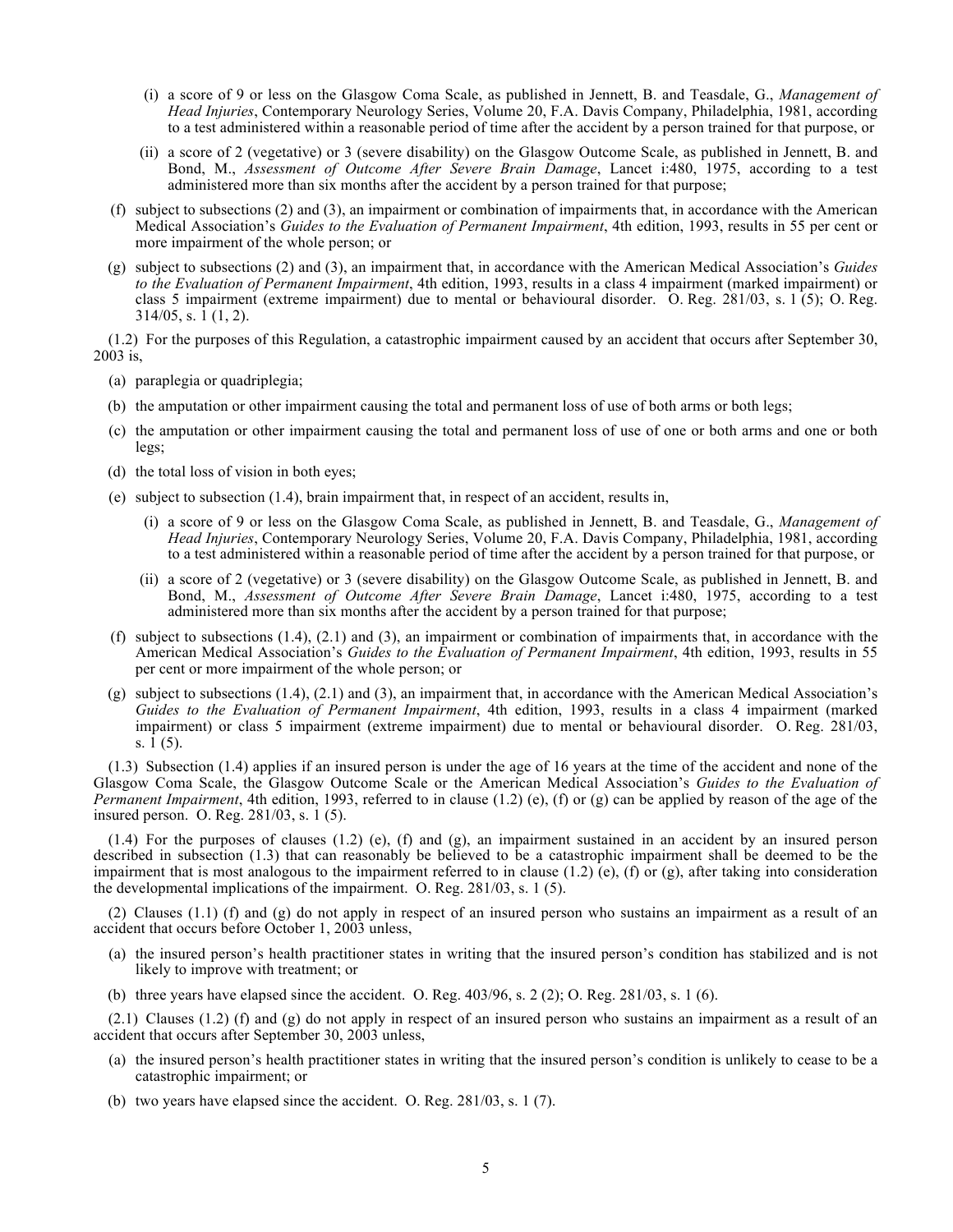- (i) a score of 9 or less on the Glasgow Coma Scale, as published in Jennett, B. and Teasdale, G., *Management of Head Injuries*, Contemporary Neurology Series, Volume 20, F.A. Davis Company, Philadelphia, 1981, according to a test administered within a reasonable period of time after the accident by a person trained for that purpose, or
- (ii) a score of 2 (vegetative) or 3 (severe disability) on the Glasgow Outcome Scale, as published in Jennett, B. and Bond, M., *Assessment of Outcome After Severe Brain Damage*, Lancet i:480, 1975, according to a test administered more than six months after the accident by a person trained for that purpose;
- (f) subject to subsections (2) and (3), an impairment or combination of impairments that, in accordance with the American Medical Association's *Guides to the Evaluation of Permanent Impairment*, 4th edition, 1993, results in 55 per cent or more impairment of the whole person; or
- (g) subject to subsections (2) and (3), an impairment that, in accordance with the American Medical Association's *Guides to the Evaluation of Permanent Impairment*, 4th edition, 1993, results in a class 4 impairment (marked impairment) or class 5 impairment (extreme impairment) due to mental or behavioural disorder. O. Reg. 281/03, s. 1 (5); O. Reg. 314/05, s. 1 (1, 2).

(1.2) For the purposes of this Regulation, a catastrophic impairment caused by an accident that occurs after September 30, 2003 is,

- (a) paraplegia or quadriplegia;
- (b) the amputation or other impairment causing the total and permanent loss of use of both arms or both legs;
- (c) the amputation or other impairment causing the total and permanent loss of use of one or both arms and one or both legs;
- (d) the total loss of vision in both eyes;
- (e) subject to subsection (1.4), brain impairment that, in respect of an accident, results in,
	- (i) a score of 9 or less on the Glasgow Coma Scale, as published in Jennett, B. and Teasdale, G., *Management of Head Injuries*, Contemporary Neurology Series, Volume 20, F.A. Davis Company, Philadelphia, 1981, according to a test administered within a reasonable period of time after the accident by a person trained for that purpose, or
	- (ii) a score of 2 (vegetative) or 3 (severe disability) on the Glasgow Outcome Scale, as published in Jennett, B. and Bond, M., *Assessment of Outcome After Severe Brain Damage*, Lancet i:480, 1975, according to a test administered more than six months after the accident by a person trained for that purpose;
- (f) subject to subsections  $(1.4)$ ,  $(2.1)$  and  $(3)$ , an impairment or combination of impairments that, in accordance with the American Medical Association's *Guides to the Evaluation of Permanent Impairment*, 4th edition, 1993, results in 55 per cent or more impairment of the whole person; or
- (g) subject to subsections (1.4), (2.1) and (3), an impairment that, in accordance with the American Medical Association's *Guides to the Evaluation of Permanent Impairment*, 4th edition, 1993, results in a class 4 impairment (marked impairment) or class 5 impairment (extreme impairment) due to mental or behavioural disorder. O. Reg. 281/03, s. 1 (5).

(1.3) Subsection (1.4) applies if an insured person is under the age of 16 years at the time of the accident and none of the Glasgow Coma Scale, the Glasgow Outcome Scale or the American Medical Association's *Guides to the Evaluation of Permanent Impairment*, 4th edition, 1993, referred to in clause (1.2) (e), (f) or (g) can be applied by reason of the age of the insured person. O. Reg. 281/03, s. 1 (5).

 $(1.4)$  For the purposes of clauses  $(1.2)$  (e),  $(f)$  and  $(g)$ , an impairment sustained in an accident by an insured person described in subsection (1.3) that can reasonably be believed to be a catastrophic impairment shall be deemed to be the impairment that is most analogous to the impairment referred to in clause  $(1.2)$  (e), (f) or (g), after taking into consideration the developmental implications of the impairment. O. Reg. 281/03, s. 1 (5).

(2) Clauses (1.1) (f) and (g) do not apply in respect of an insured person who sustains an impairment as a result of an accident that occurs before October 1, 2003 unless,

- (a) the insured person's health practitioner states in writing that the insured person's condition has stabilized and is not likely to improve with treatment; or
- (b) three years have elapsed since the accident. O. Reg. 403/96, s. 2 (2); O. Reg. 281/03, s. 1 (6).

(2.1) Clauses (1.2) (f) and (g) do not apply in respect of an insured person who sustains an impairment as a result of an accident that occurs after September 30, 2003 unless,

- (a) the insured person's health practitioner states in writing that the insured person's condition is unlikely to cease to be a catastrophic impairment; or
- (b) two years have elapsed since the accident. O. Reg. 281/03, s. 1 (7).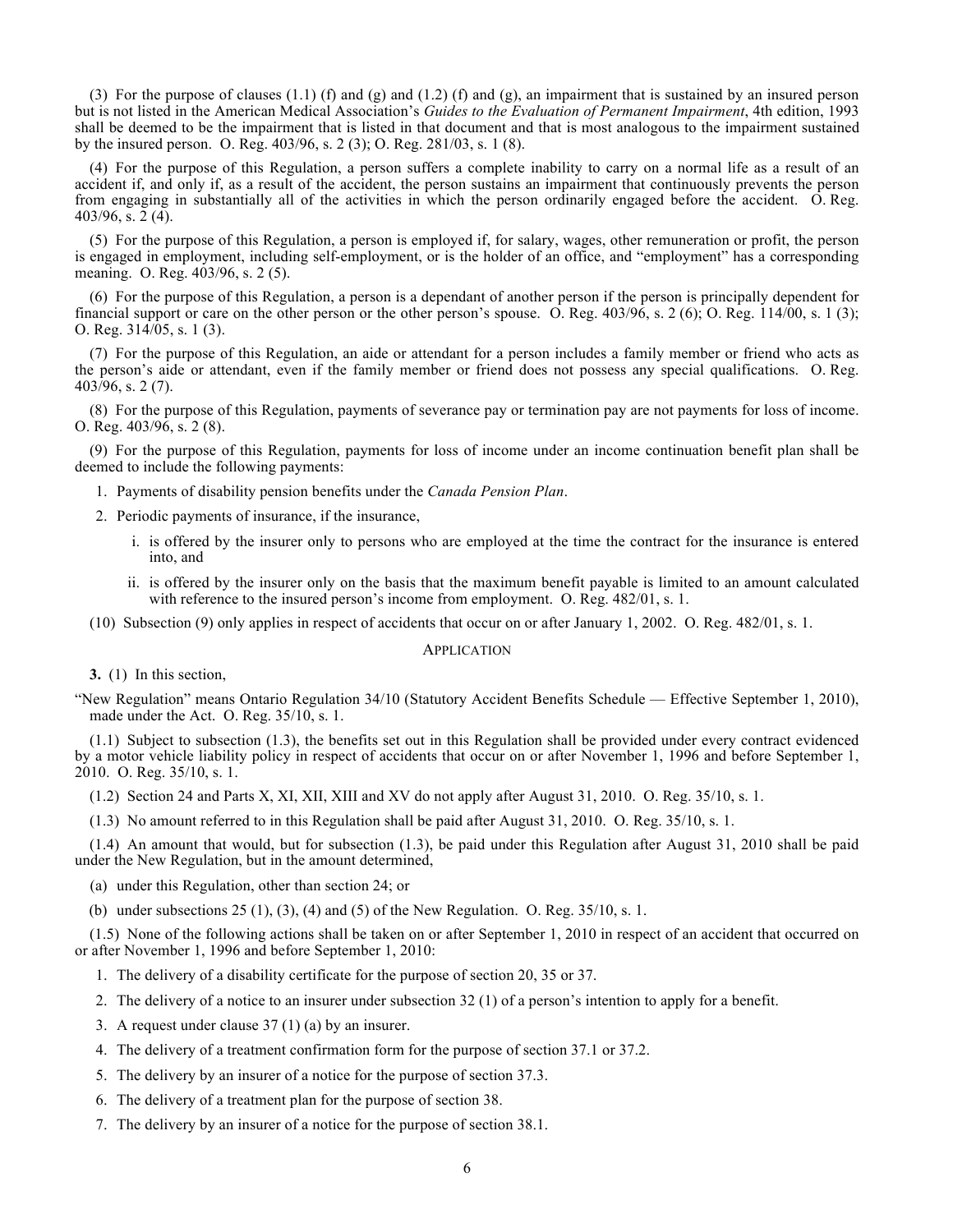(3) For the purpose of clauses  $(1.1)$  (f) and  $(g)$  and  $(1.2)$  (f) and  $(g)$ , an impairment that is sustained by an insured person but is not listed in the American Medical Association's *Guides to the Evaluation of Permanent Impairment*, 4th edition, 1993 shall be deemed to be the impairment that is listed in that document and that is most analogous to the impairment sustained by the insured person. O. Reg. 403/96, s. 2 (3); O. Reg. 281/03, s. 1 (8).

(4) For the purpose of this Regulation, a person suffers a complete inability to carry on a normal life as a result of an accident if, and only if, as a result of the accident, the person sustains an impairment that continuously prevents the person from engaging in substantially all of the activities in which the person ordinarily engaged before the accident. O. Reg. 403/96, s. 2 (4).

(5) For the purpose of this Regulation, a person is employed if, for salary, wages, other remuneration or profit, the person is engaged in employment, including self-employment, or is the holder of an office, and "employment" has a corresponding meaning. O. Reg. 403/96, s. 2 (5).

(6) For the purpose of this Regulation, a person is a dependant of another person if the person is principally dependent for financial support or care on the other person or the other person's spouse. O. Reg. 403/96, s. 2 (6), O. Reg. 114/00, s. 1 (3); O. Reg. 314/05, s. 1 (3).

(7) For the purpose of this Regulation, an aide or attendant for a person includes a family member or friend who acts as the person's aide or attendant, even if the family member or friend does not possess any special qualifications. O. Reg. 403/96, s. 2 (7).

(8) For the purpose of this Regulation, payments of severance pay or termination pay are not payments for loss of income. O. Reg. 403/96, s. 2 (8).

(9) For the purpose of this Regulation, payments for loss of income under an income continuation benefit plan shall be deemed to include the following payments:

- 1. Payments of disability pension benefits under the *Canada Pension Plan*.
- 2. Periodic payments of insurance, if the insurance,
	- i. is offered by the insurer only to persons who are employed at the time the contract for the insurance is entered into, and
	- ii. is offered by the insurer only on the basis that the maximum benefit payable is limited to an amount calculated with reference to the insured person's income from employment. O. Reg. 482/01, s. 1.
- (10) Subsection (9) only applies in respect of accidents that occur on or after January 1, 2002. O. Reg. 482/01, s. 1.

#### APPLICATION

**3.** (1) In this section,

"New Regulation" means Ontario Regulation 34/10 (Statutory Accident Benefits Schedule — Effective September 1, 2010), made under the Act. O. Reg. 35/10, s. 1.

(1.1) Subject to subsection (1.3), the benefits set out in this Regulation shall be provided under every contract evidenced by a motor vehicle liability policy in respect of accidents that occur on or after November 1, 1996 and before September 1, 2010. O. Reg. 35/10, s. 1.

- (1.2) Section 24 and Parts X, XI, XII, XIII and XV do not apply after August 31, 2010. O. Reg. 35/10, s. 1.
- (1.3) No amount referred to in this Regulation shall be paid after August 31, 2010. O. Reg. 35/10, s. 1.

(1.4) An amount that would, but for subsection (1.3), be paid under this Regulation after August 31, 2010 shall be paid under the New Regulation, but in the amount determined,

- (a) under this Regulation, other than section 24; or
- (b) under subsections 25 (1), (3), (4) and (5) of the New Regulation. O. Reg. 35/10, s. 1.

(1.5) None of the following actions shall be taken on or after September 1, 2010 in respect of an accident that occurred on or after November 1, 1996 and before September 1, 2010:

- 1. The delivery of a disability certificate for the purpose of section 20, 35 or 37.
- 2. The delivery of a notice to an insurer under subsection 32 (1) of a person's intention to apply for a benefit.
- 3. A request under clause 37 (1) (a) by an insurer.
- 4. The delivery of a treatment confirmation form for the purpose of section 37.1 or 37.2.
- 5. The delivery by an insurer of a notice for the purpose of section 37.3.
- 6. The delivery of a treatment plan for the purpose of section 38.
- 7. The delivery by an insurer of a notice for the purpose of section 38.1.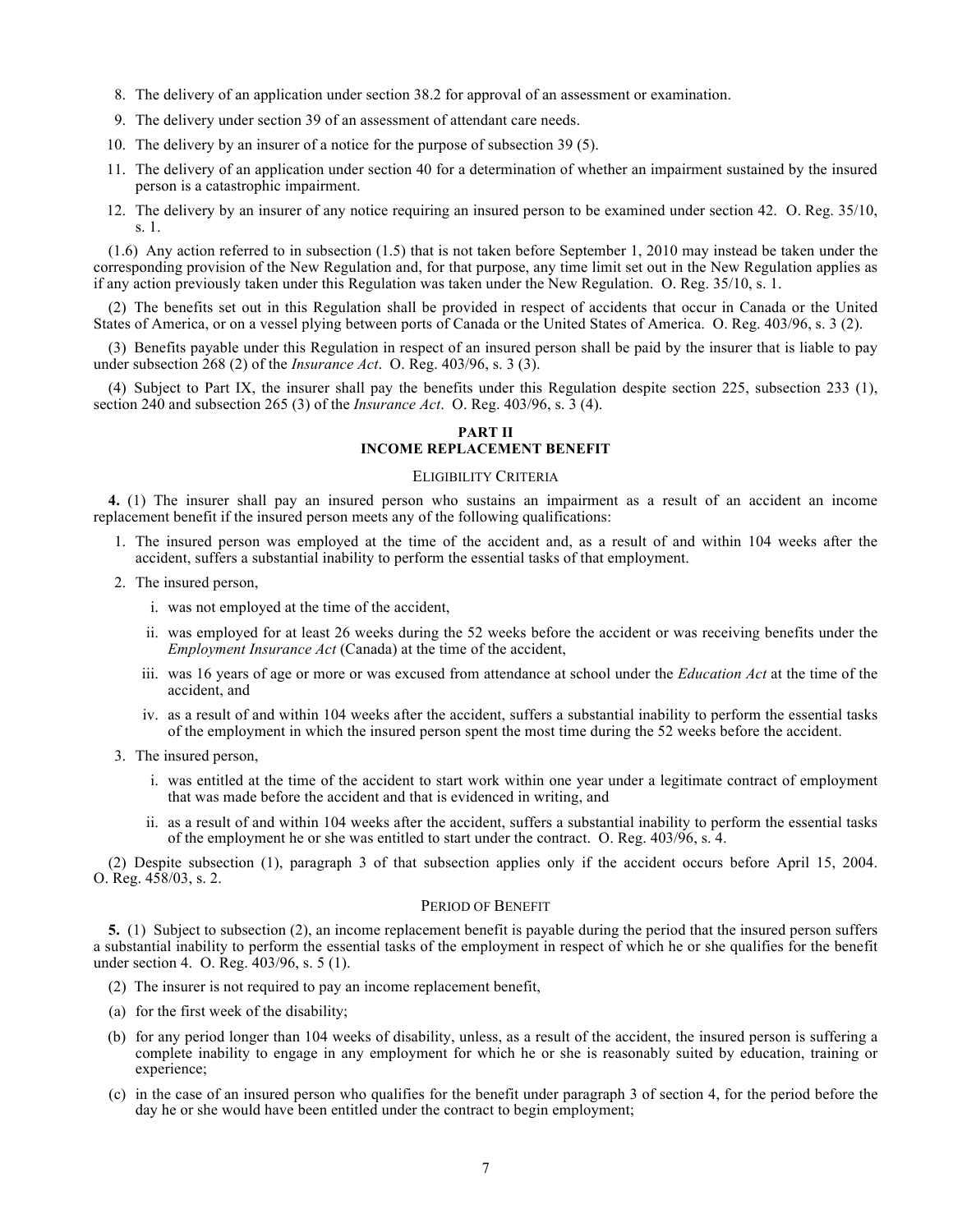- 8. The delivery of an application under section 38.2 for approval of an assessment or examination.
- 9. The delivery under section 39 of an assessment of attendant care needs.
- 10. The delivery by an insurer of a notice for the purpose of subsection 39 (5).
- 11. The delivery of an application under section 40 for a determination of whether an impairment sustained by the insured person is a catastrophic impairment.
- 12. The delivery by an insurer of any notice requiring an insured person to be examined under section 42. O. Reg. 35/10, s. 1.

(1.6) Any action referred to in subsection (1.5) that is not taken before September 1, 2010 may instead be taken under the corresponding provision of the New Regulation and, for that purpose, any time limit set out in the New Regulation applies as if any action previously taken under this Regulation was taken under the New Regulation. O. Reg. 35/10, s. 1.

(2) The benefits set out in this Regulation shall be provided in respect of accidents that occur in Canada or the United States of America, or on a vessel plying between ports of Canada or the United States of America. O. Reg. 403/96, s. 3 (2).

(3) Benefits payable under this Regulation in respect of an insured person shall be paid by the insurer that is liable to pay under subsection 268 (2) of the *Insurance Act*. O. Reg. 403/96, s. 3 (3).

(4) Subject to Part IX, the insurer shall pay the benefits under this Regulation despite section 225, subsection 233 (1), section 240 and subsection 265 (3) of the *Insurance Act*. O. Reg. 403/96, s. 3 (4).

## **PART II INCOME REPLACEMENT BENEFIT**

## ELIGIBILITY CRITERIA

**4.** (1)The insurer shall pay an insured person who sustains an impairment as a result of an accident an income replacement benefit if the insured person meets any of the following qualifications:

- 1. The insured person was employed at the time of the accident and, as a result of and within 104 weeks after the accident, suffers a substantial inability to perform the essential tasks of that employment.
- 2. The insured person,
	- i. was not employed at the time of the accident,
	- ii. was employed for at least 26 weeks during the 52 weeks before the accident or was receiving benefits under the *Employment Insurance Act* (Canada) at the time of the accident,
	- iii. was 16 years of age or more or was excused from attendance at school under the *Education Act* at the time of the accident, and
	- iv. as a result of and within 104 weeks after the accident, suffers a substantial inability to perform the essential tasks of the employment in which the insured person spent the most time during the 52 weeks before the accident.
- 3. The insured person,
	- i. was entitled at the time of the accident to start work within one year under a legitimate contract of employment that was made before the accident and that is evidenced in writing, and
	- ii. as a result of and within 104 weeks after the accident, suffers a substantial inability to perform the essential tasks of the employment he or she was entitled to start under the contract. O. Reg. 403/96, s. 4.

(2) Despite subsection (1), paragraph 3 of that subsection applies only if the accident occurs before April 15, 2004. O. Reg. 458/03, s. 2.

## PERIOD OF BENEFIT

**5.** (1) Subject to subsection (2), an income replacement benefit is payable during the period that the insured person suffers a substantial inability to perform the essential tasks of the employment in respect of which he or she qualifies for the benefit under section 4. O. Reg. 403/96, s. 5 (1).

- (2) The insurer is not required to pay an income replacement benefit,
- (a) for the first week of the disability;
- (b) for any period longer than 104 weeks of disability, unless, as a result of the accident, the insured person is suffering a complete inability to engage in any employment for which he or she is reasonably suited by education, training or experience;
- (c) in the case of an insured person who qualifies for the benefit under paragraph 3 of section 4, for the period before the day he or she would have been entitled under the contract to begin employment;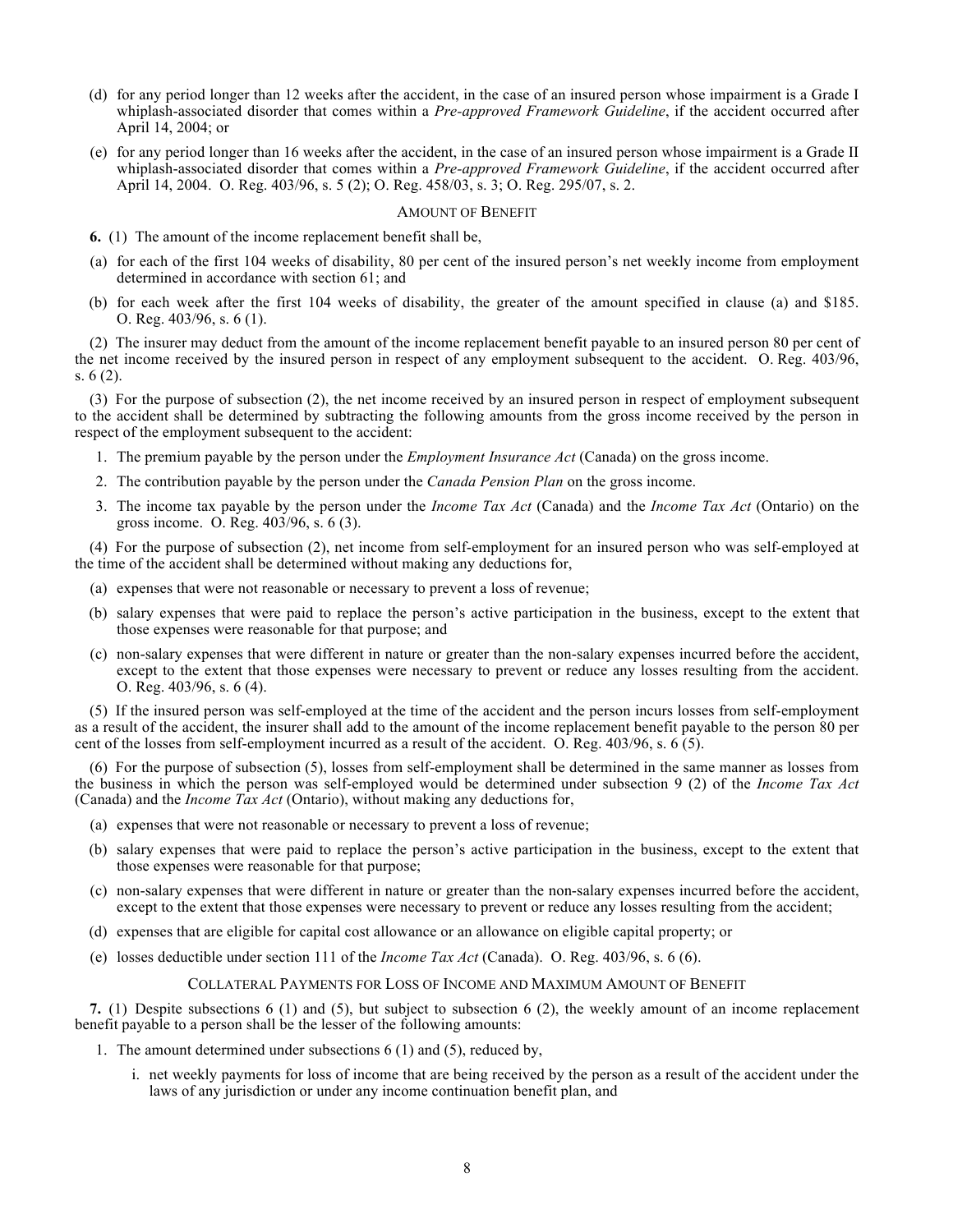- (d) for any period longer than 12 weeks after the accident, in the case of an insured person whose impairment is a Grade I whiplash-associated disorder that comes within a *Pre-approved Framework Guideline*, if the accident occurred after April 14, 2004; or
- (e) for any period longer than 16 weeks after the accident, in the case of an insured person whose impairment is a Grade II whiplash-associated disorder that comes within a *Pre-approved Framework Guideline*, if the accident occurred after April 14, 2004. O. Reg. 403/96, s. 5 (2); O. Reg. 458/03, s. 3; O. Reg. 295/07, s. 2.

### AMOUNT OF BENEFIT

- **6.** (1) The amount of the income replacement benefit shall be,
- (a) for each of the first 104 weeks of disability, 80 per cent of the insured person's net weekly income from employment determined in accordance with section 61; and
- (b) for each week after the first 104 weeks of disability, the greater of the amount specified in clause (a) and \$185. O. Reg. 403/96, s. 6 (1).

(2) The insurer may deduct from the amount of the income replacement benefit payable to an insured person 80 per cent of the net income received by the insured person in respect of any employment subsequent to the accident. O. Reg. 403/96, s. 6 (2).

(3) For the purpose of subsection (2), the net income received by an insured person in respect of employment subsequent to the accident shall be determined by subtracting the following amounts from the gross income received by the person in respect of the employment subsequent to the accident:

- 1. The premium payable by the person under the *Employment Insurance Act* (Canada) on the gross income.
- 2. The contribution payable by the person under the *Canada Pension Plan* on the gross income.
- 3. The income tax payable by the person under the *Income Tax Act* (Canada) and the *Income Tax Act* (Ontario) on the gross income. O. Reg. 403/96, s. 6 (3).

(4) For the purpose of subsection (2), net income from self-employment for an insured person who was self-employed at the time of the accident shall be determined without making any deductions for,

- (a) expenses that were not reasonable or necessary to prevent a loss of revenue;
- (b) salary expenses that were paid to replace the person's active participation in the business, except to the extent that those expenses were reasonable for that purpose; and
- (c) non-salary expenses that were different in nature or greater than the non-salary expenses incurred before the accident, except to the extent that those expenses were necessary to prevent or reduce any losses resulting from the accident. O. Reg. 403/96, s. 6 (4).

(5) If the insured person was self-employed at the time of the accident and the person incurs losses from self-employment as a result of the accident, the insurer shall add to the amount of the income replacement benefit payable to the person 80 per cent of the losses from self-employment incurred as a result of the accident. O. Reg. 403/96, s. 6 (5).

(6) For the purpose of subsection (5), losses from self-employment shall be determined in the same manner as losses from the business in which the person was self-employed would be determined under subsection 9 (2) of the *Income Tax Act* (Canada) and the *Income Tax Act* (Ontario), without making any deductions for,

- (a) expenses that were not reasonable or necessary to prevent a loss of revenue;
- (b) salary expenses that were paid to replace the person's active participation in the business, except to the extent that those expenses were reasonable for that purpose;
- (c) non-salary expenses that were different in nature or greater than the non-salary expenses incurred before the accident, except to the extent that those expenses were necessary to prevent or reduce any losses resulting from the accident;
- (d) expenses that are eligible for capital cost allowance or an allowance on eligible capital property; or
- (e) losses deductible under section 111 of the *Income Tax Act* (Canada). O. Reg. 403/96, s. 6 (6).

#### COLLATERAL PAYMENTS FOR LOSS OF INCOME AND MAXIMUM AMOUNT OF BENEFIT

**7.** (1) Despite subsections 6 (1) and (5), but subject to subsection 6 (2), the weekly amount of an income replacement benefit payable to a person shall be the lesser of the following amounts:

- 1. The amount determined under subsections 6 (1) and (5), reduced by,
	- i. net weekly payments for loss of income that are being received by the person as a result of the accident under the laws of any jurisdiction or under any income continuation benefit plan, and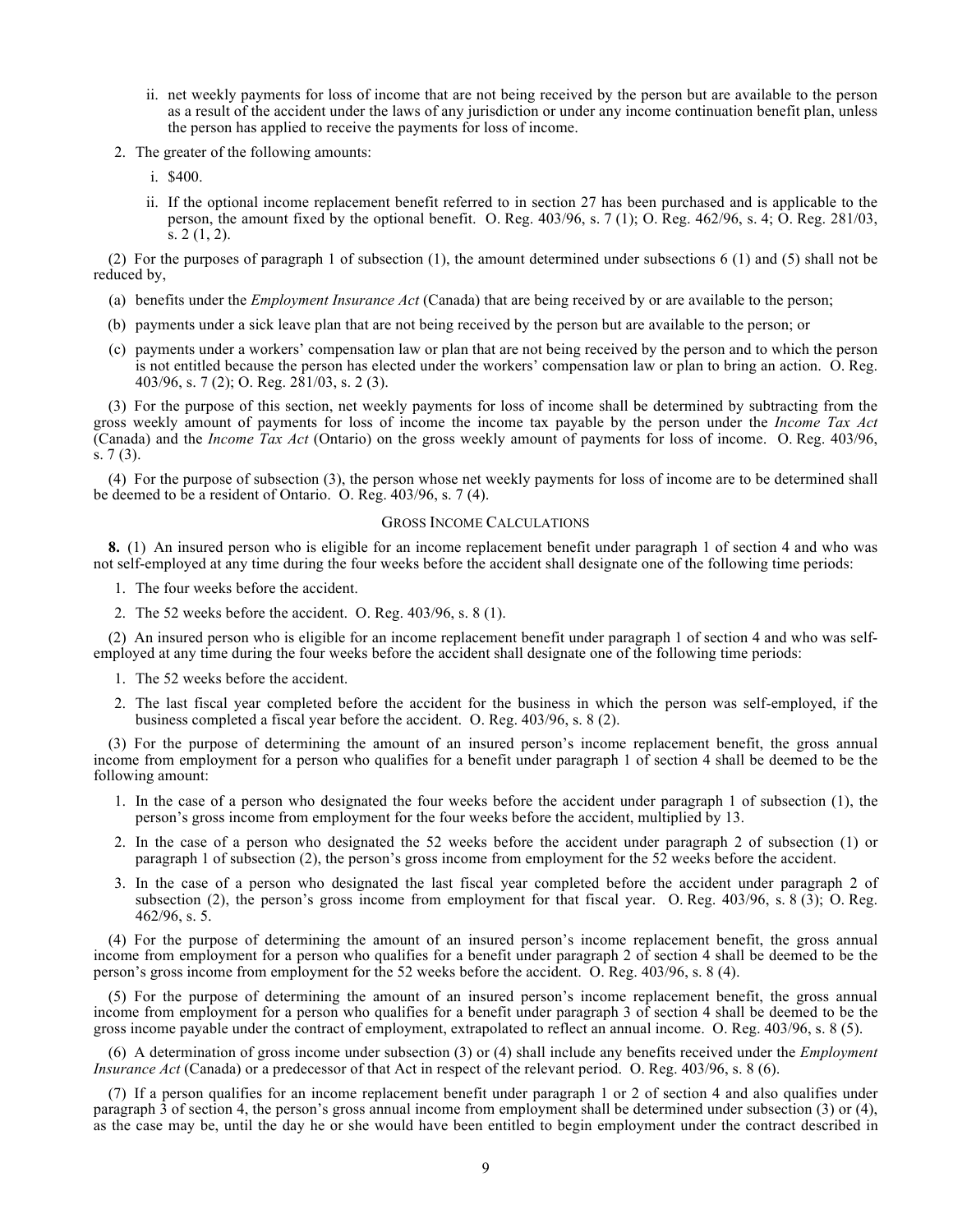- ii. net weekly payments for loss of income that are not being received by the person but are available to the person as a result of the accident under the laws of any jurisdiction or under any income continuation benefit plan, unless the person has applied to receive the payments for loss of income.
- 2. The greater of the following amounts:
	- i. \$400.
	- ii. If the optional income replacement benefit referred to in section 27 has been purchased and is applicable to the person, the amount fixed by the optional benefit. O. Reg. 403/96, s. 7 (1); O. Reg. 462/96, s. 4; O. Reg. 281/03, s. 2 (1, 2).

(2) For the purposes of paragraph 1 of subsection (1), the amount determined under subsections 6 (1) and (5) shall not be reduced by,

- (a) benefits under the *Employment Insurance Act* (Canada) that are being received by or are available to the person;
- (b) payments under a sick leave plan that are not being received by the person but are available to the person; or
- (c) payments under a workers' compensation law or plan that are not being received by the person and to which the person is not entitled because the person has elected under the workers' compensation law or plan to bring an action. O. Reg. 403/96, s. 7 (2); O. Reg. 281/03, s. 2 (3).

(3) For the purpose of this section, net weekly payments for loss of income shall be determined by subtracting from the gross weekly amount of payments for loss of income the income tax payable by the person under the *Income Tax Act* (Canada) and the *Income Tax Act* (Ontario) on the gross weekly amount of payments for loss of income. O. Reg. 403/96, s. 7 (3).

(4) For the purpose of subsection (3), the person whose net weekly payments for loss of income are to be determined shall be deemed to be a resident of Ontario. O. Reg. 403/96, s. 7 (4).

#### GROSS INCOME CALCULATIONS

**8.** (1) An insured person who is eligible for an income replacement benefit under paragraph 1 of section 4 and who was not self-employed at any time during the four weeks before the accident shall designate one of the following time periods:

- 1. The four weeks before the accident.
- 2. The 52 weeks before the accident. O. Reg. 403/96, s. 8 (1).

(2) An insured person who is eligible for an income replacement benefit under paragraph 1 of section 4 and who was selfemployed at any time during the four weeks before the accident shall designate one of the following time periods:

- 1. The 52 weeks before the accident.
- 2. The last fiscal year completed before the accident for the business in which the person was self-employed, if the business completed a fiscal year before the accident. O. Reg. 403/96, s. 8 (2).

(3) For the purpose of determining the amount of an insured person's income replacement benefit, the gross annual income from employment for a person who qualifies for a benefit under paragraph 1 of section 4 shall be deemed to be the following amount:

- 1. In the case of a person who designated the four weeks before the accident under paragraph 1 of subsection (1), the person's gross income from employment for the four weeks before the accident, multiplied by 13.
- 2. In the case of a person who designated the 52 weeks before the accident under paragraph 2 of subsection (1) or paragraph 1 of subsection (2), the person's gross income from employment for the 52 weeks before the accident.
- 3. In the case of a person who designated the last fiscal year completed before the accident under paragraph 2 of subsection (2), the person's gross income from employment for that fiscal year. O. Reg. 403/96, s. 8 (3); O. Reg. 462/96, s. 5.

(4) For the purpose of determining the amount of an insured person's income replacement benefit, the gross annual income from employment for a person who qualifies for a benefit under paragraph 2 of section 4 shall be deemed to be the person's gross income from employment for the 52 weeks before the accident. O. Reg. 403/96, s. 8 (4).

(5) For the purpose of determining the amount of an insured person's income replacement benefit, the gross annual income from employment for a person who qualifies for a benefit under paragraph 3 of section 4 shall be deemed to be the gross income payable under the contract of employment, extrapolated to reflect an annual income. O. Reg. 403/96, s. 8 (5).

(6) A determination of gross income under subsection (3) or (4) shall include any benefits received under the *Employment Insurance Act* (Canada) or a predecessor of that Act in respect of the relevant period. O. Reg. 403/96, s. 8 (6).

(7) If a person qualifies for an income replacement benefit under paragraph 1 or 2 of section 4 and also qualifies under paragraph 3 of section 4, the person's gross annual income from employment shall be determined under subsection (3) or (4), as the case may be, until the day he or she would have been entitled to begin employment under the contract described in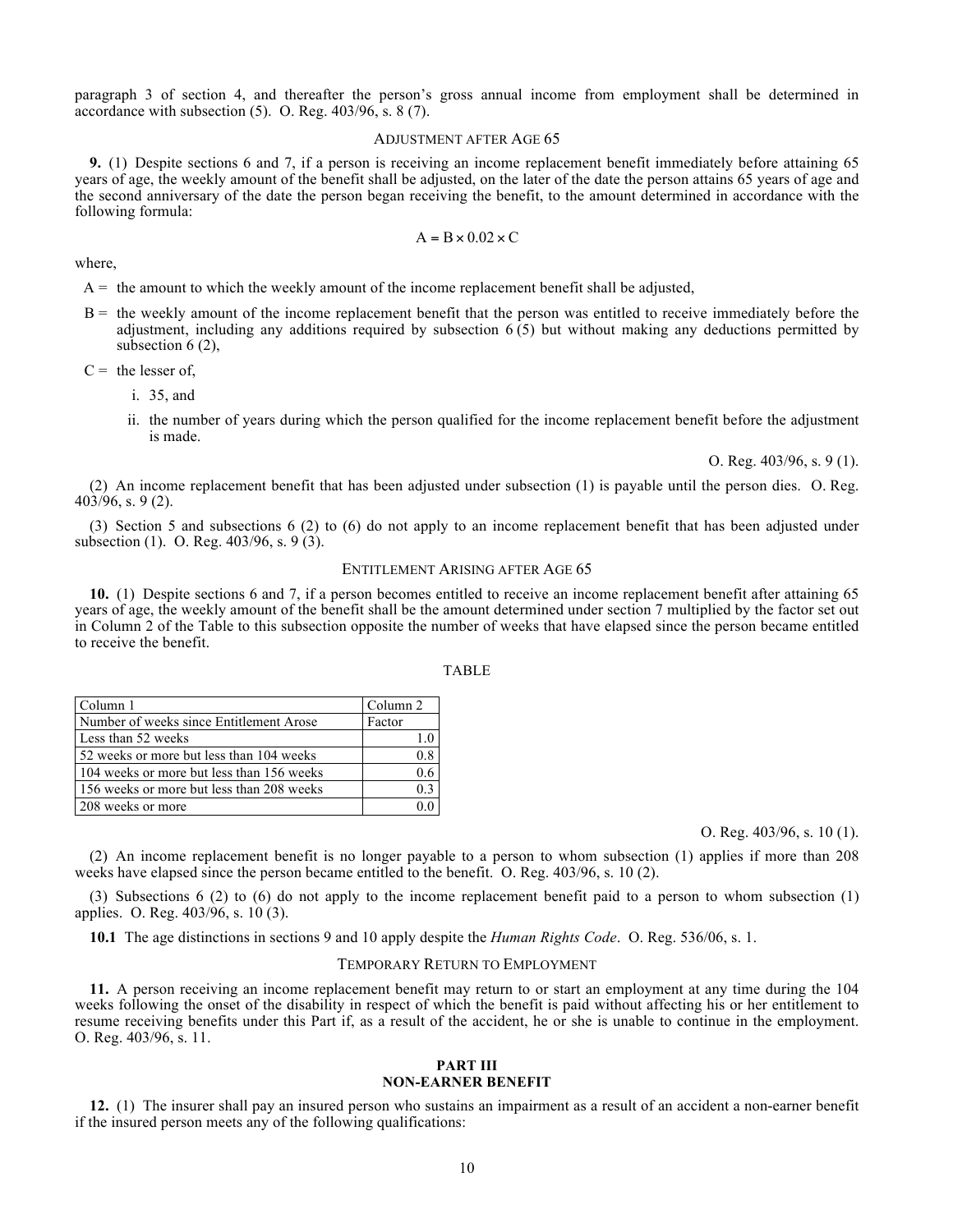paragraph 3 of section 4, and thereafter the person's gross annual income from employment shall be determined in accordance with subsection (5). O. Reg. 403/96, s. 8 (7).

## ADJUSTMENT AFTER AGE 65

**9.** (1) Despite sections 6 and 7, if a person is receiving an income replacement benefit immediately before attaining 65 years of age, the weekly amount of the benefit shall be adjusted, on the later of the date the person attains 65 years of age and the second anniversary of the date the person began receiving the benefit, to the amount determined in accordance with the following formula:

$$
A = B \times 0.02 \times C
$$

where,

 $A =$  the amount to which the weekly amount of the income replacement benefit shall be adjusted,

 $B =$  the weekly amount of the income replacement benefit that the person was entitled to receive immediately before the adjustment, including any additions required by subsection  $6(5)$  but without making any deductions permitted by subsection 6 (2),

 $C =$  the lesser of,

- i. 35, and
- ii. the number of years during which the person qualified for the income replacement benefit before the adjustment is made.

O. Reg. 403/96, s. 9 (1).

(2) An income replacement benefit that has been adjusted under subsection (1) is payable until the person dies. O. Reg. 403/96, s. 9 (2).

(3) Section 5 and subsections 6 (2) to (6) do not apply to an income replacement benefit that has been adjusted under subsection (1). O. Reg. 403/96, s. 9 (3).

#### ENTITLEMENT ARISING AFTER AGE 65

**10.** (1) Despite sections 6 and 7, if a person becomes entitled to receive an income replacement benefit after attaining 65 years of age, the weekly amount of the benefit shall be the amount determined under section 7 multiplied by the factor set out in Column 2 of the Table to this subsection opposite the number of weeks that have elapsed since the person became entitled to receive the benefit.

| Column 1                                  | Column 2       |
|-------------------------------------------|----------------|
| Number of weeks since Entitlement Arose   | Factor         |
| Less than 52 weeks                        |                |
| 52 weeks or more but less than 104 weeks  |                |
| 104 weeks or more but less than 156 weeks |                |
| 156 weeks or more but less than 208 weeks | 0 <sup>3</sup> |
| 208 weeks or more                         |                |

O. Reg. 403/96, s. 10 (1).

(2) An income replacement benefit is no longer payable to a person to whom subsection (1) applies if more than 208 weeks have elapsed since the person became entitled to the benefit. O. Reg. 403/96, s. 10 (2).

(3) Subsections 6 (2) to (6) do not apply to the income replacement benefit paid to a person to whom subsection (1) applies. O. Reg. 403/96, s. 10 (3).

**10.1** The age distinctions in sections 9 and 10 apply despite the *Human Rights Code*. O. Reg. 536/06, s. 1.

#### TEMPORARY RETURN TO EMPLOYMENT

**11.** A person receiving an income replacement benefit may return to or start an employment at any time during the 104 weeks following the onset of the disability in respect of which the benefit is paid without affecting his or her entitlement to resume receiving benefits under this Part if, as a result of the accident, he or she is unable to continue in the employment. O. Reg. 403/96, s. 11.

## **PART III NON-EARNER BENEFIT**

**12.** (1) The insurer shall pay an insured person who sustains an impairment as a result of an accident a non-earner benefit if the insured person meets any of the following qualifications: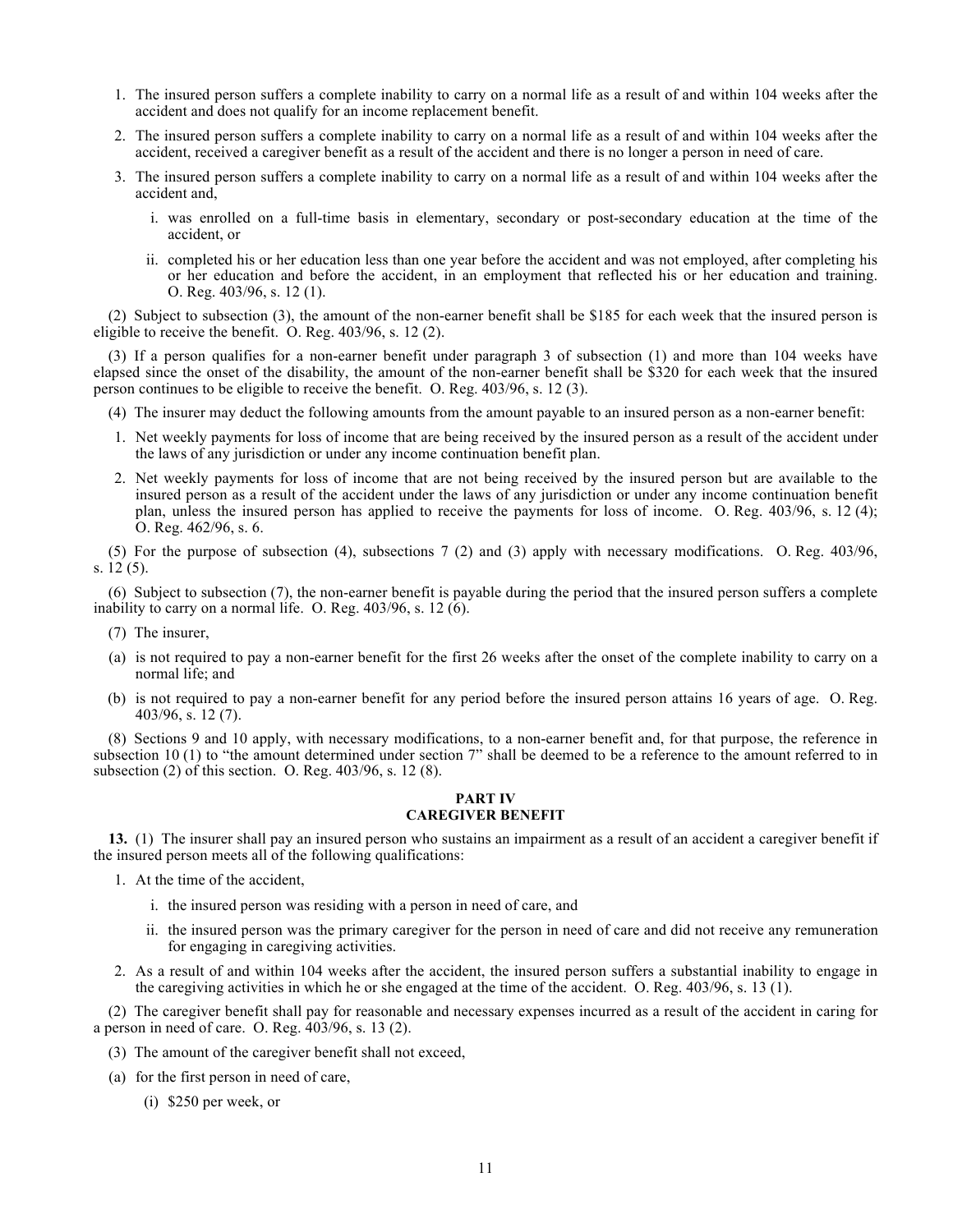- 1. The insured person suffers a complete inability to carry on a normal life as a result of and within 104 weeks after the accident and does not qualify for an income replacement benefit.
- 2. The insured person suffers a complete inability to carry on a normal life as a result of and within 104 weeks after the accident, received a caregiver benefit as a result of the accident and there is no longer a person in need of care.
- 3. The insured person suffers a complete inability to carry on a normal life as a result of and within 104 weeks after the accident and,
	- i. was enrolled on a full-time basis in elementary, secondary or post-secondary education at the time of the accident, or
	- ii. completed his or her education less than one year before the accident and was not employed, after completing his or her education and before the accident, in an employment that reflected his or her education and training. O. Reg. 403/96, s. 12 (1).

(2) Subject to subsection (3), the amount of the non-earner benefit shall be \$185 for each week that the insured person is eligible to receive the benefit. O. Reg. 403/96, s. 12 (2).

(3) If a person qualifies for a non-earner benefit under paragraph 3 of subsection (1) and more than 104 weeks have elapsed since the onset of the disability, the amount of the non-earner benefit shall be \$320 for each week that the insured person continues to be eligible to receive the benefit. O. Reg. 403/96, s. 12 (3).

- (4) The insurer may deduct the following amounts from the amount payable to an insured person as a non-earner benefit:
- 1. Net weekly payments for loss of income that are being received by the insured person as a result of the accident under the laws of any jurisdiction or under any income continuation benefit plan.
- 2. Net weekly payments for loss of income that are not being received by the insured person but are available to the insured person as a result of the accident under the laws of any jurisdiction or under any income continuation benefit plan, unless the insured person has applied to receive the payments for loss of income. O. Reg. 403/96, s. 12 (4); O. Reg. 462/96, s. 6.

(5) For the purpose of subsection (4), subsections 7 (2) and (3) apply with necessary modifications. O. Reg. 403/96, s. 12 (5).

(6) Subject to subsection (7), the non-earner benefit is payable during the period that the insured person suffers a complete inability to carry on a normal life. O. Reg. 403/96, s. 12 (6).

- (7) The insurer,
- (a) is not required to pay a non-earner benefit for the first 26 weeks after the onset of the complete inability to carry on a normal life; and
- (b) is not required to pay a non-earner benefit for any period before the insured person attains 16 years of age. O. Reg. 403/96, s. 12 (7).

(8) Sections 9 and 10 apply, with necessary modifications, to a non-earner benefit and, for that purpose, the reference in subsection 10 (1) to "the amount determined under section  $7$ " shall be deemed to be a reference to the amount referred to in subsection (2) of this section. O. Reg. 403/96, s. 12 (8).

#### **PART IV CAREGIVER BENEFIT**

**13.** (1) The insurer shall pay an insured person who sustains an impairment as a result of an accident a caregiver benefit if the insured person meets all of the following qualifications:

- 1. At the time of the accident,
	- i. the insured person was residing with a person in need of care, and
	- ii. the insured person was the primary caregiver for the person in need of care and did not receive any remuneration for engaging in caregiving activities.
- 2. As a result of and within 104 weeks after the accident, the insured person suffers a substantial inability to engage in the caregiving activities in which he or she engaged at the time of the accident. O. Reg. 403/96, s. 13 (1).

(2) The caregiver benefit shall pay for reasonable and necessary expenses incurred as a result of the accident in caring for a person in need of care. O. Reg. 403/96, s. 13 (2).

- (3) The amount of the caregiver benefit shall not exceed,
- (a) for the first person in need of care,
	- (i) \$250 per week, or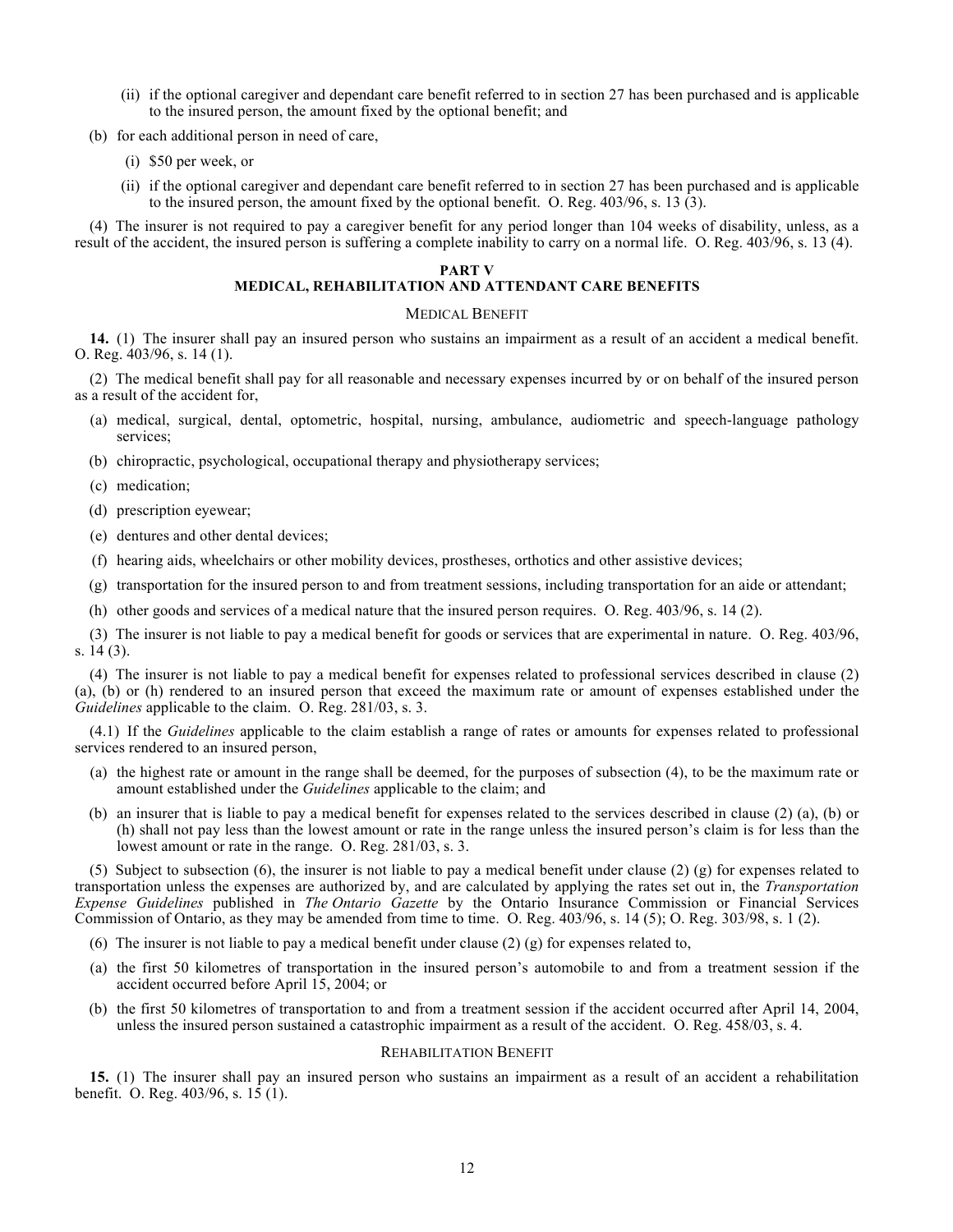- (ii) if the optional caregiver and dependant care benefit referred to in section 27 has been purchased and is applicable to the insured person, the amount fixed by the optional benefit; and
- (b) for each additional person in need of care,
	- (i) \$50 per week, or
	- (ii) if the optional caregiver and dependant care benefit referred to in section 27 has been purchased and is applicable to the insured person, the amount fixed by the optional benefit. O. Reg. 403/96, s. 13 (3).

(4) The insurer is not required to pay a caregiver benefit for any period longer than 104 weeks of disability, unless, as a result of the accident, the insured person is suffering a complete inability to carry on a normal life. O. Reg. 403/96, s. 13 (4).

#### **PART V**

## **MEDICAL, REHABILITATION AND ATTENDANT CARE BENEFITS**

## MEDICAL BENEFIT

**14.** (1) The insurer shall pay an insured person who sustains an impairment as a result of an accident a medical benefit. O. Reg. 403/96, s. 14 (1).

(2) The medical benefit shall pay for all reasonable and necessary expenses incurred by or on behalf of the insured person as a result of the accident for,

- (a) medical, surgical, dental, optometric, hospital, nursing, ambulance, audiometric and speech-language pathology services;
- (b) chiropractic, psychological, occupational therapy and physiotherapy services;
- (c) medication;
- (d) prescription eyewear;
- (e) dentures and other dental devices;
- (f) hearing aids, wheelchairs or other mobility devices, prostheses, orthotics and other assistive devices;
- (g) transportation for the insured person to and from treatment sessions, including transportation for an aide or attendant;
- (h) other goods and services of a medical nature that the insured person requires. O. Reg. 403/96, s. 14 (2).

(3) The insurer is not liable to pay a medical benefit for goods or services that are experimental in nature. O. Reg. 403/96, s. 14 (3).

(4) The insurer is not liable to pay a medical benefit for expenses related to professional services described in clause (2) (a), (b) or (h) rendered to an insured person that exceed the maximum rate or amount of expenses established under the *Guidelines* applicable to the claim. O. Reg. 281/03, s. 3.

(4.1) If the *Guidelines* applicable to the claim establish a range of rates or amounts for expenses related to professional services rendered to an insured person,

- (a) the highest rate or amount in the range shall be deemed, for the purposes of subsection (4), to be the maximum rate or amount established under the *Guidelines* applicable to the claim; and
- (b) an insurer that is liable to pay a medical benefit for expenses related to the services described in clause (2) (a), (b) or (h) shall not pay less than the lowest amount or rate in the range unless the insured person's claim is for less than the lowest amount or rate in the range. O. Reg. 281/03, s. 3.

(5) Subject to subsection (6), the insurer is not liable to pay a medical benefit under clause (2) (g) for expenses related to transportation unless the expenses are authorized by, and are calculated by applying the rates set out in, the *Transportation Expense Guidelines* published in *The Ontario Gazette* by the Ontario Insurance Commission or Financial Services Commission of Ontario, as they may be amended from time to time. O. Reg. 403/96, s. 14 (5); O. Reg. 303/98, s. 1 (2).

- (6) The insurer is not liable to pay a medical benefit under clause  $(2)$  (g) for expenses related to,
- (a) the first 50 kilometres of transportation in the insured person's automobile to and from a treatment session if the accident occurred before April 15, 2004; or
- (b) the first 50 kilometres of transportation to and from a treatment session if the accident occurred after April 14, 2004, unless the insured person sustained a catastrophic impairment as a result of the accident. O. Reg. 458/03, s. 4.

#### REHABILITATION BENEFIT

**15.** (1) The insurer shall pay an insured person who sustains an impairment as a result of an accident a rehabilitation benefit. O. Reg. 403/96, s. 15 (1).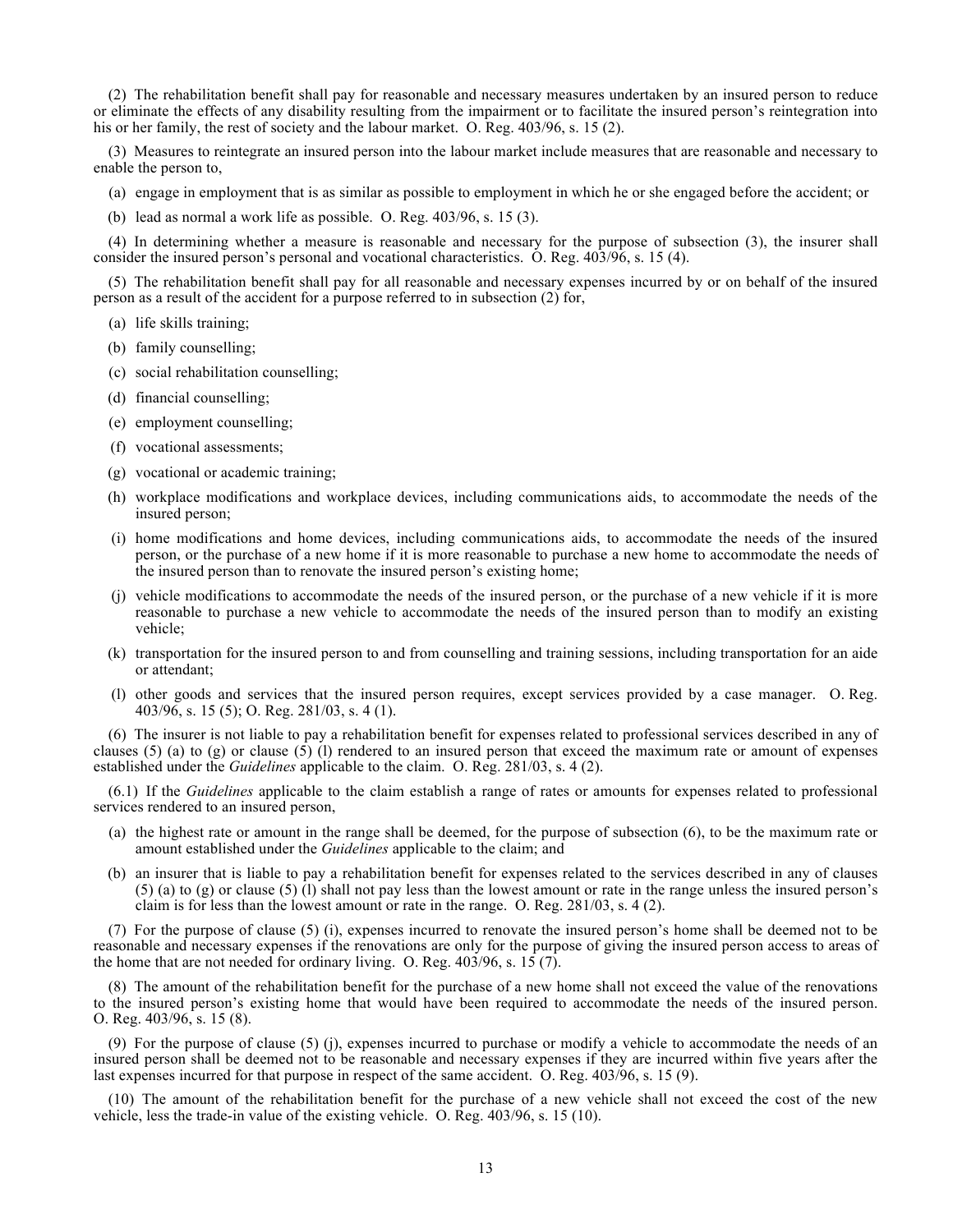(2) The rehabilitation benefit shall pay for reasonable and necessary measures undertaken by an insured person to reduce or eliminate the effects of any disability resulting from the impairment or to facilitate the insured person's reintegration into his or her family, the rest of society and the labour market. O. Reg. 403/96, s. 15 (2).

(3) Measures to reintegrate an insured person into the labour market include measures that are reasonable and necessary to enable the person to,

- (a) engage in employment that is as similar as possible to employment in which he or she engaged before the accident; or
- (b) lead as normal a work life as possible. O. Reg. 403/96, s. 15 (3).

(4) In determining whether a measure is reasonable and necessary for the purpose of subsection (3), the insurer shall consider the insured person's personal and vocational characteristics. O. Reg. 403/96, s. 15 (4).

(5) The rehabilitation benefit shall pay for all reasonable and necessary expenses incurred by or on behalf of the insured person as a result of the accident for a purpose referred to in subsection (2) for,

- (a) life skills training;
- (b) family counselling;
- (c) social rehabilitation counselling;
- (d) financial counselling;
- (e) employment counselling;
- (f) vocational assessments;
- (g) vocational or academic training;
- (h) workplace modifications and workplace devices, including communications aids, to accommodate the needs of the insured person;
- (i) home modifications and home devices, including communications aids, to accommodate the needs of the insured person, or the purchase of a new home if it is more reasonable to purchase a new home to accommodate the needs of the insured person than to renovate the insured person's existing home;
- (j) vehicle modifications to accommodate the needs of the insured person, or the purchase of a new vehicle if it is more reasonable to purchase a new vehicle to accommodate the needs of the insured person than to modify an existing vehicle;
- (k) transportation for the insured person to and from counselling and training sessions, including transportation for an aide or attendant;
- (l) other goods and services that the insured person requires, except services provided by a case manager. O. Reg. 403/96, s. 15 (5); O. Reg. 281/03, s. 4 (1).

(6) The insurer is not liable to pay a rehabilitation benefit for expenses related to professional services described in any of clauses (5) (a) to (g) or clause (5) (l) rendered to an insured person that exceed the maximum rate or amount of expenses established under the *Guidelines* applicable to the claim. O. Reg. 281/03, s. 4 (2).

(6.1) If the *Guidelines* applicable to the claim establish a range of rates or amounts for expenses related to professional services rendered to an insured person,

- (a) the highest rate or amount in the range shall be deemed, for the purpose of subsection (6), to be the maximum rate or amount established under the *Guidelines* applicable to the claim; and
- (b) an insurer that is liable to pay a rehabilitation benefit for expenses related to the services described in any of clauses (5) (a) to (g) or clause (5) (l) shall not pay less than the lowest amount or rate in the range unless the insured person's claim is for less than the lowest amount or rate in the range. O. Reg. 281/03, s. 4 (2).

(7) For the purpose of clause (5) (i), expenses incurred to renovate the insured person's home shall be deemed not to be reasonable and necessary expenses if the renovations are only for the purpose of giving the insured person access to areas of the home that are not needed for ordinary living. O. Reg. 403/96, s. 15 (7).

(8) The amount of the rehabilitation benefit for the purchase of a new home shall not exceed the value of the renovations to the insured person's existing home that would have been required to accommodate the needs of the insured person. O. Reg. 403/96, s. 15 (8).

(9) For the purpose of clause (5) (j), expenses incurred to purchase or modify a vehicle to accommodate the needs of an insured person shall be deemed not to be reasonable and necessary expenses if they are incurred within five years after the last expenses incurred for that purpose in respect of the same accident. O. Reg. 403/96, s. 15 (9).

(10) The amount of the rehabilitation benefit for the purchase of a new vehicle shall not exceed the cost of the new vehicle, less the trade-in value of the existing vehicle. O. Reg. 403/96, s. 15 (10).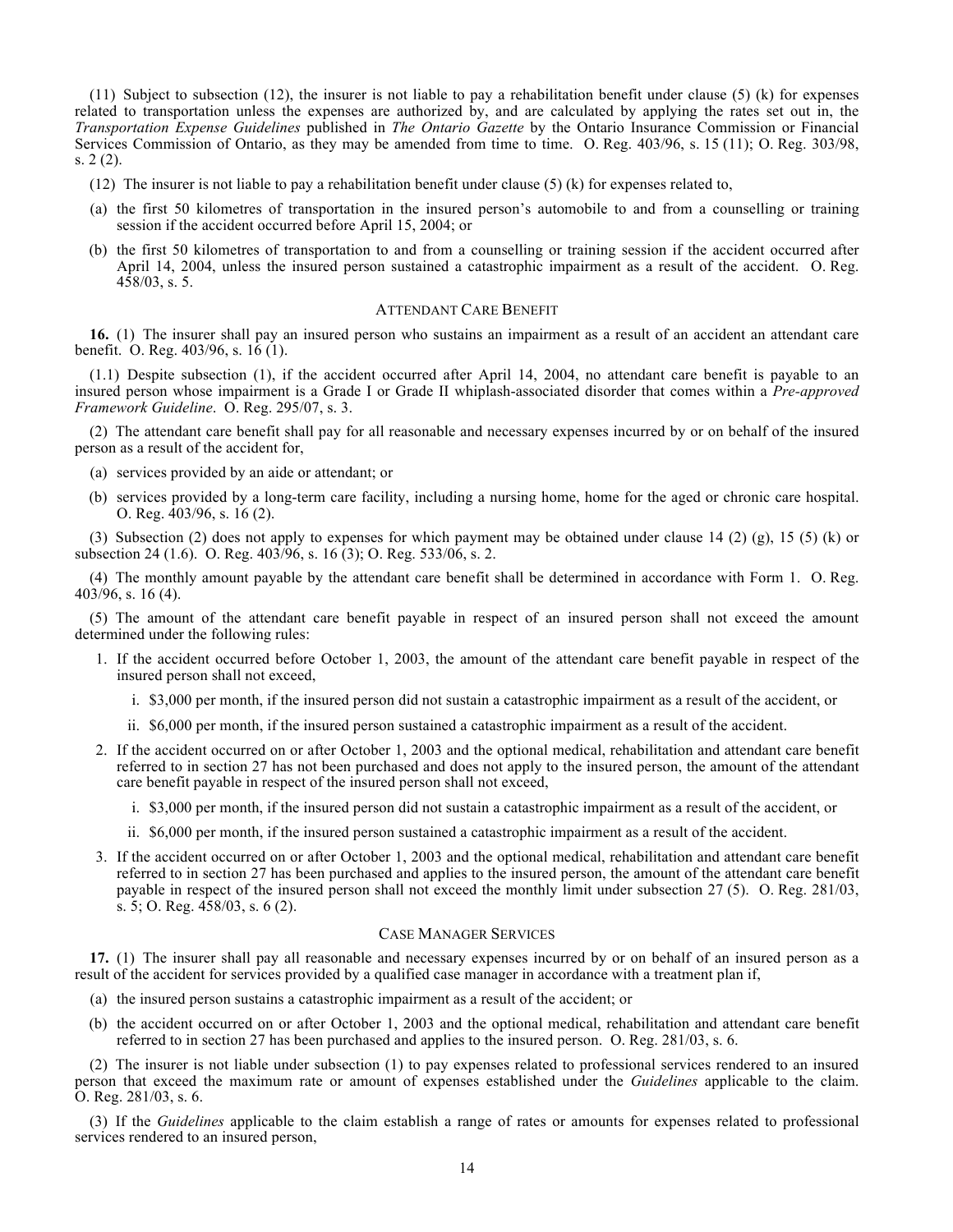(11) Subject to subsection (12), the insurer is not liable to pay a rehabilitation benefit under clause (5) (k) for expenses related to transportation unless the expenses are authorized by, and are calculated by applying the rates set out in, the *Transportation Expense Guidelines* published in *The Ontario Gazette* by the Ontario Insurance Commission or Financial Services Commission of Ontario, as they may be amended from time to time. O. Reg. 403/96, s. 15 (11); O. Reg. 303/98, s. 2 (2).

- (12) The insurer is not liable to pay a rehabilitation benefit under clause (5) (k) for expenses related to,
- (a) the first 50 kilometres of transportation in the insured person's automobile to and from a counselling or training session if the accident occurred before April 15, 2004; or
- (b) the first 50 kilometres of transportation to and from a counselling or training session if the accident occurred after April 14, 2004, unless the insured person sustained a catastrophic impairment as a result of the accident. O. Reg.  $458/03$ , s. 5.

## ATTENDANT CARE BENEFIT

**16.** (1) The insurer shall pay an insured person who sustains an impairment as a result of an accident an attendant care benefit. O. Reg.  $403/96$ , s.  $16(1)$ .

(1.1) Despite subsection (1), if the accident occurred after April 14, 2004, no attendant care benefit is payable to an insured person whose impairment is a Grade I or Grade II whiplash-associated disorder that comes within a *Pre-approved Framework Guideline*. O. Reg. 295/07, s. 3.

(2) The attendant care benefit shall pay for all reasonable and necessary expenses incurred by or on behalf of the insured person as a result of the accident for,

- (a) services provided by an aide or attendant; or
- (b) services provided by a long-term care facility, including a nursing home, home for the aged or chronic care hospital. O. Reg. 403/96, s. 16 (2).

(3) Subsection (2) does not apply to expenses for which payment may be obtained under clause 14 (2) (g), 15 (5) (k) or subsection 24 (1.6). O. Reg. 403/96, s. 16 (3); O. Reg. 533/06, s. 2.

(4) The monthly amount payable by the attendant care benefit shall be determined in accordance with Form 1. O. Reg. 403/96, s. 16 (4).

(5) The amount of the attendant care benefit payable in respect of an insured person shall not exceed the amount determined under the following rules:

- 1. If the accident occurred before October 1, 2003, the amount of the attendant care benefit payable in respect of the insured person shall not exceed,
	- i. \$3,000 per month, if the insured person did not sustain a catastrophic impairment as a result of the accident, or
	- ii. \$6,000 per month, if the insured person sustained a catastrophic impairment as a result of the accident.
- 2. If the accident occurred on or after October 1, 2003 and the optional medical, rehabilitation and attendant care benefit referred to in section 27 has not been purchased and does not apply to the insured person, the amount of the attendant care benefit payable in respect of the insured person shall not exceed,
	- i. \$3,000 per month, if the insured person did not sustain a catastrophic impairment as a result of the accident, or
	- ii. \$6,000 per month, if the insured person sustained a catastrophic impairment as a result of the accident.
- 3. If the accident occurred on or after October 1, 2003 and the optional medical, rehabilitation and attendant care benefit referred to in section 27 has been purchased and applies to the insured person, the amount of the attendant care benefit payable in respect of the insured person shall not exceed the monthly limit under subsection 27 (5). O. Reg. 281/03, s. 5; O. Reg. 458/03, s. 6 (2).

## CASE MANAGER SERVICES

**17.** (1) The insurer shall pay all reasonable and necessary expenses incurred by or on behalf of an insured person as a result of the accident for services provided by a qualified case manager in accordance with a treatment plan if,

- (a) the insured person sustains a catastrophic impairment as a result of the accident; or
- (b) the accident occurred on or after October 1, 2003 and the optional medical, rehabilitation and attendant care benefit referred to in section 27 has been purchased and applies to the insured person. O. Reg. 281/03, s. 6.

(2) The insurer is not liable under subsection (1) to pay expenses related to professional services rendered to an insured person that exceed the maximum rate or amount of expenses established under the *Guidelines* applicable to the claim. O. Reg. 281/03, s. 6.

(3) If the *Guidelines* applicable to the claim establish a range of rates or amounts for expenses related to professional services rendered to an insured person,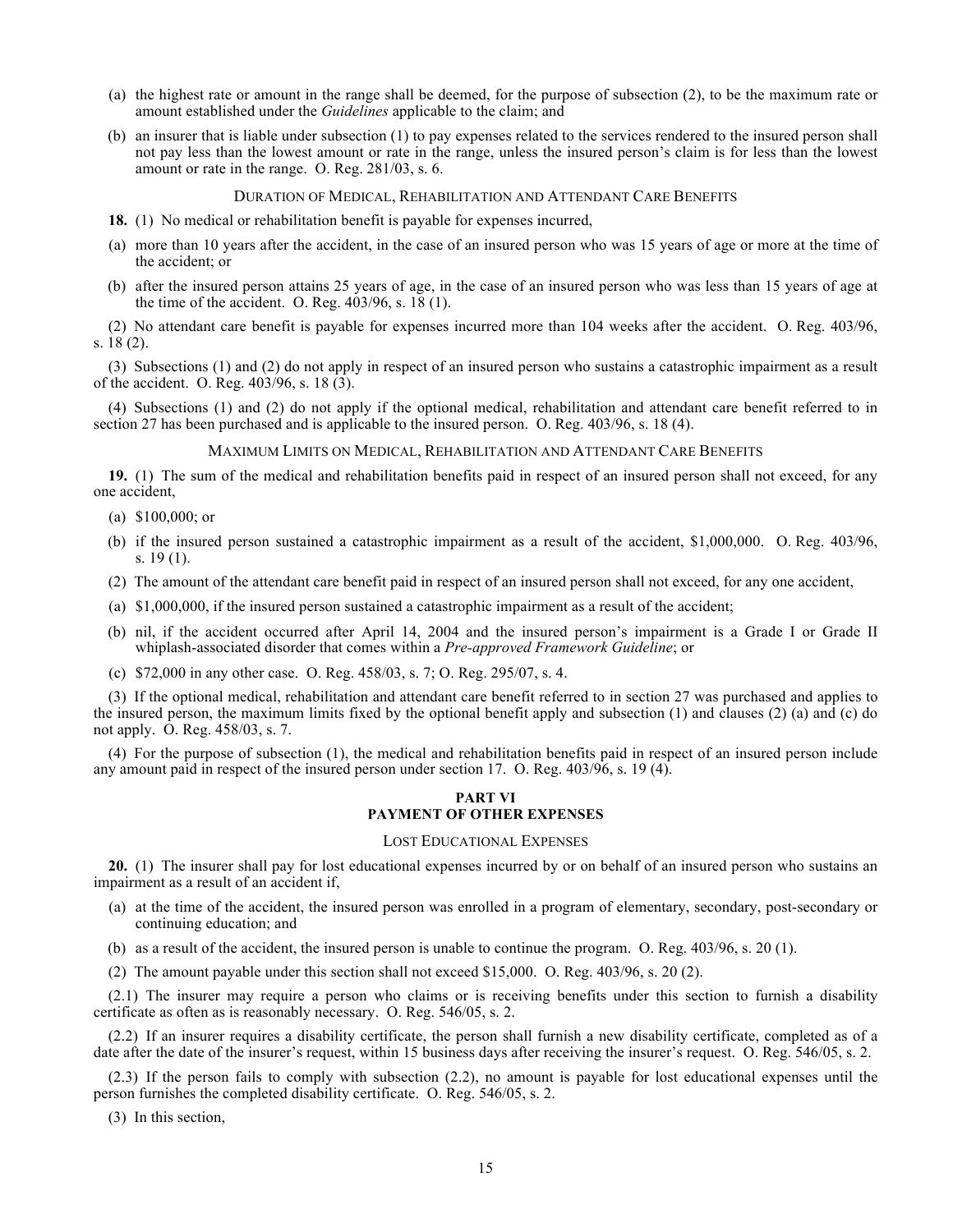- (a) the highest rate or amount in the range shall be deemed, for the purpose of subsection (2), to be the maximum rate or amount established under the *Guidelines* applicable to the claim; and
- (b) an insurer that is liable under subsection (1) to pay expenses related to the services rendered to the insured person shall not pay less than the lowest amount or rate in the range, unless the insured person's claim is for less than the lowest amount or rate in the range. O. Reg. 281/03, s. 6.

## DURATION OF MEDICAL, REHABILITATION AND ATTENDANT CARE BENEFITS

- **18.** (1) No medical or rehabilitation benefit is payable for expenses incurred,
- (a) more than 10 years after the accident, in the case of an insured person who was 15 years of age or more at the time of the accident; or
- (b) after the insured person attains 25 years of age, in the case of an insured person who was less than 15 years of age at the time of the accident. O. Reg. 403/96, s. 18 (1).

(2) No attendant care benefit is payable for expenses incurred more than 104 weeks after the accident. O. Reg. 403/96, s. 18 (2).

(3) Subsections (1) and (2) do not apply in respect of an insured person who sustains a catastrophic impairment as a result of the accident. O. Reg. 403/96, s. 18 (3).

(4) Subsections (1) and (2) do not apply if the optional medical, rehabilitation and attendant care benefit referred to in section 27 has been purchased and is applicable to the insured person. O. Reg. 403/96, s. 18 (4).

MAXIMUM LIMITS ON MEDICAL, REHABILITATION AND ATTENDANT CARE BENEFITS

**19.** (1) The sum of the medical and rehabilitation benefits paid in respect of an insured person shall not exceed, for any one accident,

- (a) \$100,000; or
- (b) if the insured person sustained a catastrophic impairment as a result of the accident, \$1,000,000. O. Reg. 403/96, s. 19 (1).
- (2) The amount of the attendant care benefit paid in respect of an insured person shall not exceed, for any one accident,
- (a) \$1,000,000, if the insured person sustained a catastrophic impairment as a result of the accident;
- (b) nil, if the accident occurred after April 14, 2004 and the insured person's impairment is a Grade I or Grade II whiplash-associated disorder that comes within a *Pre-approved Framework Guideline*; or
- (c) \$72,000 in any other case. O. Reg. 458/03, s. 7; O. Reg. 295/07, s. 4.

(3) If the optional medical, rehabilitation and attendant care benefit referred to in section 27 was purchased and applies to the insured person, the maximum limits fixed by the optional benefit apply and subsection (1) and clauses (2) (a) and (c) do not apply. O. Reg. 458/03, s. 7.

(4) For the purpose of subsection (1), the medical and rehabilitation benefits paid in respect of an insured person include any amount paid in respect of the insured person under section 17. O. Reg. 403/96, s. 19 (4).

## **PART VI PAYMENT OF OTHER EXPENSES**

#### LOST EDUCATIONAL EXPENSES

**20.** (1) The insurer shall pay for lost educational expenses incurred by or on behalf of an insured person who sustains an impairment as a result of an accident if,

- (a) at the time of the accident, the insured person was enrolled in a program of elementary, secondary, post-secondary or continuing education; and
- (b) as a result of the accident, the insured person is unable to continue the program. O. Reg. 403/96, s. 20 (1).
- (2) The amount payable under this section shall not exceed \$15,000. O. Reg. 403/96, s. 20 (2).

(2.1) The insurer may require a person who claims or is receiving benefits under this section to furnish a disability certificate as often as is reasonably necessary. O. Reg. 546/05, s. 2.

(2.2) If an insurer requires a disability certificate, the person shall furnish a new disability certificate, completed as of a date after the date of the insurer's request, within 15 business days after receiving the insurer's request. O. Reg. 546/05, s. 2.

(2.3) If the person fails to comply with subsection (2.2), no amount is payable for lost educational expenses until the person furnishes the completed disability certificate. O. Reg. 546/05, s. 2.

(3) In this section,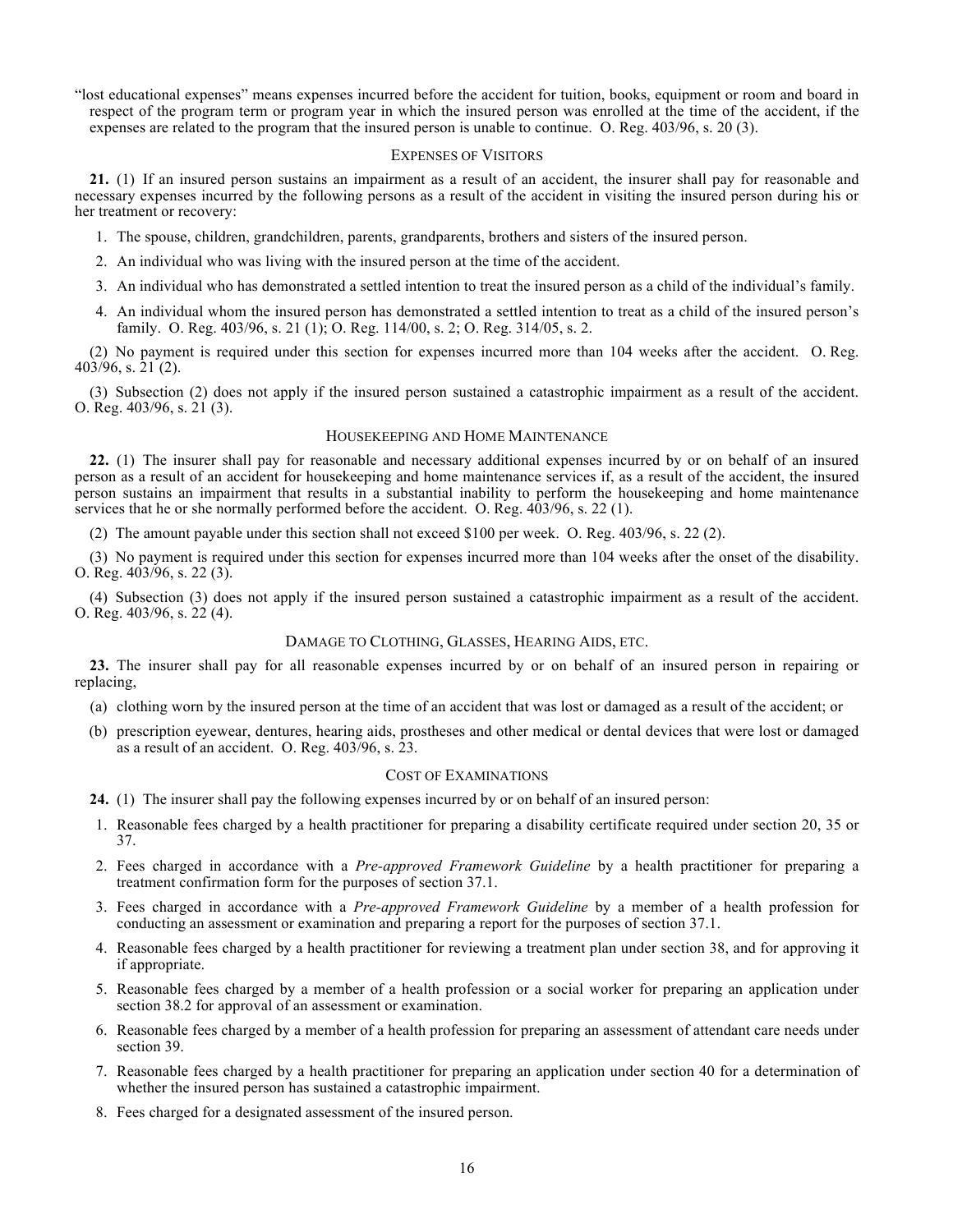"lost educational expenses" means expenses incurred before the accident for tuition, books, equipment or room and board in respect of the program term or program year in which the insured person was enrolled at the time of the accident, if the expenses are related to the program that the insured person is unable to continue. O. Reg. 403/96, s. 20 (3).

## EXPENSES OF VISITORS

**21.** (1) If an insured person sustains an impairment as a result of an accident, the insurer shall pay for reasonable and necessary expenses incurred by the following persons as a result of the accident in visiting the insured person during his or her treatment or recovery:

- 1. The spouse, children, grandchildren, parents, grandparents, brothers and sisters of the insured person.
- 2. An individual who was living with the insured person at the time of the accident.
- 3. An individual who has demonstrated a settled intention to treat the insured person as a child of the individual's family.
- 4. An individual whom the insured person has demonstrated a settled intention to treat as a child of the insured person's family. O. Reg. 403/96, s. 21 (1); O. Reg. 114/00, s. 2; O. Reg. 314/05, s. 2.

(2) No payment is required under this section for expenses incurred more than 104 weeks after the accident. O. Reg.  $40\frac{3}{96}$ , s.  $21(2)$ .

(3) Subsection (2) does not apply if the insured person sustained a catastrophic impairment as a result of the accident. O. Reg. 403/96, s. 21 (3).

## HOUSEKEEPING AND HOME MAINTENANCE

**22.** (1) The insurer shall pay for reasonable and necessary additional expenses incurred by or on behalf of an insured person as a result of an accident for housekeeping and home maintenance services if, as a result of the accident, the insured person sustains an impairment that results in a substantial inability to perform the housekeeping and home maintenance services that he or she normally performed before the accident. O. Reg. 403/96, s. 22 (1).

(2) The amount payable under this section shall not exceed \$100 per week. O. Reg. 403/96, s. 22 (2).

(3) No payment is required under this section for expenses incurred more than 104 weeks after the onset of the disability. O. Reg. 403/96, s. 22 (3).

(4) Subsection (3) does not apply if the insured person sustained a catastrophic impairment as a result of the accident. O. Reg. 403/96, s. 22 (4).

## DAMAGE TO CLOTHING, GLASSES, HEARING AIDS, ETC.

**23.** The insurer shall pay for all reasonable expenses incurred by or on behalf of an insured person in repairing or replacing,

- (a) clothing worn by the insured person at the time of an accident that was lost or damaged as a result of the accident; or
- (b) prescription eyewear, dentures, hearing aids, prostheses and other medical or dental devices that were lost or damaged as a result of an accident. O. Reg. 403/96, s. 23.

#### COST OF EXAMINATIONS

**24.** (1) The insurer shall pay the following expenses incurred by or on behalf of an insured person:

- 1. Reasonable fees charged by a health practitioner for preparing a disability certificate required under section 20, 35 or 37.
- 2. Fees charged in accordance with a *Pre-approved Framework Guideline* by a health practitioner for preparing a treatment confirmation form for the purposes of section 37.1.
- 3. Fees charged in accordance with a *Pre-approved Framework Guideline* by a member of a health profession for conducting an assessment or examination and preparing a report for the purposes of section 37.1.
- 4. Reasonable fees charged by a health practitioner for reviewing a treatment plan under section 38, and for approving it if appropriate.
- 5. Reasonable fees charged by a member of a health profession or a social worker for preparing an application under section 38.2 for approval of an assessment or examination.
- 6. Reasonable fees charged by a member of a health profession for preparing an assessment of attendant care needs under section 39.
- 7. Reasonable fees charged by a health practitioner for preparing an application under section 40 for a determination of whether the insured person has sustained a catastrophic impairment.
- 8. Fees charged for a designated assessment of the insured person.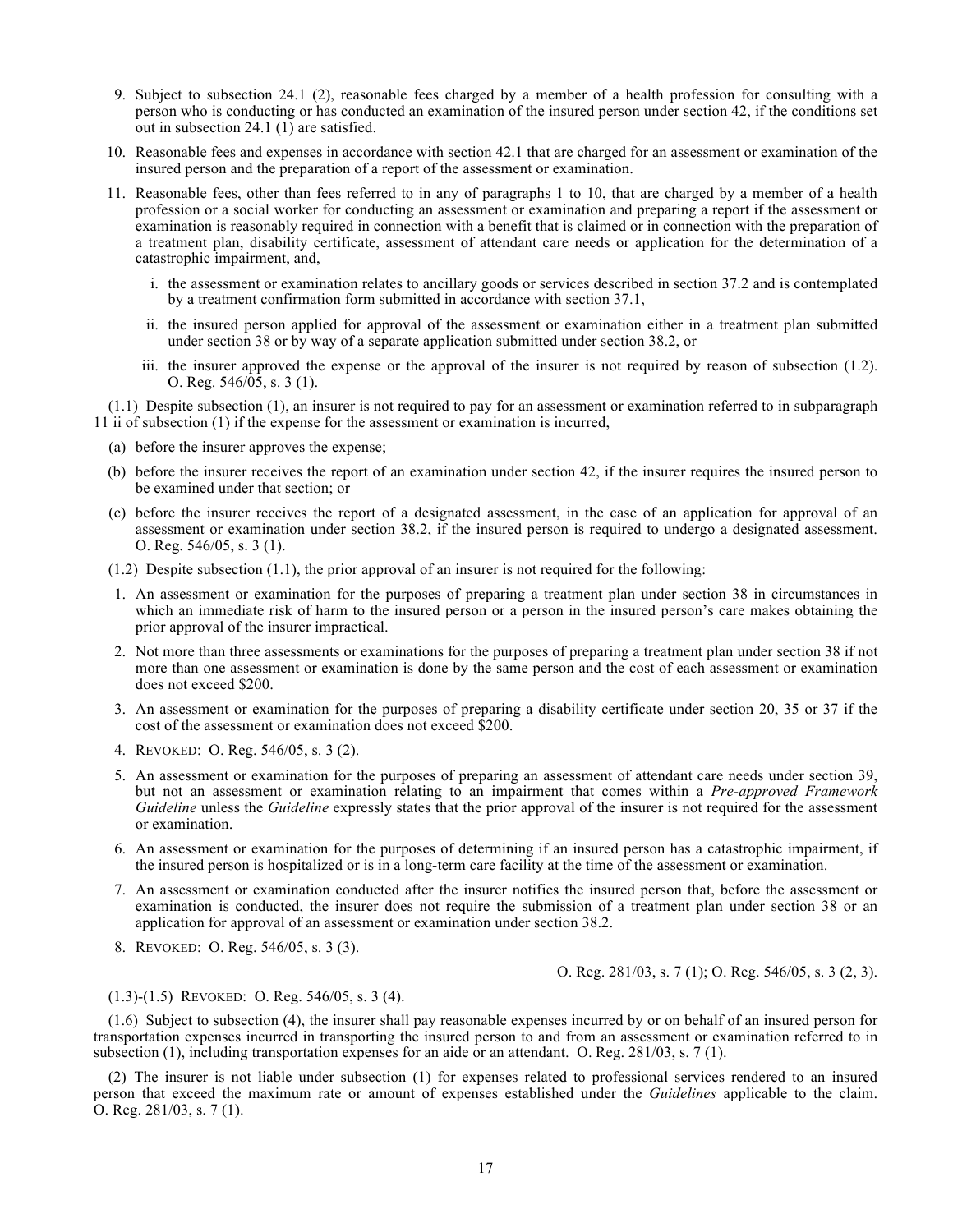- 9. Subject to subsection 24.1 (2), reasonable fees charged by a member of a health profession for consulting with a person who is conducting or has conducted an examination of the insured person under section 42, if the conditions set out in subsection 24.1 (1) are satisfied.
- 10. Reasonable fees and expenses in accordance with section 42.1 that are charged for an assessment or examination of the insured person and the preparation of a report of the assessment or examination.
- 11. Reasonable fees, other than fees referred to in any of paragraphs 1 to 10, that are charged by a member of a health profession or a social worker for conducting an assessment or examination and preparing a report if the assessment or examination is reasonably required in connection with a benefit that is claimed or in connection with the preparation of a treatment plan, disability certificate, assessment of attendant care needs or application for the determination of a catastrophic impairment, and,
	- i. the assessment or examination relates to ancillary goods or services described in section 37.2 and is contemplated by a treatment confirmation form submitted in accordance with section 37.1,
	- ii. the insured person applied for approval of the assessment or examination either in a treatment plan submitted under section 38 or by way of a separate application submitted under section 38.2, or
	- iii. the insurer approved the expense or the approval of the insurer is not required by reason of subsection (1.2). O. Reg. 546/05, s. 3 (1).

(1.1) Despite subsection (1), an insurer is not required to pay for an assessment or examination referred to in subparagraph 11 ii of subsection (1) if the expense for the assessment or examination is incurred,

- (a) before the insurer approves the expense;
- (b) before the insurer receives the report of an examination under section 42, if the insurer requires the insured person to be examined under that section; or
- (c) before the insurer receives the report of a designated assessment, in the case of an application for approval of an assessment or examination under section 38.2, if the insured person is required to undergo a designated assessment. O. Reg. 546/05, s. 3 (1).
- (1.2) Despite subsection (1.1), the prior approval of an insurer is not required for the following:
- 1. An assessment or examination for the purposes of preparing a treatment plan under section 38 in circumstances in which an immediate risk of harm to the insured person or a person in the insured person's care makes obtaining the prior approval of the insurer impractical.
- 2. Not more than three assessments or examinations for the purposes of preparing a treatment plan under section 38 if not more than one assessment or examination is done by the same person and the cost of each assessment or examination does not exceed \$200.
- 3. An assessment or examination for the purposes of preparing a disability certificate under section 20, 35 or 37 if the cost of the assessment or examination does not exceed \$200.
- 4. REVOKED: O. Reg. 546/05, s. 3 (2).
- 5. An assessment or examination for the purposes of preparing an assessment of attendant care needs under section 39, but not an assessment or examination relating to an impairment that comes within a *Pre-approved Framework Guideline* unless the *Guideline* expressly states that the prior approval of the insurer is not required for the assessment or examination.
- 6. An assessment or examination for the purposes of determining if an insured person has a catastrophic impairment, if the insured person is hospitalized or is in a long-term care facility at the time of the assessment or examination.
- 7. An assessment or examination conducted after the insurer notifies the insured person that, before the assessment or examination is conducted, the insurer does not require the submission of a treatment plan under section 38 or an application for approval of an assessment or examination under section 38.2.
- 8. REVOKED: O. Reg. 546/05, s. 3 (3).

O. Reg. 281/03, s. 7 (1); O. Reg. 546/05, s. 3 (2, 3).

(1.3)-(1.5) REVOKED: O. Reg. 546/05, s. 3 (4).

(1.6) Subject to subsection (4), the insurer shall pay reasonable expenses incurred by or on behalf of an insured person for transportation expenses incurred in transporting the insured person to and from an assessment or examination referred to in subsection (1), including transportation expenses for an aide or an attendant. O. Reg. 281/03, s. 7 (1).

(2) The insurer is not liable under subsection (1) for expenses related to professional services rendered to an insured person that exceed the maximum rate or amount of expenses established under the *Guidelines* applicable to the claim. O. Reg. 281/03, s. 7 (1).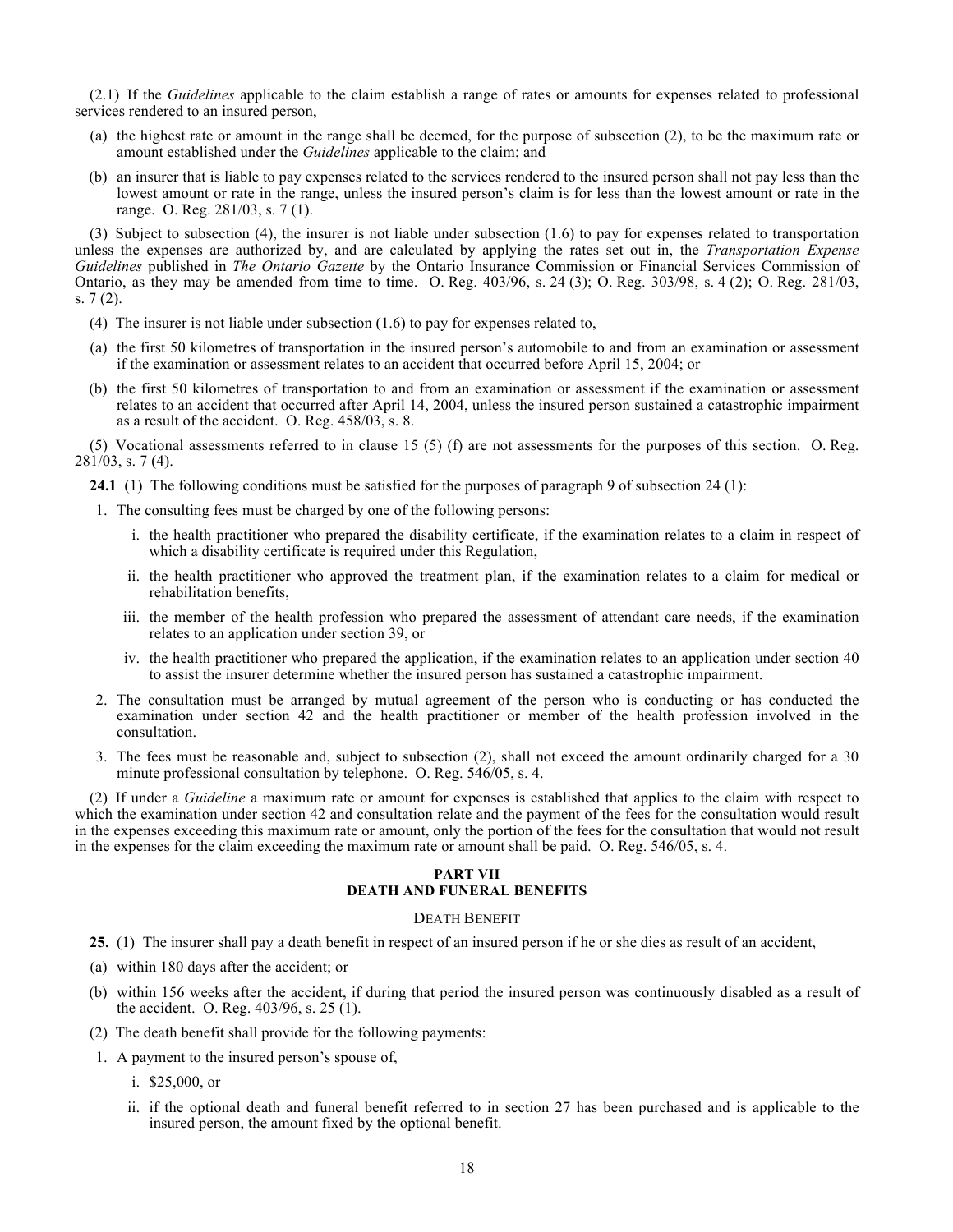(2.1) If the *Guidelines* applicable to the claim establish a range of rates or amounts for expenses related to professional services rendered to an insured person,

- (a) the highest rate or amount in the range shall be deemed, for the purpose of subsection (2), to be the maximum rate or amount established under the *Guidelines* applicable to the claim; and
- (b) an insurer that is liable to pay expenses related to the services rendered to the insured person shall not pay less than the lowest amount or rate in the range, unless the insured person's claim is for less than the lowest amount or rate in the range. O. Reg. 281/03, s. 7 (1).

(3) Subject to subsection (4), the insurer is not liable under subsection (1.6) to pay for expenses related to transportation unless the expenses are authorized by, and are calculated by applying the rates set out in, the *Transportation Expense Guidelines* published in *The Ontario Gazette* by the Ontario Insurance Commission or Financial Services Commission of Ontario, as they may be amended from time to time. O. Reg. 403/96, s. 24 (3); O. Reg. 303/98, s. 4 (2); O. Reg. 281/03, s. 7 (2).

- (4) The insurer is not liable under subsection (1.6) to pay for expenses related to,
- (a) the first 50 kilometres of transportation in the insured person's automobile to and from an examination or assessment if the examination or assessment relates to an accident that occurred before April 15, 2004; or
- (b) the first 50 kilometres of transportation to and from an examination or assessment if the examination or assessment relates to an accident that occurred after April 14, 2004, unless the insured person sustained a catastrophic impairment as a result of the accident. O. Reg. 458/03, s. 8.

(5) Vocational assessments referred to in clause 15 (5) (f) are not assessments for the purposes of this section. O. Reg.  $28\overline{1}/03$ , s. 7 (4).

**24.1** (1) The following conditions must be satisfied for the purposes of paragraph 9 of subsection 24 (1):

- 1. The consulting fees must be charged by one of the following persons:
	- i. the health practitioner who prepared the disability certificate, if the examination relates to a claim in respect of which a disability certificate is required under this Regulation,
	- ii. the health practitioner who approved the treatment plan, if the examination relates to a claim for medical or rehabilitation benefits,
	- iii. the member of the health profession who prepared the assessment of attendant care needs, if the examination relates to an application under section 39, or
	- iv. the health practitioner who prepared the application, if the examination relates to an application under section 40 to assist the insurer determine whether the insured person has sustained a catastrophic impairment.
- 2. The consultation must be arranged by mutual agreement of the person who is conducting or has conducted the examination under section 42 and the health practitioner or member of the health profession involved in the consultation.
- 3. The fees must be reasonable and, subject to subsection (2), shall not exceed the amount ordinarily charged for a 30 minute professional consultation by telephone. O. Reg. 546/05, s. 4.

(2) If under a *Guideline* a maximum rate or amount for expenses is established that applies to the claim with respect to which the examination under section 42 and consultation relate and the payment of the fees for the consultation would result in the expenses exceeding this maximum rate or amount, only the portion of the fees for the consultation that would not result in the expenses for the claim exceeding the maximum rate or amount shall be paid. O. Reg. 546/05, s. 4.

## **PART VII DEATH AND FUNERAL BENEFITS**

## DEATH BENEFIT

**25.** (1) The insurer shall pay a death benefit in respect of an insured person if he or she dies as result of an accident,

(a) within 180 days after the accident; or

- (b) within 156 weeks after the accident, if during that period the insured person was continuously disabled as a result of the accident. O. Reg. 403/96, s. 25 (1).
- (2) The death benefit shall provide for the following payments:
- 1. A payment to the insured person's spouse of,
	- i. \$25,000, or
	- ii. if the optional death and funeral benefit referred to in section 27 has been purchased and is applicable to the insured person, the amount fixed by the optional benefit.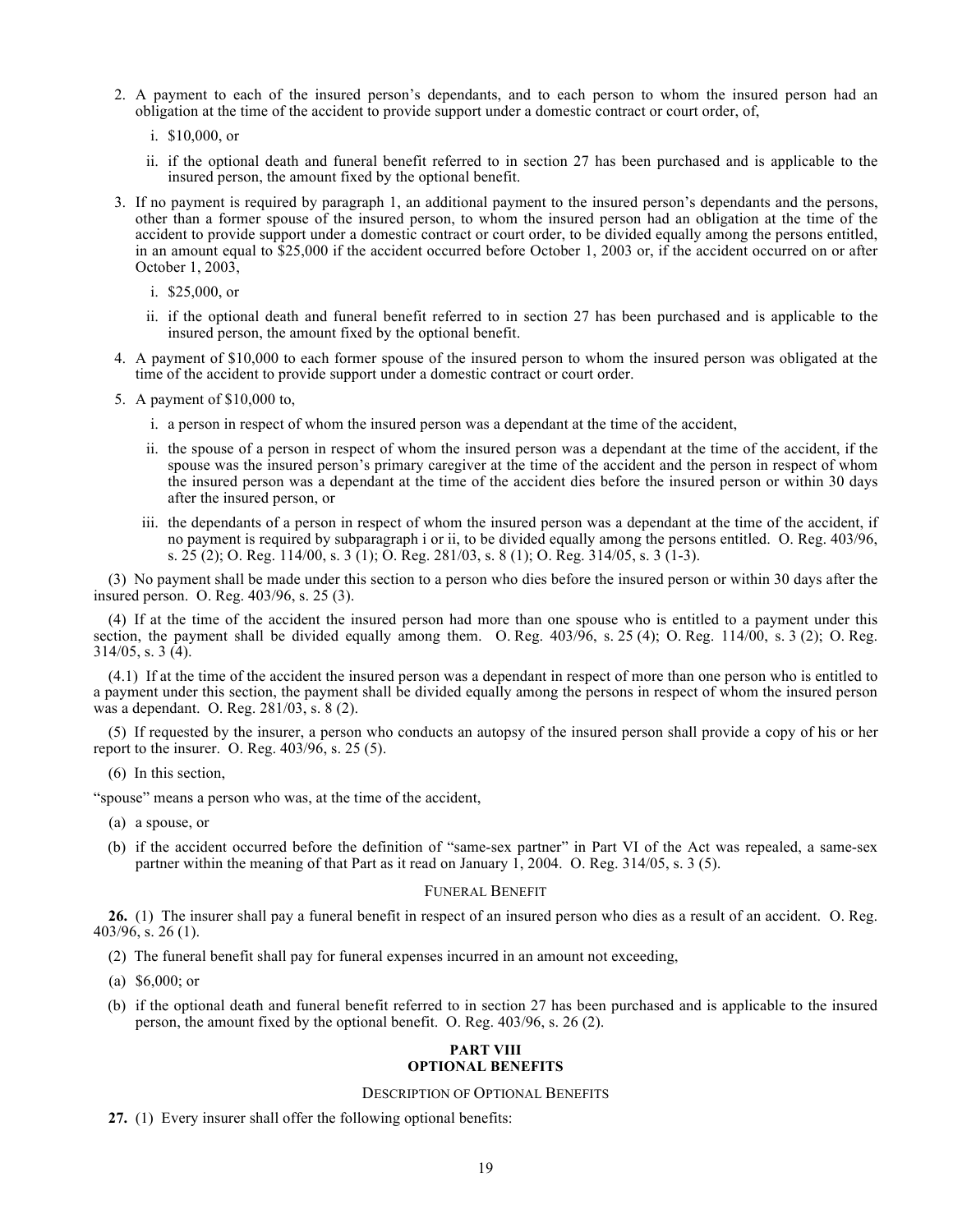- 2. A payment to each of the insured person's dependants, and to each person to whom the insured person had an obligation at the time of the accident to provide support under a domestic contract or court order, of,
	- i. \$10,000, or
	- ii. if the optional death and funeral benefit referred to in section 27 has been purchased and is applicable to the insured person, the amount fixed by the optional benefit.
- 3. If no payment is required by paragraph 1, an additional payment to the insured person's dependants and the persons, other than a former spouse of the insured person, to whom the insured person had an obligation at the time of the accident to provide support under a domestic contract or court order, to be divided equally among the persons entitled, in an amount equal to \$25,000 if the accident occurred before October 1, 2003 or, if the accident occurred on or after October 1, 2003,
	- i. \$25,000, or
	- ii. if the optional death and funeral benefit referred to in section 27 has been purchased and is applicable to the insured person, the amount fixed by the optional benefit.
- 4. A payment of \$10,000 to each former spouse of the insured person to whom the insured person was obligated at the time of the accident to provide support under a domestic contract or court order.
- 5. A payment of \$10,000 to,
	- i. a person in respect of whom the insured person was a dependant at the time of the accident,
	- ii. the spouse of a person in respect of whom the insured person was a dependant at the time of the accident, if the spouse was the insured person's primary caregiver at the time of the accident and the person in respect of whom the insured person was a dependant at the time of the accident dies before the insured person or within 30 days after the insured person, or
	- iii. the dependants of a person in respect of whom the insured person was a dependant at the time of the accident, if no payment is required by subparagraph i or ii, to be divided equally among the persons entitled. O. Reg. 403/96, s. 25 (2); O. Reg. 114/00, s. 3 (1); O. Reg. 281/03, s. 8 (1); O. Reg. 314/05, s. 3 (1-3).

(3) No payment shall be made under this section to a person who dies before the insured person or within 30 days after the insured person. O. Reg. 403/96, s. 25 (3).

(4) If at the time of the accident the insured person had more than one spouse who is entitled to a payment under this section, the payment shall be divided equally among them. O. Reg. 403/96, s. 25 (4); O. Reg. 114/00, s. 3 (2); O. Reg. 314/05, s. 3 (4).

(4.1) If at the time of the accident the insured person was a dependant in respect of more than one person who is entitled to a payment under this section, the payment shall be divided equally among the persons in respect of whom the insured person was a dependant. O. Reg. 281/03, s. 8 (2).

(5) If requested by the insurer, a person who conducts an autopsy of the insured person shall provide a copy of his or her report to the insurer. O. Reg. 403/96, s. 25 (5).

(6) In this section,

"spouse" means a person who was, at the time of the accident,

- (a) a spouse, or
- (b) if the accident occurred before the definition of "same-sex partner" in Part VI of the Act was repealed, a same-sex partner within the meaning of that Part as it read on January 1, 2004. O. Reg. 314/05, s. 3 (5).

## FUNERAL BENEFIT

**26.** (1) The insurer shall pay a funeral benefit in respect of an insured person who dies as a result of an accident. O. Reg. 403/96, s. 26 (1).

- (2) The funeral benefit shall pay for funeral expenses incurred in an amount not exceeding,
- (a) \$6,000; or
- (b) if the optional death and funeral benefit referred to in section 27 has been purchased and is applicable to the insured person, the amount fixed by the optional benefit. O. Reg. 403/96, s. 26 (2).

## **PART VIII OPTIONAL BENEFITS**

## DESCRIPTION OF OPTIONAL BENEFITS

**27.** (1) Every insurer shall offer the following optional benefits: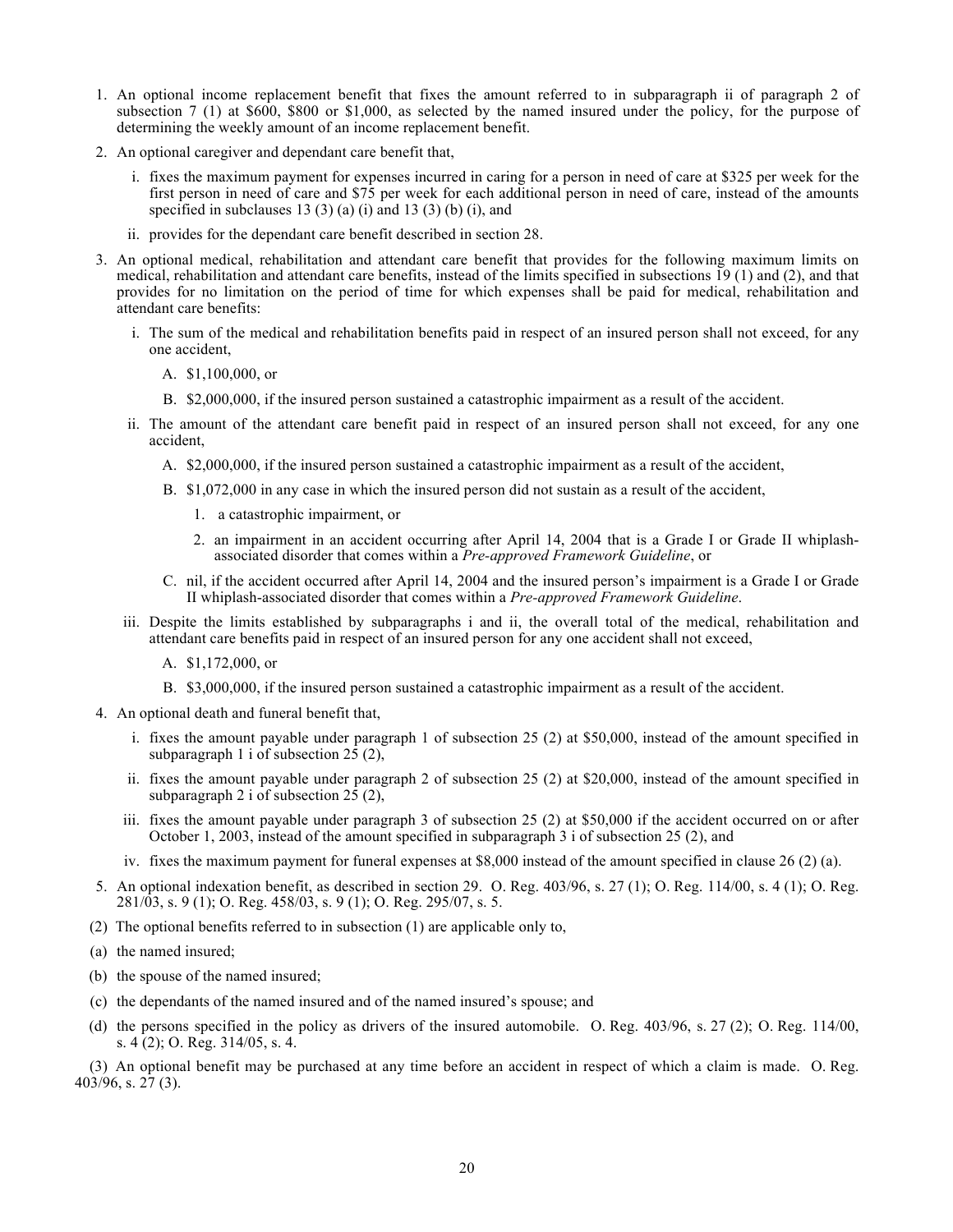- 1. An optional income replacement benefit that fixes the amount referred to in subparagraph ii of paragraph 2 of subsection 7 (1) at \$600, \$800 or \$1,000, as selected by the named insured under the policy, for the purpose of determining the weekly amount of an income replacement benefit.
- 2. An optional caregiver and dependant care benefit that,
	- i. fixes the maximum payment for expenses incurred in caring for a person in need of care at \$325 per week for the first person in need of care and \$75 per week for each additional person in need of care, instead of the amounts specified in subclauses 13 (3) (a) (i) and 13 (3) (b) (i), and
	- ii. provides for the dependant care benefit described in section 28.
- 3. An optional medical, rehabilitation and attendant care benefit that provides for the following maximum limits on medical, rehabilitation and attendant care benefits, instead of the limits specified in subsections 19 (1) and (2), and that provides for no limitation on the period of time for which expenses shall be paid for medical, rehabilitation and attendant care benefits:
	- i. The sum of the medical and rehabilitation benefits paid in respect of an insured person shall not exceed, for any one accident,
		- A. \$1,100,000, or
		- B. \$2,000,000, if the insured person sustained a catastrophic impairment as a result of the accident.
	- ii. The amount of the attendant care benefit paid in respect of an insured person shall not exceed, for any one accident,
		- A. \$2,000,000, if the insured person sustained a catastrophic impairment as a result of the accident,
		- B. \$1,072,000 in any case in which the insured person did not sustain as a result of the accident,
			- 1. a catastrophic impairment, or
			- 2. an impairment in an accident occurring after April 14, 2004 that is a Grade I or Grade II whiplashassociated disorder that comes within a *Pre-approved Framework Guideline*, or
		- C. nil, if the accident occurred after April 14, 2004 and the insured person's impairment is a Grade I or Grade II whiplash-associated disorder that comes within a *Pre-approved Framework Guideline*.
	- iii. Despite the limits established by subparagraphs i and ii, the overall total of the medical, rehabilitation and attendant care benefits paid in respect of an insured person for any one accident shall not exceed,
		- A. \$1,172,000, or
		- B. \$3,000,000, if the insured person sustained a catastrophic impairment as a result of the accident.
- 4. An optional death and funeral benefit that,
	- i. fixes the amount payable under paragraph 1 of subsection 25 (2) at \$50,000, instead of the amount specified in subparagraph 1 i of subsection 25 (2),
	- ii. fixes the amount payable under paragraph 2 of subsection 25 (2) at \$20,000, instead of the amount specified in subparagraph 2 i of subsection 25 (2),
	- iii. fixes the amount payable under paragraph 3 of subsection 25 (2) at \$50,000 if the accident occurred on or after October 1, 2003, instead of the amount specified in subparagraph 3 i of subsection 25 (2), and
	- iv. fixes the maximum payment for funeral expenses at \$8,000 instead of the amount specified in clause 26 (2) (a).
- 5. An optional indexation benefit, as described in section 29. O. Reg. 403/96, s. 27 (1); O. Reg. 114/00, s. 4 (1); O. Reg. 281/03, s. 9 (1); O. Reg. 458/03, s. 9 (1); O. Reg. 295/07, s. 5.
- (2) The optional benefits referred to in subsection (1) are applicable only to,
- (a) the named insured;
- (b) the spouse of the named insured;
- (c) the dependants of the named insured and of the named insured's spouse; and
- (d) the persons specified in the policy as drivers of the insured automobile. O. Reg. 403/96, s. 27 (2); O. Reg. 114/00, s. 4 (2); O. Reg. 314/05, s. 4.

(3) An optional benefit may be purchased at any time before an accident in respect of which a claim is made. O. Reg. 403/96, s. 27 (3).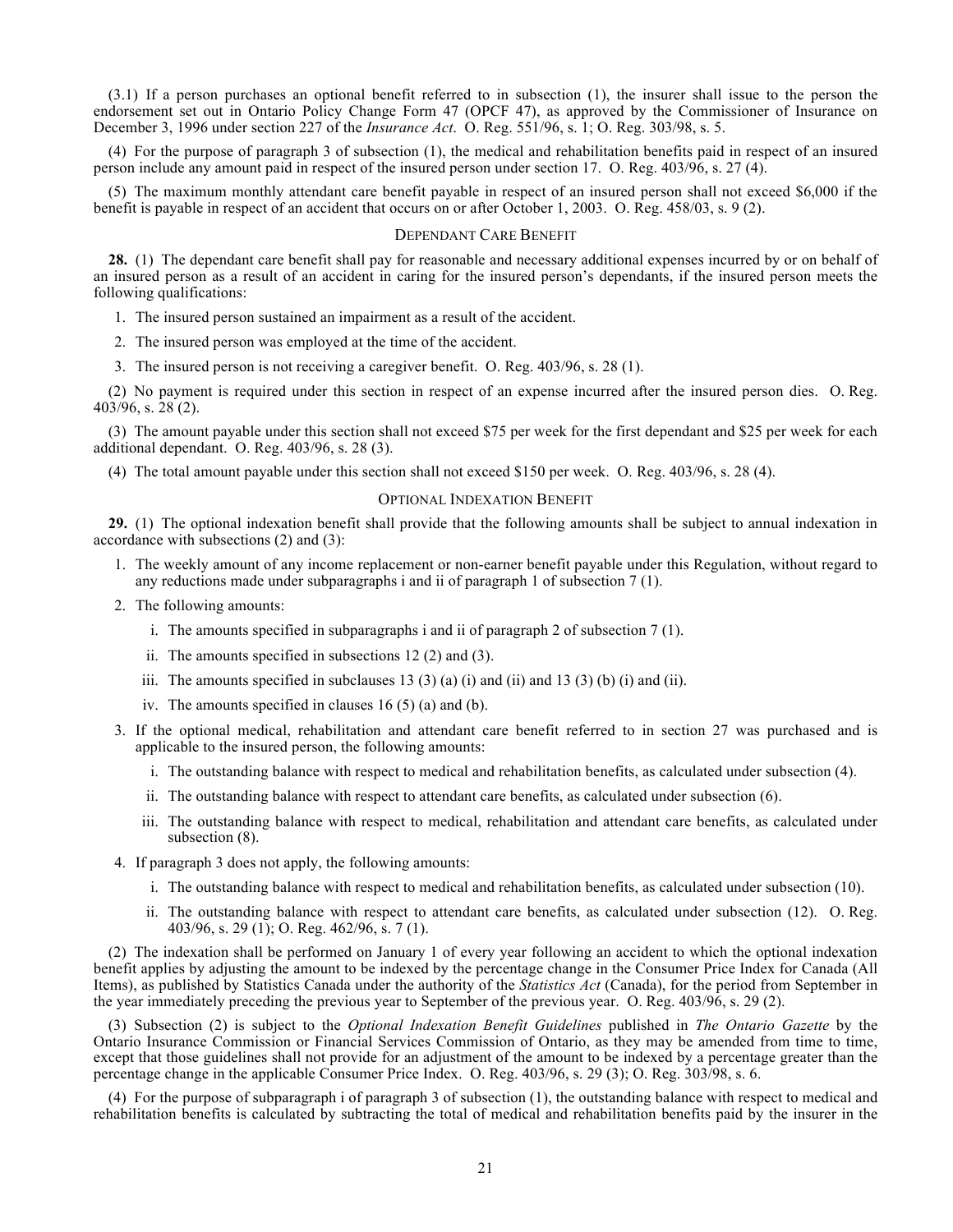(3.1) If a person purchases an optional benefit referred to in subsection (1), the insurer shall issue to the person the endorsement set out in Ontario Policy Change Form 47 (OPCF 47), as approved by the Commissioner of Insurance on December 3, 1996 under section 227 of the *Insurance Act*. O. Reg. 551/96, s. 1; O. Reg. 303/98, s. 5.

(4) For the purpose of paragraph 3 of subsection (1), the medical and rehabilitation benefits paid in respect of an insured person include any amount paid in respect of the insured person under section 17. O. Reg. 403/96, s. 27 (4).

(5) The maximum monthly attendant care benefit payable in respect of an insured person shall not exceed \$6,000 if the benefit is payable in respect of an accident that occurs on or after October 1, 2003. O. Reg. 458/03, s. 9 (2).

## DEPENDANT CARE BENEFIT

**28.** (1) The dependant care benefit shall pay for reasonable and necessary additional expenses incurred by or on behalf of an insured person as a result of an accident in caring for the insured person's dependants, if the insured person meets the following qualifications:

- 1. The insured person sustained an impairment as a result of the accident.
- 2. The insured person was employed at the time of the accident.
- 3. The insured person is not receiving a caregiver benefit. O. Reg. 403/96, s. 28 (1).

(2) No payment is required under this section in respect of an expense incurred after the insured person dies. O. Reg. 403/96, s. 28 (2).

(3) The amount payable under this section shall not exceed \$75 per week for the first dependant and \$25 per week for each additional dependant. O. Reg. 403/96, s. 28 (3).

(4) The total amount payable under this section shall not exceed \$150 per week. O. Reg. 403/96, s. 28 (4).

#### OPTIONAL INDEXATION BENEFIT

**29.** (1) The optional indexation benefit shall provide that the following amounts shall be subject to annual indexation in accordance with subsections (2) and (3):

- 1. The weekly amount of any income replacement or non-earner benefit payable under this Regulation, without regard to any reductions made under subparagraphs i and ii of paragraph 1 of subsection 7 (1).
- 2. The following amounts:
	- i. The amounts specified in subparagraphs i and ii of paragraph 2 of subsection 7 (1).
	- ii. The amounts specified in subsections 12 (2) and (3).
	- iii. The amounts specified in subclauses  $13(3)(a)(i)$  and  $(ii)$  and  $13(3)(b)(i)$  and  $(ii)$ .
	- iv. The amounts specified in clauses 16 (5) (a) and (b).
- 3. If the optional medical, rehabilitation and attendant care benefit referred to in section 27 was purchased and is applicable to the insured person, the following amounts:
	- i. The outstanding balance with respect to medical and rehabilitation benefits, as calculated under subsection (4).
	- ii. The outstanding balance with respect to attendant care benefits, as calculated under subsection (6).
	- iii. The outstanding balance with respect to medical, rehabilitation and attendant care benefits, as calculated under subsection (8).
- 4. If paragraph 3 does not apply, the following amounts:
	- i. The outstanding balance with respect to medical and rehabilitation benefits, as calculated under subsection (10).
	- ii. The outstanding balance with respect to attendant care benefits, as calculated under subsection (12). O. Reg. 403/96, s. 29 (1); O. Reg. 462/96, s. 7 (1).

(2) The indexation shall be performed on January 1 of every year following an accident to which the optional indexation benefit applies by adjusting the amount to be indexed by the percentage change in the Consumer Price Index for Canada (All Items), as published by Statistics Canada under the authority of the *Statistics Act* (Canada), for the period from September in the year immediately preceding the previous year to September of the previous year. O. Reg. 403/96, s. 29 (2).

(3) Subsection (2) is subject to the *Optional Indexation Benefit Guidelines* published in *The Ontario Gazette* by the Ontario Insurance Commission or Financial Services Commission of Ontario, as they may be amended from time to time, except that those guidelines shall not provide for an adjustment of the amount to be indexed by a percentage greater than the percentage change in the applicable Consumer Price Index. O. Reg. 403/96, s. 29 (3); O. Reg. 303/98, s. 6.

(4) For the purpose of subparagraph i of paragraph 3 of subsection (1), the outstanding balance with respect to medical and rehabilitation benefits is calculated by subtracting the total of medical and rehabilitation benefits paid by the insurer in the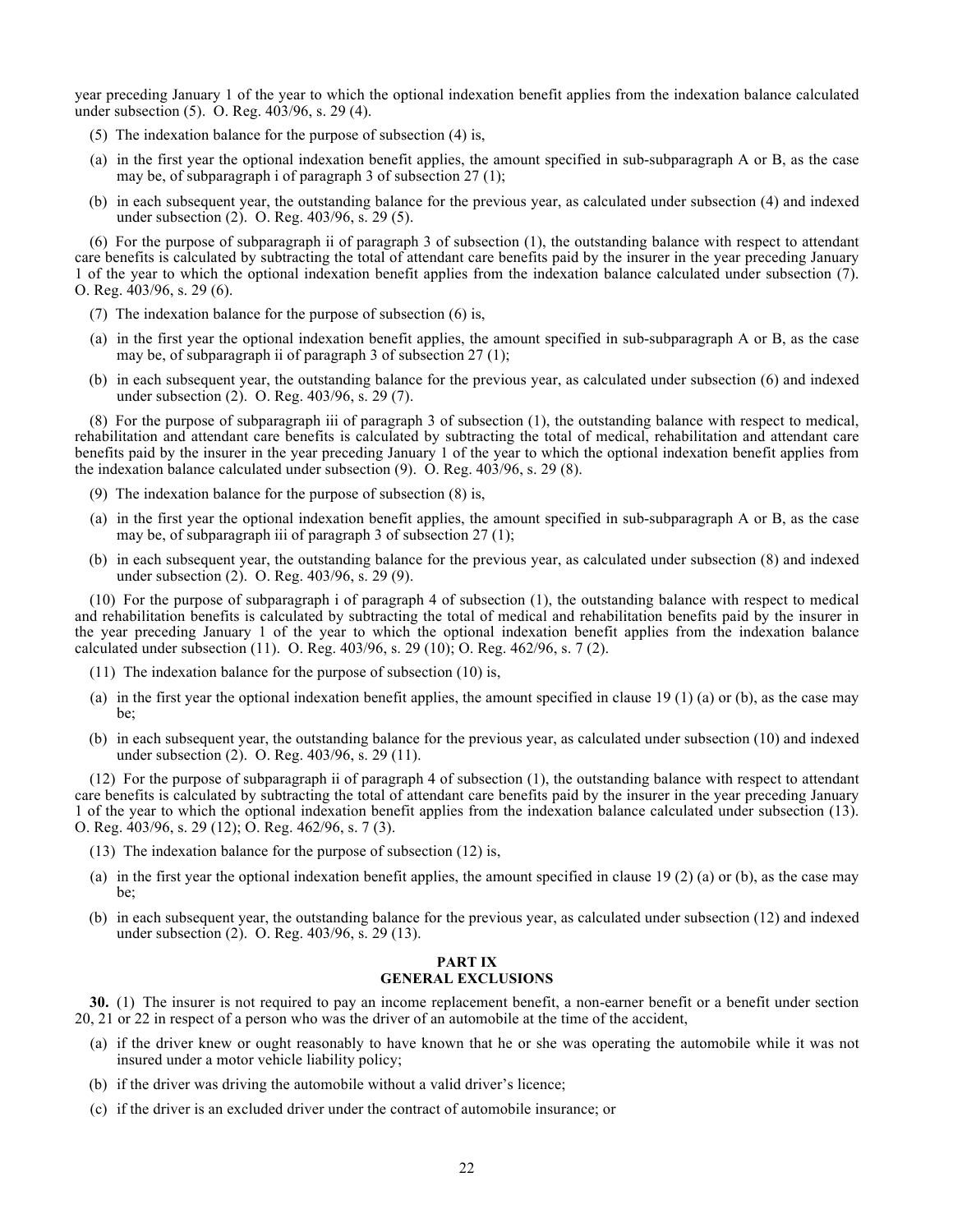year preceding January 1 of the year to which the optional indexation benefit applies from the indexation balance calculated under subsection (5). O. Reg. 403/96, s. 29 (4).

- (5) The indexation balance for the purpose of subsection (4) is,
- (a) in the first year the optional indexation benefit applies, the amount specified in sub-subparagraph A or B, as the case may be, of subparagraph i of paragraph 3 of subsection 27 (1);
- (b) in each subsequent year, the outstanding balance for the previous year, as calculated under subsection (4) and indexed under subsection (2). O. Reg. 403/96, s. 29 (5).

(6) For the purpose of subparagraph ii of paragraph 3 of subsection (1), the outstanding balance with respect to attendant care benefits is calculated by subtracting the total of attendant care benefits paid by the insurer in the year preceding January 1 of the year to which the optional indexation benefit applies from the indexation balance calculated under subsection (7). O. Reg. 403/96, s. 29 (6).

- (7) The indexation balance for the purpose of subsection (6) is,
- (a) in the first year the optional indexation benefit applies, the amount specified in sub-subparagraph A or B, as the case may be, of subparagraph ii of paragraph 3 of subsection 27 (1);
- (b) in each subsequent year, the outstanding balance for the previous year, as calculated under subsection (6) and indexed under subsection (2). O. Reg. 403/96, s. 29 (7).

(8) For the purpose of subparagraph iii of paragraph 3 of subsection (1), the outstanding balance with respect to medical, rehabilitation and attendant care benefits is calculated by subtracting the total of medical, rehabilitation and attendant care benefits paid by the insurer in the year preceding January 1 of the year to which the optional indexation benefit applies from the indexation balance calculated under subsection (9). O. Reg. 403/96, s. 29 (8).

- (9) The indexation balance for the purpose of subsection (8) is,
- (a) in the first year the optional indexation benefit applies, the amount specified in sub-subparagraph A or B, as the case may be, of subparagraph iii of paragraph 3 of subsection 27 (1);
- (b) in each subsequent year, the outstanding balance for the previous year, as calculated under subsection (8) and indexed under subsection (2). O. Reg. 403/96, s. 29 (9).

(10) For the purpose of subparagraph i of paragraph 4 of subsection (1), the outstanding balance with respect to medical and rehabilitation benefits is calculated by subtracting the total of medical and rehabilitation benefits paid by the insurer in the year preceding January 1 of the year to which the optional indexation benefit applies from the indexation balance calculated under subsection (11). O. Reg. 403/96, s. 29 (10); O. Reg. 462/96, s. 7 (2).

- (11) The indexation balance for the purpose of subsection (10) is,
- (a) in the first year the optional indexation benefit applies, the amount specified in clause 19 (1) (a) or (b), as the case may be;
- (b) in each subsequent year, the outstanding balance for the previous year, as calculated under subsection (10) and indexed under subsection (2). O. Reg. 403/96, s. 29 (11).

(12) For the purpose of subparagraph ii of paragraph 4 of subsection (1), the outstanding balance with respect to attendant care benefits is calculated by subtracting the total of attendant care benefits paid by the insurer in the year preceding January 1 of the year to which the optional indexation benefit applies from the indexation balance calculated under subsection (13). O. Reg. 403/96, s. 29 (12); O. Reg. 462/96, s. 7 (3).

- (13) The indexation balance for the purpose of subsection (12) is,
- (a) in the first year the optional indexation benefit applies, the amount specified in clause 19 (2) (a) or (b), as the case may be;
- (b) in each subsequent year, the outstanding balance for the previous year, as calculated under subsection (12) and indexed under subsection (2). O. Reg. 403/96, s. 29 (13).

## **PART IX GENERAL EXCLUSIONS**

**30.** (1) The insurer is not required to pay an income replacement benefit, a non-earner benefit or a benefit under section 20, 21 or 22 in respect of a person who was the driver of an automobile at the time of the accident,

- (a) if the driver knew or ought reasonably to have known that he or she was operating the automobile while it was not insured under a motor vehicle liability policy;
- (b) if the driver was driving the automobile without a valid driver's licence;
- (c) if the driver is an excluded driver under the contract of automobile insurance; or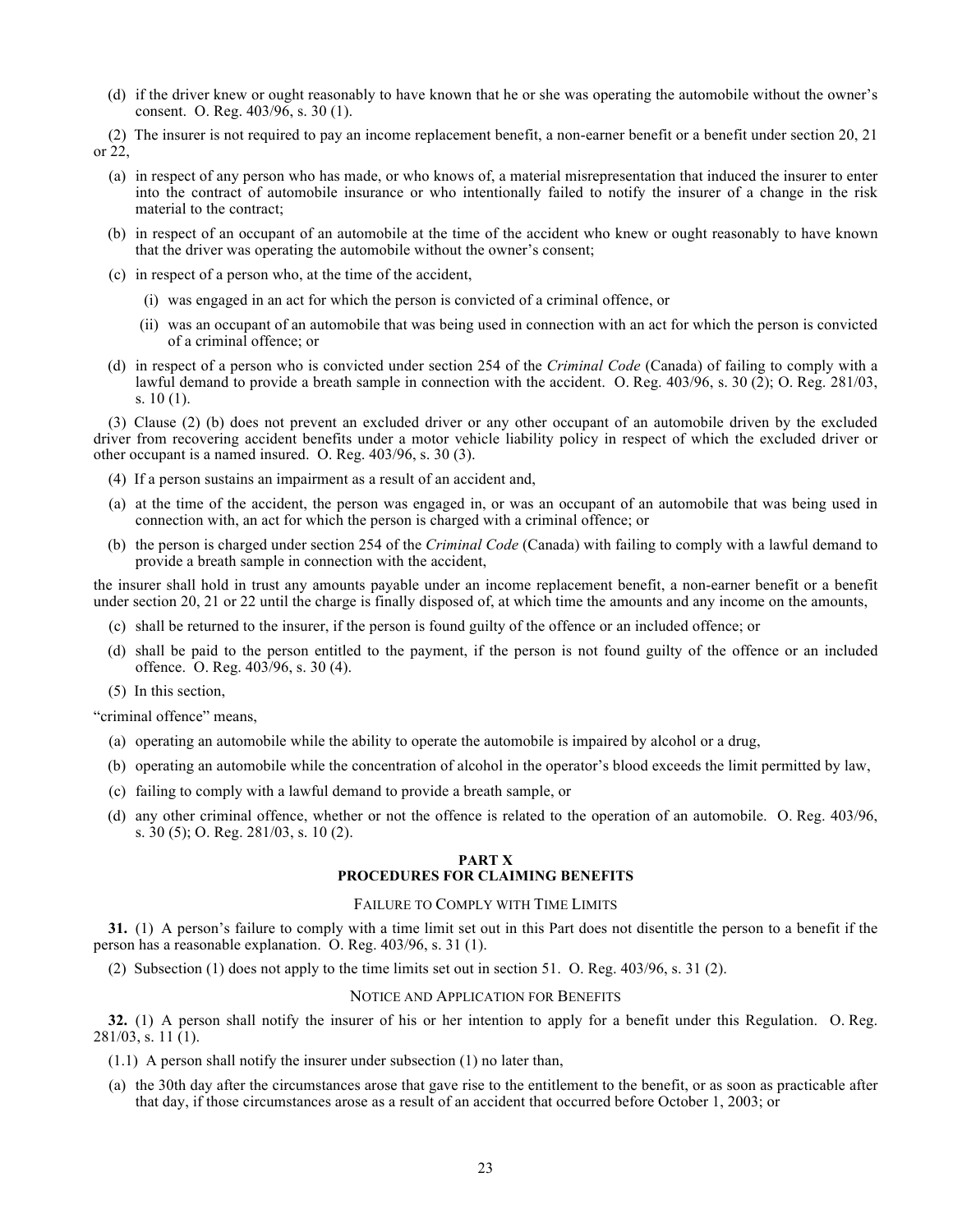- (d) if the driver knew or ought reasonably to have known that he or she was operating the automobile without the owner's consent. O. Reg. 403/96, s. 30 (1).
- (2) The insurer is not required to pay an income replacement benefit, a non-earner benefit or a benefit under section 20, 21 or 22,
	- (a) in respect of any person who has made, or who knows of, a material misrepresentation that induced the insurer to enter into the contract of automobile insurance or who intentionally failed to notify the insurer of a change in the risk material to the contract;
	- (b) in respect of an occupant of an automobile at the time of the accident who knew or ought reasonably to have known that the driver was operating the automobile without the owner's consent;
	- (c) in respect of a person who, at the time of the accident,
		- (i) was engaged in an act for which the person is convicted of a criminal offence, or
		- (ii) was an occupant of an automobile that was being used in connection with an act for which the person is convicted of a criminal offence; or
	- (d) in respect of a person who is convicted under section 254 of the *Criminal Code* (Canada) of failing to comply with a lawful demand to provide a breath sample in connection with the accident. O. Reg. 403/96, s. 30 (2); O. Reg. 281/03, s. 10 (1).

(3) Clause (2) (b) does not prevent an excluded driver or any other occupant of an automobile driven by the excluded driver from recovering accident benefits under a motor vehicle liability policy in respect of which the excluded driver or other occupant is a named insured. O. Reg. 403/96, s. 30 (3).

- (4) If a person sustains an impairment as a result of an accident and,
- (a) at the time of the accident, the person was engaged in, or was an occupant of an automobile that was being used in connection with, an act for which the person is charged with a criminal offence; or
- (b) the person is charged under section 254 of the *Criminal Code* (Canada) with failing to comply with a lawful demand to provide a breath sample in connection with the accident,

the insurer shall hold in trust any amounts payable under an income replacement benefit, a non-earner benefit or a benefit under section 20, 21 or 22 until the charge is finally disposed of, at which time the amounts and any income on the amounts,

- (c) shall be returned to the insurer, if the person is found guilty of the offence or an included offence; or
- (d) shall be paid to the person entitled to the payment, if the person is not found guilty of the offence or an included offence. O. Reg. 403/96, s. 30 (4).
- (5) In this section,

"criminal offence" means,

- (a) operating an automobile while the ability to operate the automobile is impaired by alcohol or a drug,
- (b) operating an automobile while the concentration of alcohol in the operator's blood exceeds the limit permitted by law,
- (c) failing to comply with a lawful demand to provide a breath sample, or
- (d) any other criminal offence, whether or not the offence is related to the operation of an automobile. O. Reg. 403/96, s. 30 (5); O. Reg. 281/03, s. 10 (2).

#### **PART X PROCEDURES FOR CLAIMING BENEFITS**

#### FAILURE TO COMPLY WITH TIME LIMITS

**31.** (1) A person's failure to comply with a time limit set out in this Part does not disentitle the person to a benefit if the person has a reasonable explanation. O. Reg. 403/96, s. 31 (1).

(2) Subsection (1) does not apply to the time limits set out in section 51. O. Reg. 403/96, s. 31 (2).

## NOTICE AND APPLICATION FOR BENEFITS

**32.** (1) A person shall notify the insurer of his or her intention to apply for a benefit under this Regulation. O. Reg. 281/03, s. 11 (1).

- (1.1) A person shall notify the insurer under subsection (1) no later than,
- (a) the 30th day after the circumstances arose that gave rise to the entitlement to the benefit, or as soon as practicable after that day, if those circumstances arose as a result of an accident that occurred before October 1, 2003; or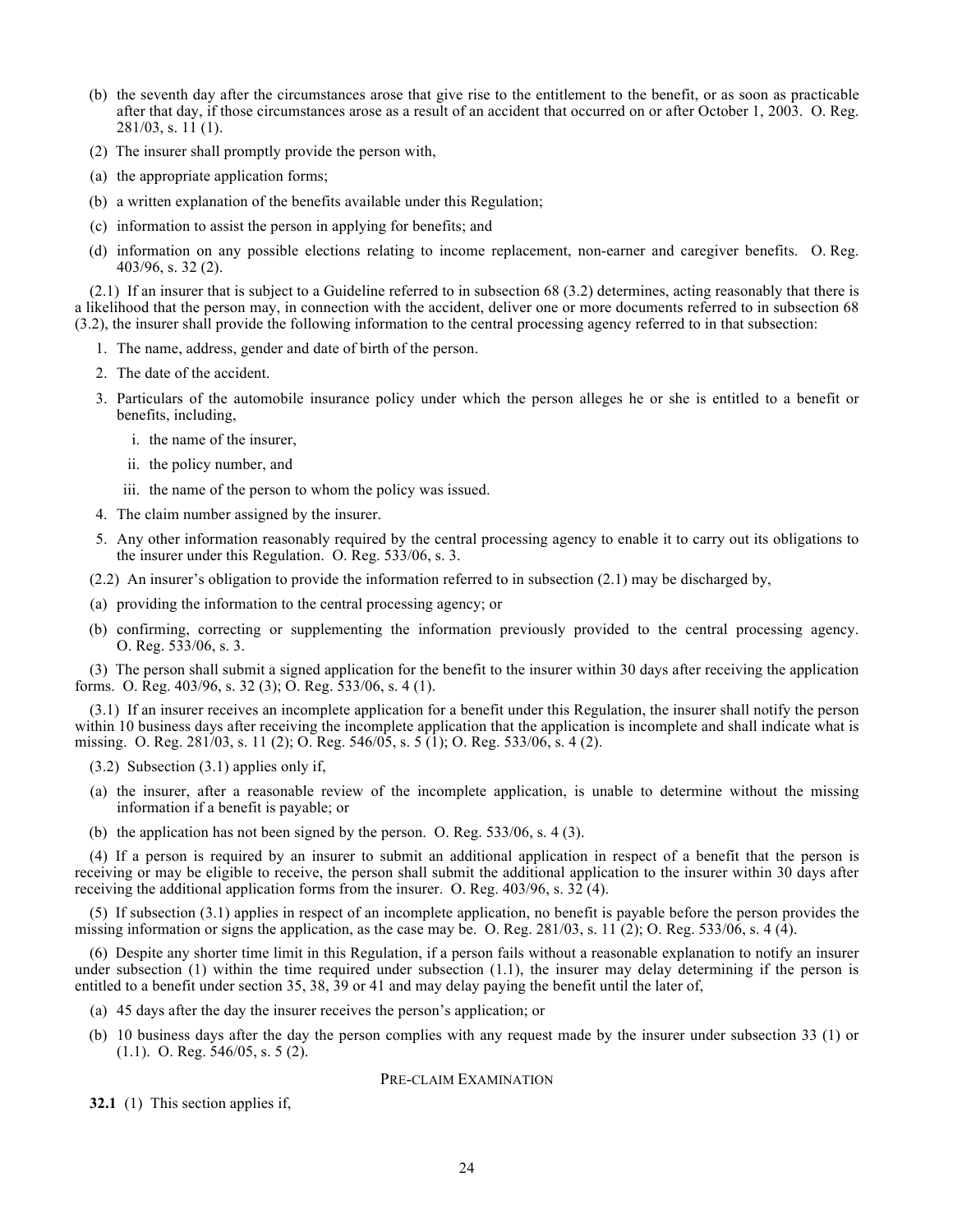- (b) the seventh day after the circumstances arose that give rise to the entitlement to the benefit, or as soon as practicable after that day, if those circumstances arose as a result of an accident that occurred on or after October 1, 2003. O. Reg.  $281/03$ , s. 11 (1).
- (2) The insurer shall promptly provide the person with,
- (a) the appropriate application forms;
- (b) a written explanation of the benefits available under this Regulation;
- (c) information to assist the person in applying for benefits; and
- (d) information on any possible elections relating to income replacement, non-earner and caregiver benefits. O. Reg. 403/96, s. 32 (2).

(2.1) If an insurer that is subject to a Guideline referred to in subsection 68 (3.2) determines, acting reasonably that there is a likelihood that the person may, in connection with the accident, deliver one or more documents referred to in subsection 68 (3.2), the insurer shall provide the following information to the central processing agency referred to in that subsection:

- 1. The name, address, gender and date of birth of the person.
- 2. The date of the accident.
- 3. Particulars of the automobile insurance policy under which the person alleges he or she is entitled to a benefit or benefits, including,
	- i. the name of the insurer,
	- ii. the policy number, and
	- iii. the name of the person to whom the policy was issued.
- 4. The claim number assigned by the insurer.
- 5. Any other information reasonably required by the central processing agency to enable it to carry out its obligations to the insurer under this Regulation. O. Reg. 533/06, s. 3.
- (2.2) An insurer's obligation to provide the information referred to in subsection (2.1) may be discharged by,
- (a) providing the information to the central processing agency; or
- (b) confirming, correcting or supplementing the information previously provided to the central processing agency. O. Reg. 533/06, s. 3.

(3) The person shall submit a signed application for the benefit to the insurer within 30 days after receiving the application forms. O. Reg. 403/96, s. 32 (3); O. Reg. 533/06, s. 4 (1).

(3.1) If an insurer receives an incomplete application for a benefit under this Regulation, the insurer shall notify the person within 10 business days after receiving the incomplete application that the application is incomplete and shall indicate what is missing. O. Reg. 281/03, s. 11 (2); O. Reg. 546/05, s. 5 (1); O. Reg. 533/06, s. 4 (2).

(3.2) Subsection (3.1) applies only if,

- (a) the insurer, after a reasonable review of the incomplete application, is unable to determine without the missing information if a benefit is payable; or
- (b) the application has not been signed by the person. O. Reg. 533/06, s. 4 (3).

(4) If a person is required by an insurer to submit an additional application in respect of a benefit that the person is receiving or may be eligible to receive, the person shall submit the additional application to the insurer within 30 days after receiving the additional application forms from the insurer. O. Reg.  $403/96$ , s.  $32(4)$ .

(5) If subsection (3.1) applies in respect of an incomplete application, no benefit is payable before the person provides the missing information or signs the application, as the case may be. O. Reg. 281/03, s. 11 (2); O. Reg. 533/06, s. 4 (4).

(6) Despite any shorter time limit in this Regulation, if a person fails without a reasonable explanation to notify an insurer under subsection  $(1)$  within the time required under subsection  $(1,1)$ , the insurer may delay determining if the person is entitled to a benefit under section 35, 38, 39 or 41 and may delay paying the benefit until the later of,

- (a) 45 days after the day the insurer receives the person's application; or
- (b) 10 business days after the day the person complies with any request made by the insurer under subsection 33 (1) or (1.1). O. Reg. 546/05, s. 5 (2).

## PRE-CLAIM EXAMINATION

**32.1** (1) This section applies if,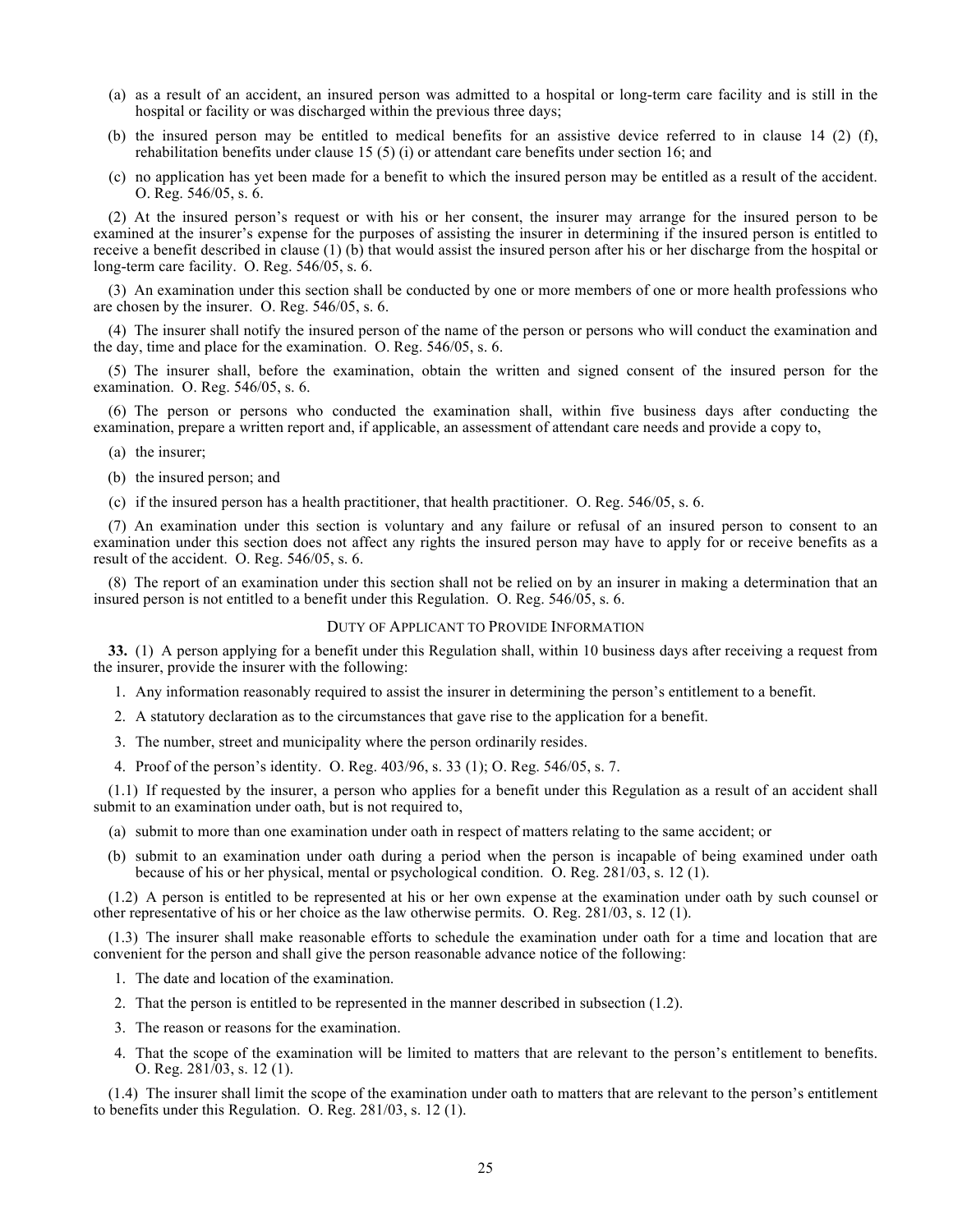- (a) as a result of an accident, an insured person was admitted to a hospital or long-term care facility and is still in the hospital or facility or was discharged within the previous three days;
- (b) the insured person may be entitled to medical benefits for an assistive device referred to in clause 14 (2) (f), rehabilitation benefits under clause 15 (5) (i) or attendant care benefits under section 16; and
- (c) no application has yet been made for a benefit to which the insured person may be entitled as a result of the accident. O. Reg. 546/05, s. 6.

(2) At the insured person's request or with his or her consent, the insurer may arrange for the insured person to be examined at the insurer's expense for the purposes of assisting the insurer in determining if the insured person is entitled to receive a benefit described in clause (1) (b) that would assist the insured person after his or her discharge from the hospital or long-term care facility. O. Reg. 546/05, s. 6.

(3) An examination under this section shall be conducted by one or more members of one or more health professions who are chosen by the insurer. O. Reg. 546/05, s. 6.

(4) The insurer shall notify the insured person of the name of the person or persons who will conduct the examination and the day, time and place for the examination. O. Reg. 546/05, s. 6.

(5) The insurer shall, before the examination, obtain the written and signed consent of the insured person for the examination. O. Reg. 546/05, s. 6.

(6) The person or persons who conducted the examination shall, within five business days after conducting the examination, prepare a written report and, if applicable, an assessment of attendant care needs and provide a copy to,

- (a) the insurer;
- (b) the insured person; and
- (c) if the insured person has a health practitioner, that health practitioner. O. Reg. 546/05, s. 6.

(7) An examination under this section is voluntary and any failure or refusal of an insured person to consent to an examination under this section does not affect any rights the insured person may have to apply for or receive benefits as a result of the accident. O. Reg. 546/05, s. 6.

(8) The report of an examination under this section shall not be relied on by an insurer in making a determination that an insured person is not entitled to a benefit under this Regulation. O. Reg. 546/05, s. 6.

#### DUTY OF APPLICANT TO PROVIDE INFORMATION

**33.** (1) A person applying for a benefit under this Regulation shall, within 10 business days after receiving a request from the insurer, provide the insurer with the following:

- 1. Any information reasonably required to assist the insurer in determining the person's entitlement to a benefit.
- 2. A statutory declaration as to the circumstances that gave rise to the application for a benefit.
- 3. The number, street and municipality where the person ordinarily resides.
- 4. Proof of the person's identity. O. Reg. 403/96, s. 33 (1); O. Reg. 546/05, s. 7.

(1.1) If requested by the insurer, a person who applies for a benefit under this Regulation as a result of an accident shall submit to an examination under oath, but is not required to,

- (a) submit to more than one examination under oath in respect of matters relating to the same accident; or
- (b) submit to an examination under oath during a period when the person is incapable of being examined under oath because of his or her physical, mental or psychological condition. O. Reg. 281/03, s. 12 (1).

(1.2) A person is entitled to be represented at his or her own expense at the examination under oath by such counsel or other representative of his or her choice as the law otherwise permits. O. Reg. 281/03, s. 12 (1).

(1.3) The insurer shall make reasonable efforts to schedule the examination under oath for a time and location that are convenient for the person and shall give the person reasonable advance notice of the following:

- 1. The date and location of the examination.
- 2. That the person is entitled to be represented in the manner described in subsection (1.2).
- 3. The reason or reasons for the examination.
- 4. That the scope of the examination will be limited to matters that are relevant to the person's entitlement to benefits. O. Reg. 281/03, s. 12 (1).

(1.4) The insurer shall limit the scope of the examination under oath to matters that are relevant to the person's entitlement to benefits under this Regulation. O. Reg. 281/03, s. 12 (1).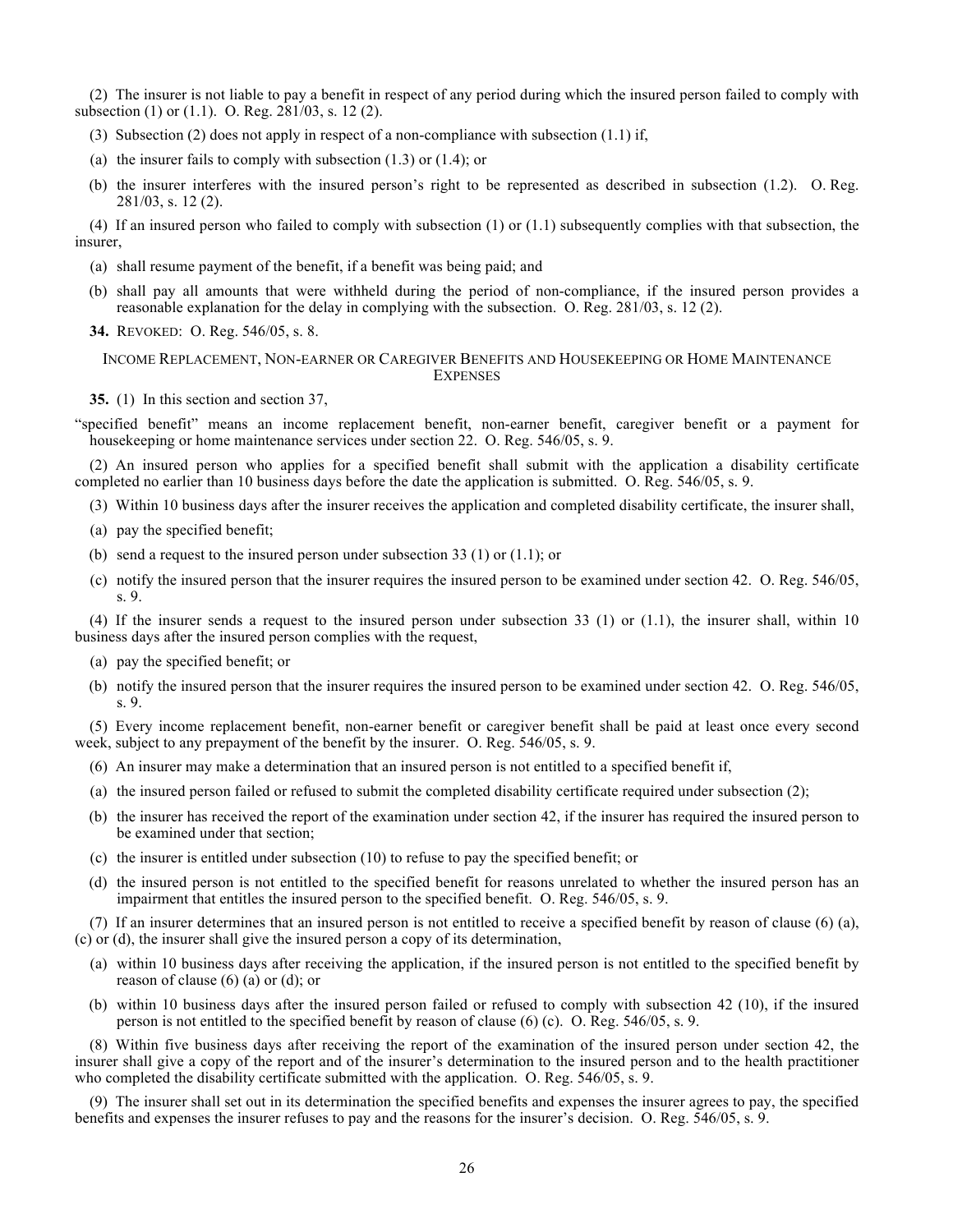(2) The insurer is not liable to pay a benefit in respect of any period during which the insured person failed to comply with subsection (1) or (1.1). O. Reg. 281/03, s. 12 (2).

- (3) Subsection (2) does not apply in respect of a non-compliance with subsection (1.1) if,
- (a) the insurer fails to comply with subsection  $(1.3)$  or  $(1.4)$ ; or
- (b) the insurer interferes with the insured person's right to be represented as described in subsection (1.2). O. Reg. 281/03, s. 12 (2).

(4) If an insured person who failed to comply with subsection (1) or (1.1) subsequently complies with that subsection, the insurer,

- (a) shall resume payment of the benefit, if a benefit was being paid; and
- (b) shall pay all amounts that were withheld during the period of non-compliance, if the insured person provides a reasonable explanation for the delay in complying with the subsection. O. Reg. 281/03, s. 12 (2).
- **34.** REVOKED: O. Reg. 546/05, s. 8.

INCOME REPLACEMENT, NON-EARNER OR CAREGIVER BENEFITS AND HOUSEKEEPING OR HOME MAINTENANCE EXPENSES

**35.** (1) In this section and section 37,

"specified benefit" means an income replacement benefit, non-earner benefit, caregiver benefit or a payment for housekeeping or home maintenance services under section 22. O. Reg. 546/05, s. 9.

(2) An insured person who applies for a specified benefit shall submit with the application a disability certificate completed no earlier than 10 business days before the date the application is submitted. O. Reg. 546/05, s. 9.

- (3) Within 10 business days after the insurer receives the application and completed disability certificate, the insurer shall,
- (a) pay the specified benefit;
- (b) send a request to the insured person under subsection 33 (1) or  $(1.1)$ ; or
- (c) notify the insured person that the insurer requires the insured person to be examined under section 42. O. Reg. 546/05, s. 9.

(4) If the insurer sends a request to the insured person under subsection 33 (1) or (1.1), the insurer shall, within 10 business days after the insured person complies with the request,

- (a) pay the specified benefit; or
- (b) notify the insured person that the insurer requires the insured person to be examined under section 42. O. Reg. 546/05, s. 9.

(5) Every income replacement benefit, non-earner benefit or caregiver benefit shall be paid at least once every second week, subject to any prepayment of the benefit by the insurer. O. Reg. 546/05, s. 9.

- (6) An insurer may make a determination that an insured person is not entitled to a specified benefit if,
- (a) the insured person failed or refused to submit the completed disability certificate required under subsection (2);
- (b) the insurer has received the report of the examination under section 42, if the insurer has required the insured person to be examined under that section;
- (c) the insurer is entitled under subsection (10) to refuse to pay the specified benefit; or
- (d) the insured person is not entitled to the specified benefit for reasons unrelated to whether the insured person has an impairment that entitles the insured person to the specified benefit. O. Reg. 546/05, s. 9.

(7) If an insurer determines that an insured person is not entitled to receive a specified benefit by reason of clause (6) (a), (c) or (d), the insurer shall give the insured person a copy of its determination,

- (a) within 10 business days after receiving the application, if the insured person is not entitled to the specified benefit by reason of clause  $(6)$   $(a)$  or  $(d)$ ; or
- (b) within 10 business days after the insured person failed or refused to comply with subsection 42 (10), if the insured person is not entitled to the specified benefit by reason of clause (6) (c). O. Reg. 546/05, s. 9.

(8) Within five business days after receiving the report of the examination of the insured person under section 42, the insurer shall give a copy of the report and of the insurer's determination to the insured person and to the health practitioner who completed the disability certificate submitted with the application. O. Reg. 546/05, s. 9.

(9) The insurer shall set out in its determination the specified benefits and expenses the insurer agrees to pay, the specified benefits and expenses the insurer refuses to pay and the reasons for the insurer's decision. O. Reg. 546/05, s. 9.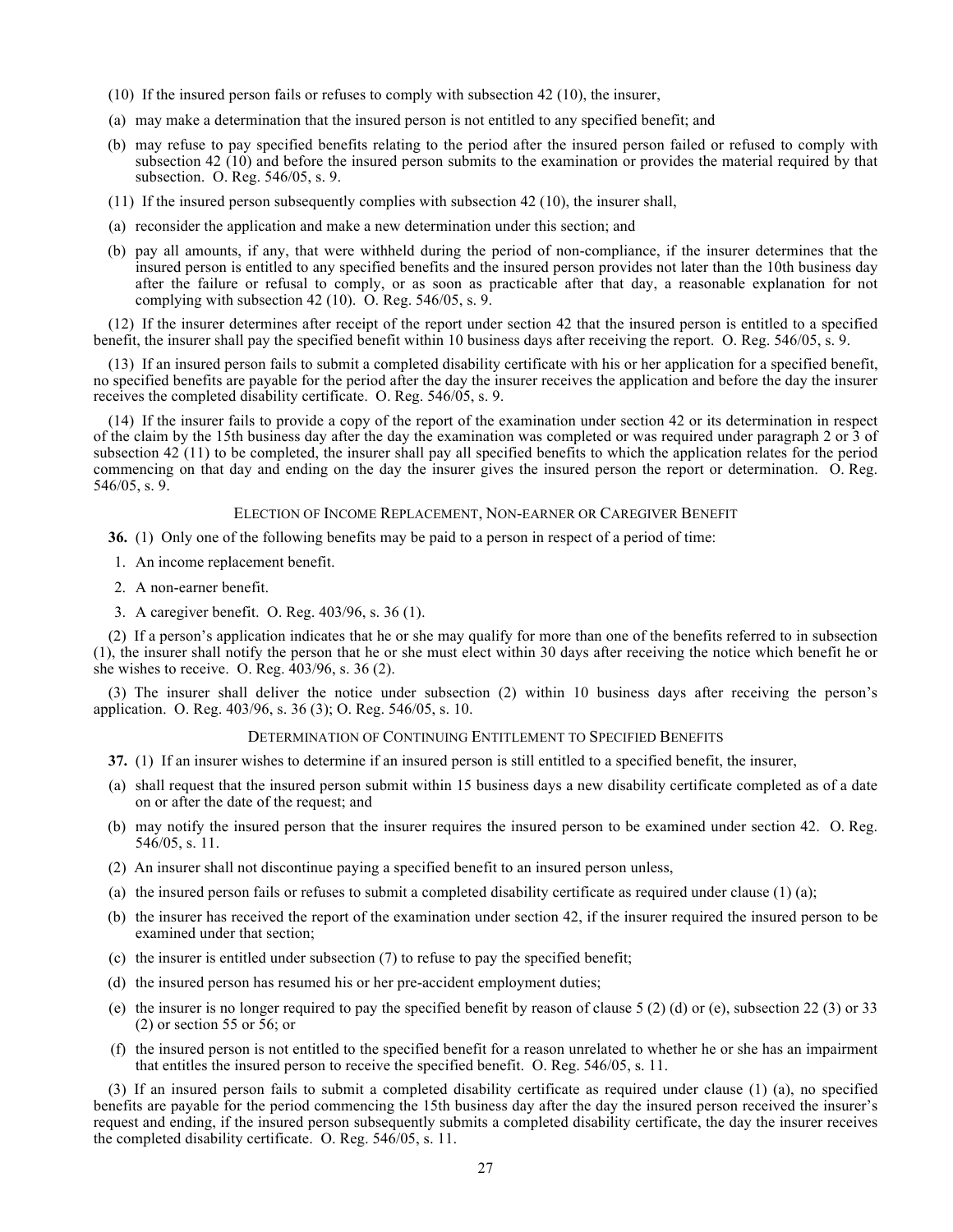- (10) If the insured person fails or refuses to comply with subsection 42 (10), the insurer,
- (a) may make a determination that the insured person is not entitled to any specified benefit; and
- (b) may refuse to pay specified benefits relating to the period after the insured person failed or refused to comply with subsection 42 (10) and before the insured person submits to the examination or provides the material required by that subsection. O. Reg. 546/05, s. 9.
- (11) If the insured person subsequently complies with subsection 42 (10), the insurer shall,
- (a) reconsider the application and make a new determination under this section; and
- (b) pay all amounts, if any, that were withheld during the period of non-compliance, if the insurer determines that the insured person is entitled to any specified benefits and the insured person provides not later than the 10th business day after the failure or refusal to comply, or as soon as practicable after that day, a reasonable explanation for not complying with subsection 42 (10). O. Reg. 546/05, s. 9.

(12) If the insurer determines after receipt of the report under section 42 that the insured person is entitled to a specified benefit, the insurer shall pay the specified benefit within 10 business days after receiving the report. O. Reg. 546/05, s. 9.

(13) If an insured person fails to submit a completed disability certificate with his or her application for a specified benefit, no specified benefits are payable for the period after the day the insurer receives the application and before the day the insurer receives the completed disability certificate. O. Reg. 546/05, s. 9.

(14) If the insurer fails to provide a copy of the report of the examination under section 42 or its determination in respect of the claim by the 15th business day after the day the examination was completed or was required under paragraph 2 or 3 of subsection 42 (11) to be completed, the insurer shall pay all specified benefits to which the application relates for the period commencing on that day and ending on the day the insurer gives the insured person the report or determination. O. Reg. 546/05, s. 9.

## ELECTION OF INCOME REPLACEMENT, NON-EARNER OR CAREGIVER BENEFIT

**36.** (1) Only one of the following benefits may be paid to a person in respect of a period of time:

- 1. An income replacement benefit.
- 2. A non-earner benefit.
- 3. A caregiver benefit. O. Reg. 403/96, s. 36 (1).

(2) If a person's application indicates that he or she may qualify for more than one of the benefits referred to in subsection (1), the insurer shall notify the person that he or she must elect within 30 days after receiving the notice which benefit he or she wishes to receive. O. Reg. 403/96, s. 36 (2).

(3) The insurer shall deliver the notice under subsection (2) within 10 business days after receiving the person's application. O. Reg. 403/96, s. 36 (3); O. Reg. 546/05, s. 10.

## DETERMINATION OF CONTINUING ENTITLEMENT TO SPECIFIED BENEFITS

**37.** (1) If an insurer wishes to determine if an insured person is still entitled to a specified benefit, the insurer,

- (a) shall request that the insured person submit within 15 business days a new disability certificate completed as of a date on or after the date of the request; and
- (b) may notify the insured person that the insurer requires the insured person to be examined under section 42. O. Reg. 546/05, s. 11.
- (2) An insurer shall not discontinue paying a specified benefit to an insured person unless,
- (a) the insured person fails or refuses to submit a completed disability certificate as required under clause  $(1)$  (a);
- (b) the insurer has received the report of the examination under section 42, if the insurer required the insured person to be examined under that section;
- (c) the insurer is entitled under subsection (7) to refuse to pay the specified benefit;
- (d) the insured person has resumed his or her pre-accident employment duties;
- (e) the insurer is no longer required to pay the specified benefit by reason of clause 5 (2) (d) or (e), subsection 22 (3) or 33  $(2)$  or section 55 or 56; or
- (f) the insured person is not entitled to the specified benefit for a reason unrelated to whether he or she has an impairment that entitles the insured person to receive the specified benefit. O. Reg. 546/05, s. 11.

(3) If an insured person fails to submit a completed disability certificate as required under clause (1) (a), no specified benefits are payable for the period commencing the 15th business day after the day the insured person received the insurer's request and ending, if the insured person subsequently submits a completed disability certificate, the day the insurer receives the completed disability certificate. O. Reg. 546/05, s. 11.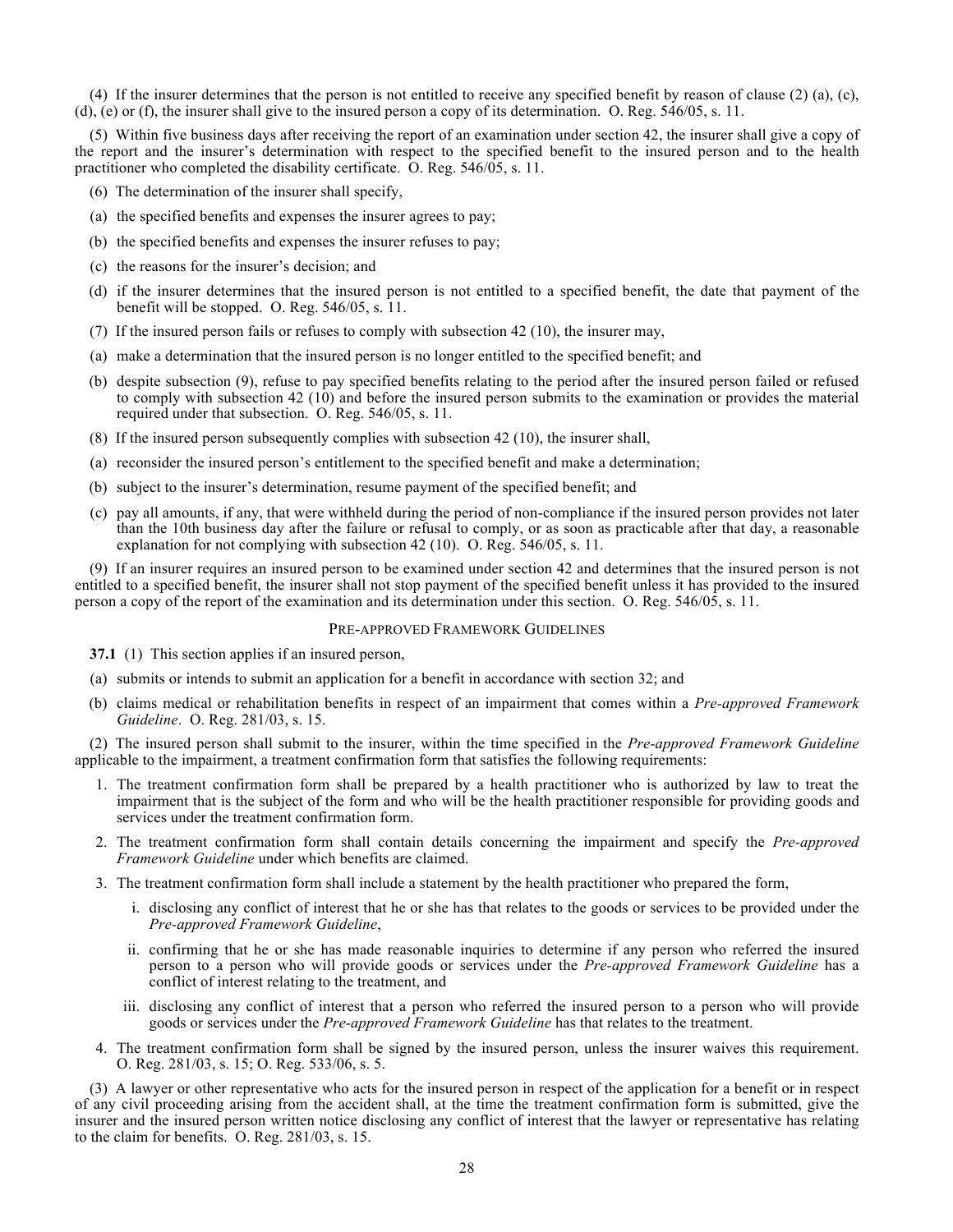(4) If the insurer determines that the person is not entitled to receive any specified benefit by reason of clause (2) (a), (c), (d), (e) or (f), the insurer shall give to the insured person a copy of its determination. O. Reg. 546/05, s. 11.

(5) Within five business days after receiving the report of an examination under section 42, the insurer shall give a copy of the report and the insurer's determination with respect to the specified benefit to the insured person and to the health practitioner who completed the disability certificate. O. Reg. 546/05, s. 11.

- (6) The determination of the insurer shall specify,
- (a) the specified benefits and expenses the insurer agrees to pay;
- (b) the specified benefits and expenses the insurer refuses to pay;
- (c) the reasons for the insurer's decision; and
- (d) if the insurer determines that the insured person is not entitled to a specified benefit, the date that payment of the benefit will be stopped. O. Reg. 546/05, s. 11.
- (7) If the insured person fails or refuses to comply with subsection 42 (10), the insurer may,
- (a) make a determination that the insured person is no longer entitled to the specified benefit; and
- (b) despite subsection (9), refuse to pay specified benefits relating to the period after the insured person failed or refused to comply with subsection 42 (10) and before the insured person submits to the examination or provides the material required under that subsection. O. Reg. 546/05, s. 11.
- (8) If the insured person subsequently complies with subsection 42 (10), the insurer shall,
- (a) reconsider the insured person's entitlement to the specified benefit and make a determination;
- (b) subject to the insurer's determination, resume payment of the specified benefit; and
- (c) pay all amounts, if any, that were withheld during the period of non-compliance if the insured person provides not later than the 10th business day after the failure or refusal to comply, or as soon as practicable after that day, a reasonable explanation for not complying with subsection 42 (10). O. Reg. 546/05, s. 11.

(9) If an insurer requires an insured person to be examined under section 42 and determines that the insured person is not entitled to a specified benefit, the insurer shall not stop payment of the specified benefit unless it has provided to the insured person a copy of the report of the examination and its determination under this section. O. Reg. 546/05, s. 11.

#### PRE-APPROVED FRAMEWORK GUIDELINES

**37.1** (1) This section applies if an insured person,

- (a) submits or intends to submit an application for a benefit in accordance with section 32; and
- (b) claims medical or rehabilitation benefits in respect of an impairment that comes within a *Pre-approved Framework Guideline*. O. Reg. 281/03, s. 15.

(2) The insured person shall submit to the insurer, within the time specified in the *Pre-approved Framework Guideline* applicable to the impairment, a treatment confirmation form that satisfies the following requirements:

- 1. The treatment confirmation form shall be prepared by a health practitioner who is authorized by law to treat the impairment that is the subject of the form and who will be the health practitioner responsible for providing goods and services under the treatment confirmation form.
- 2. The treatment confirmation form shall contain details concerning the impairment and specify the *Pre-approved Framework Guideline* under which benefits are claimed.
- 3. The treatment confirmation form shall include a statement by the health practitioner who prepared the form,
	- i. disclosing any conflict of interest that he or she has that relates to the goods or services to be provided under the *Pre-approved Framework Guideline*,
	- ii. confirming that he or she has made reasonable inquiries to determine if any person who referred the insured person to a person who will provide goods or services under the *Pre-approved Framework Guideline* has a conflict of interest relating to the treatment, and
	- iii. disclosing any conflict of interest that a person who referred the insured person to a person who will provide goods or services under the *Pre-approved Framework Guideline* has that relates to the treatment.
- 4. The treatment confirmation form shall be signed by the insured person, unless the insurer waives this requirement. O. Reg. 281/03, s. 15; O. Reg. 533/06, s. 5.

(3) A lawyer or other representative who acts for the insured person in respect of the application for a benefit or in respect of any civil proceeding arising from the accident shall, at the time the treatment confirmation form is submitted, give the insurer and the insured person written notice disclosing any conflict of interest that the lawyer or representative has relating to the claim for benefits. O. Reg. 281/03, s. 15.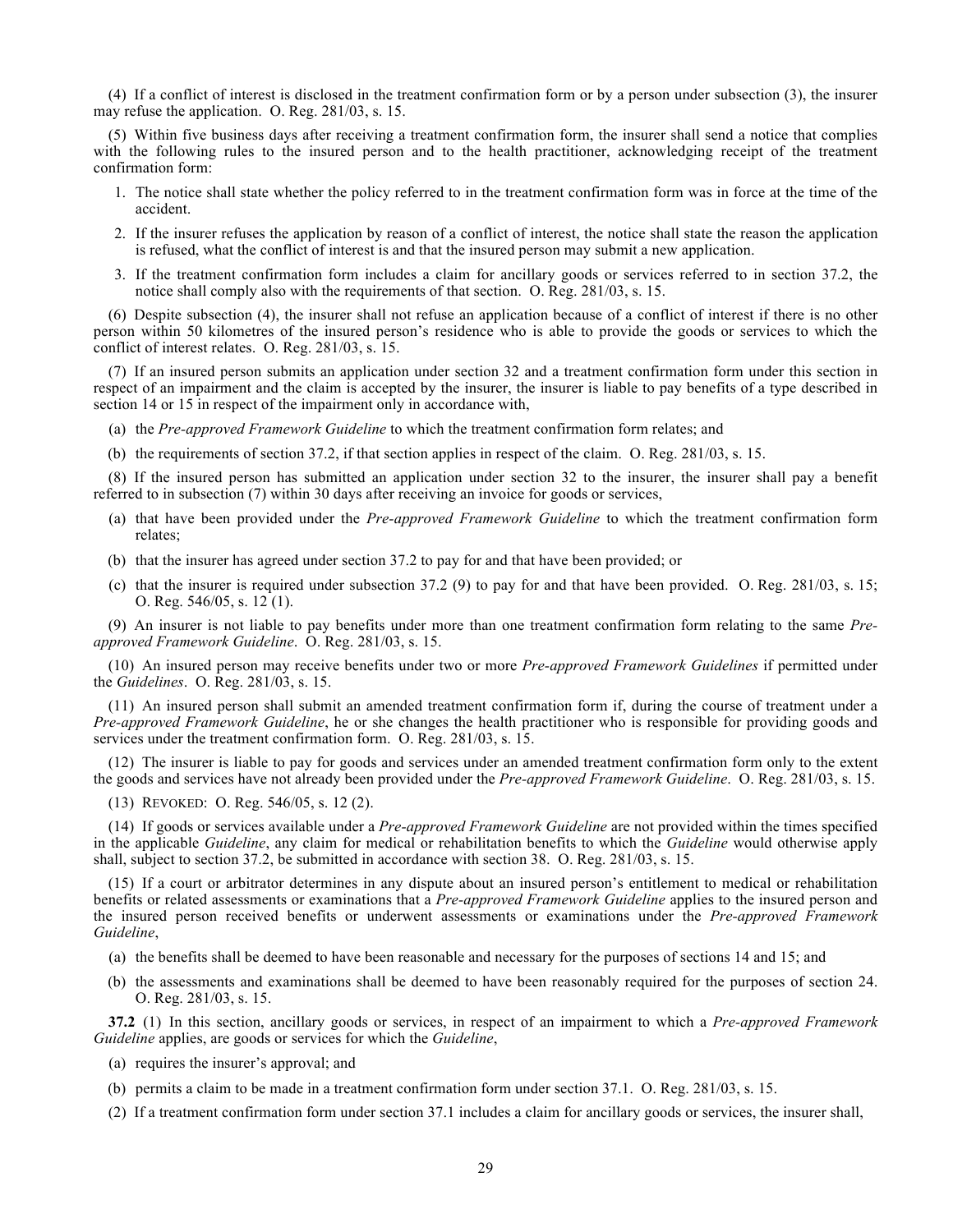(4) If a conflict of interest is disclosed in the treatment confirmation form or by a person under subsection (3), the insurer may refuse the application. O. Reg. 281/03, s. 15.

(5) Within five business days after receiving a treatment confirmation form, the insurer shall send a notice that complies with the following rules to the insured person and to the health practitioner, acknowledging receipt of the treatment confirmation form:

- 1. The notice shall state whether the policy referred to in the treatment confirmation form was in force at the time of the accident.
- 2. If the insurer refuses the application by reason of a conflict of interest, the notice shall state the reason the application is refused, what the conflict of interest is and that the insured person may submit a new application.
- 3. If the treatment confirmation form includes a claim for ancillary goods or services referred to in section 37.2, the notice shall comply also with the requirements of that section. O. Reg. 281/03, s. 15.

(6) Despite subsection (4), the insurer shall not refuse an application because of a conflict of interest if there is no other person within 50 kilometres of the insured person's residence who is able to provide the goods or services to which the conflict of interest relates. O. Reg. 281/03, s. 15.

(7) If an insured person submits an application under section 32 and a treatment confirmation form under this section in respect of an impairment and the claim is accepted by the insurer, the insurer is liable to pay benefits of a type described in section 14 or 15 in respect of the impairment only in accordance with,

- (a) the *Pre-approved Framework Guideline* to which the treatment confirmation form relates; and
- (b) the requirements of section 37.2, if that section applies in respect of the claim. O. Reg. 281/03, s. 15.

(8) If the insured person has submitted an application under section 32 to the insurer, the insurer shall pay a benefit referred to in subsection (7) within 30 days after receiving an invoice for goods or services,

- (a) that have been provided under the *Pre-approved Framework Guideline* to which the treatment confirmation form relates;
- (b) that the insurer has agreed under section 37.2 to pay for and that have been provided; or
- (c) that the insurer is required under subsection 37.2 (9) to pay for and that have been provided. O. Reg. 281/03, s. 15; O. Reg. 546/05, s. 12 (1).

(9) An insurer is not liable to pay benefits under more than one treatment confirmation form relating to the same *Preapproved Framework Guideline*. O. Reg. 281/03, s. 15.

(10) An insured person may receive benefits under two or more *Pre-approved Framework Guidelines* if permitted under the *Guidelines*. O. Reg. 281/03, s. 15.

(11) An insured person shall submit an amended treatment confirmation form if, during the course of treatment under a *Pre-approved Framework Guideline*, he or she changes the health practitioner who is responsible for providing goods and services under the treatment confirmation form. O. Reg. 281/03, s. 15.

(12) The insurer is liable to pay for goods and services under an amended treatment confirmation form only to the extent the goods and services have not already been provided under the *Pre-approved Framework Guideline*. O. Reg. 281/03, s. 15.

(13) REVOKED: O. Reg. 546/05, s. 12 (2).

(14) If goods or services available under a *Pre-approved Framework Guideline* are not provided within the times specified in the applicable *Guideline*, any claim for medical or rehabilitation benefits to which the *Guideline* would otherwise apply shall, subject to section 37.2, be submitted in accordance with section 38. O. Reg. 281/03, s. 15.

(15) If a court or arbitrator determines in any dispute about an insured person's entitlement to medical or rehabilitation benefits or related assessments or examinations that a *Pre-approved Framework Guideline* applies to the insured person and the insured person received benefits or underwent assessments or examinations under the *Pre-approved Framework Guideline*,

- (a) the benefits shall be deemed to have been reasonable and necessary for the purposes of sections 14 and 15; and
- (b) the assessments and examinations shall be deemed to have been reasonably required for the purposes of section 24. O. Reg. 281/03, s. 15.

**37.2** (1) In this section, ancillary goods or services, in respect of an impairment to which a *Pre-approved Framework Guideline* applies, are goods or services for which the *Guideline*,

- (a) requires the insurer's approval; and
- (b) permits a claim to be made in a treatment confirmation form under section 37.1. O. Reg. 281/03, s. 15.
- (2) If a treatment confirmation form under section 37.1 includes a claim for ancillary goods or services, the insurer shall,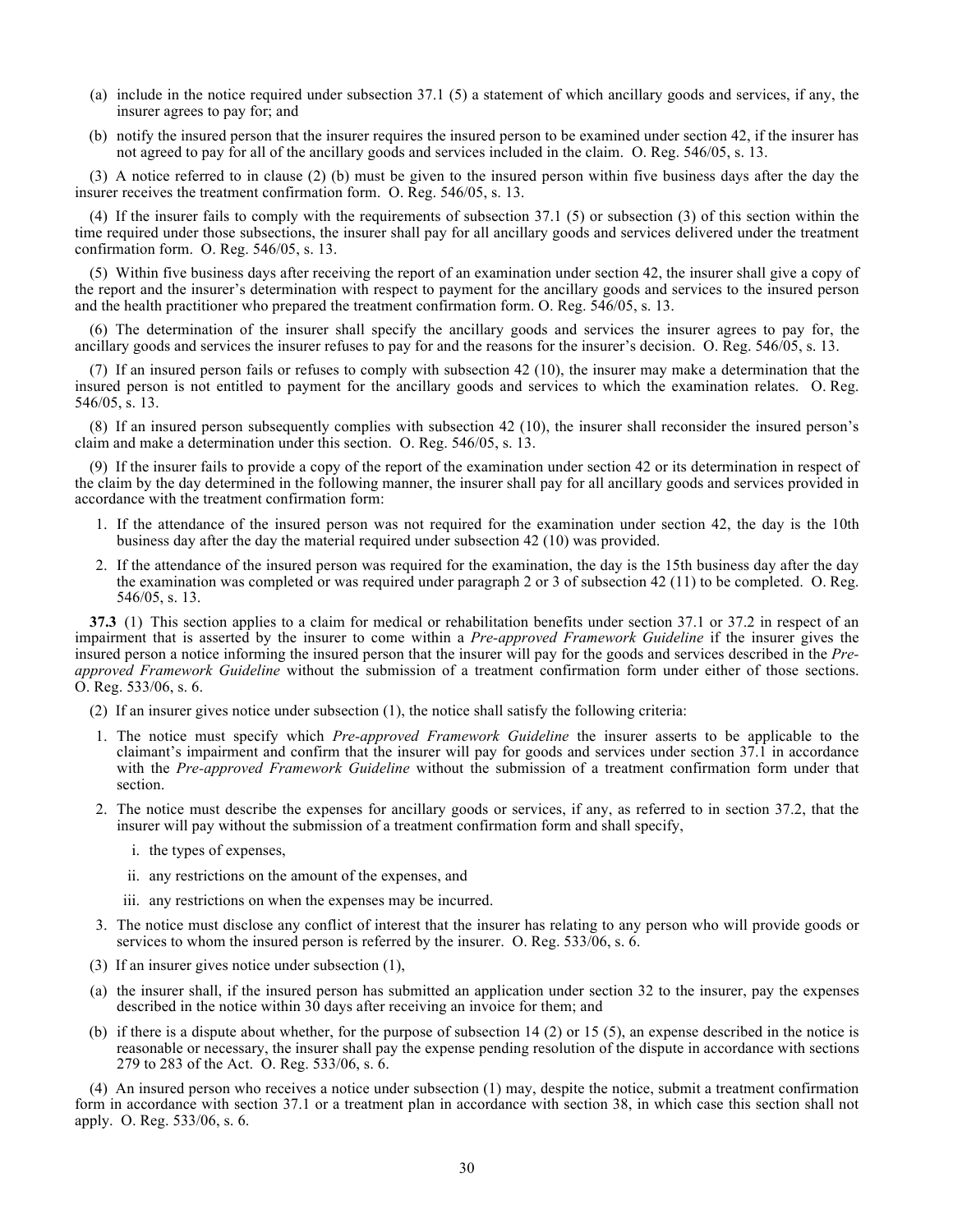- (a) include in the notice required under subsection 37.1 (5) a statement of which ancillary goods and services, if any, the insurer agrees to pay for; and
- (b) notify the insured person that the insurer requires the insured person to be examined under section 42, if the insurer has not agreed to pay for all of the ancillary goods and services included in the claim. O. Reg. 546/05, s. 13.

(3) A notice referred to in clause (2) (b) must be given to the insured person within five business days after the day the insurer receives the treatment confirmation form. O. Reg. 546/05, s. 13.

(4) If the insurer fails to comply with the requirements of subsection 37.1 (5) or subsection (3) of this section within the time required under those subsections, the insurer shall pay for all ancillary goods and services delivered under the treatment confirmation form. O. Reg. 546/05, s. 13.

(5) Within five business days after receiving the report of an examination under section 42, the insurer shall give a copy of the report and the insurer's determination with respect to payment for the ancillary goods and services to the insured person and the health practitioner who prepared the treatment confirmation form. O. Reg. 546/05, s. 13.

(6) The determination of the insurer shall specify the ancillary goods and services the insurer agrees to pay for, the ancillary goods and services the insurer refuses to pay for and the reasons for the insurer's decision. O. Reg. 546/05, s. 13.

(7) If an insured person fails or refuses to comply with subsection 42 (10), the insurer may make a determination that the insured person is not entitled to payment for the ancillary goods and services to which the examination relates. O. Reg. 546/05, s. 13.

(8) If an insured person subsequently complies with subsection 42 (10), the insurer shall reconsider the insured person's claim and make a determination under this section. O. Reg. 546/05, s. 13.

(9) If the insurer fails to provide a copy of the report of the examination under section 42 or its determination in respect of the claim by the day determined in the following manner, the insurer shall pay for all ancillary goods and services provided in accordance with the treatment confirmation form:

- 1. If the attendance of the insured person was not required for the examination under section 42, the day is the 10th business day after the day the material required under subsection 42 (10) was provided.
- 2. If the attendance of the insured person was required for the examination, the day is the 15th business day after the day the examination was completed or was required under paragraph 2 or 3 of subsection 42 (11) to be completed. O. Reg. 546/05, s. 13.

**37.3** (1) This section applies to a claim for medical or rehabilitation benefits under section 37.1 or 37.2 in respect of an impairment that is asserted by the insurer to come within a *Pre-approved Framework Guideline* if the insurer gives the insured person a notice informing the insured person that the insurer will pay for the goods and services described in the *Preapproved Framework Guideline* without the submission of a treatment confirmation form under either of those sections. O. Reg. 533/06, s. 6.

- (2) If an insurer gives notice under subsection (1), the notice shall satisfy the following criteria:
- 1. The notice must specify which *Pre-approved Framework Guideline* the insurer asserts to be applicable to the claimant's impairment and confirm that the insurer will pay for goods and services under section 37.1 in accordance with the *Pre-approved Framework Guideline* without the submission of a treatment confirmation form under that section.
- 2. The notice must describe the expenses for ancillary goods or services, if any, as referred to in section 37.2, that the insurer will pay without the submission of a treatment confirmation form and shall specify,
	- i. the types of expenses,
	- ii. any restrictions on the amount of the expenses, and
	- iii. any restrictions on when the expenses may be incurred.
- 3. The notice must disclose any conflict of interest that the insurer has relating to any person who will provide goods or services to whom the insured person is referred by the insurer. O. Reg. 533/06, s. 6.
- (3) If an insurer gives notice under subsection (1),
- (a) the insurer shall, if the insured person has submitted an application under section 32 to the insurer, pay the expenses described in the notice within 30 days after receiving an invoice for them; and
- (b) if there is a dispute about whether, for the purpose of subsection 14 (2) or 15 (5), an expense described in the notice is reasonable or necessary, the insurer shall pay the expense pending resolution of the dispute in accordance with sections 279 to 283 of the Act. O. Reg. 533/06, s. 6.

(4) An insured person who receives a notice under subsection (1) may, despite the notice, submit a treatment confirmation form in accordance with section 37.1 or a treatment plan in accordance with section 38, in which case this section shall not apply. O. Reg. 533/06, s. 6.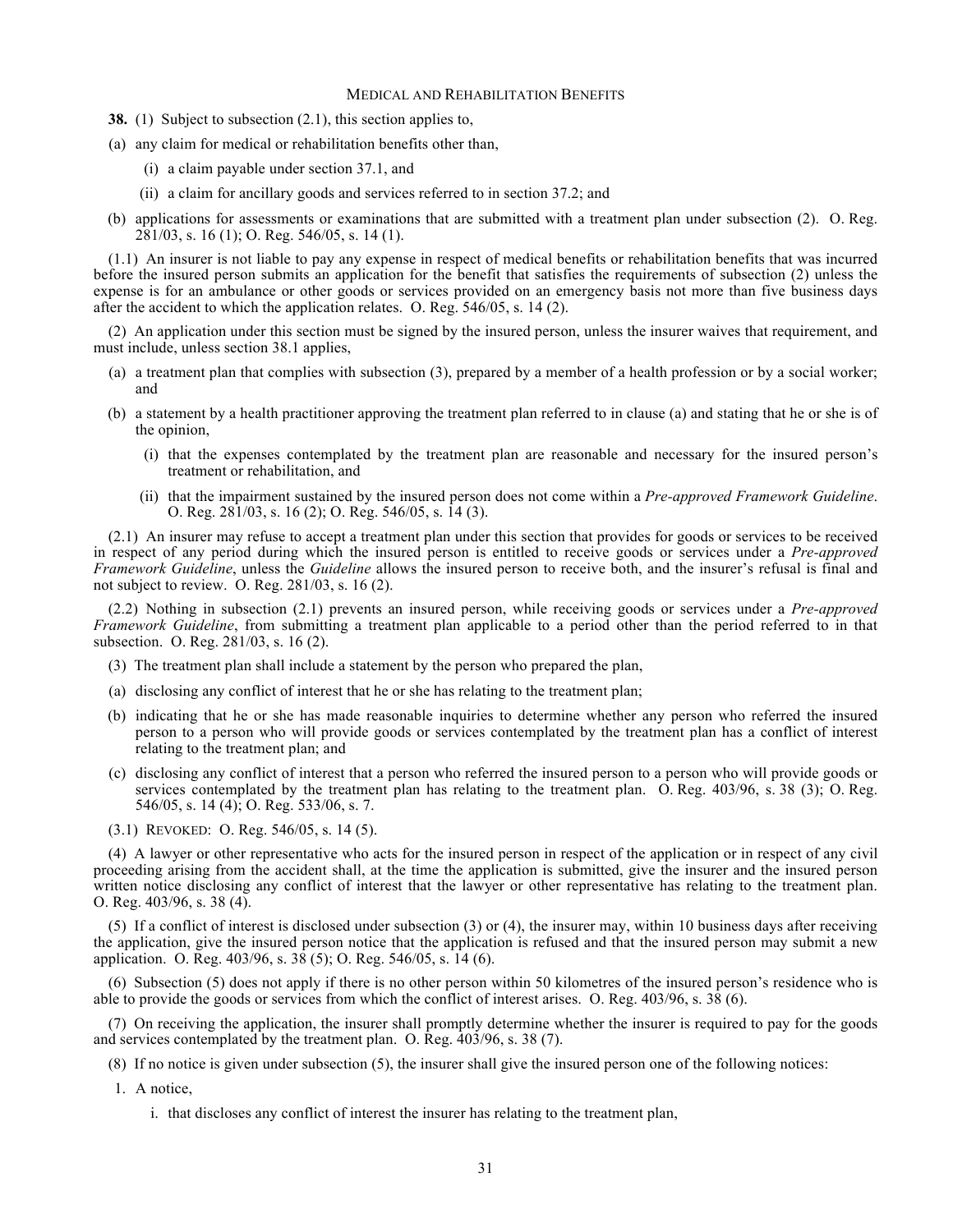## MEDICAL AND REHABILITATION BENEFITS

- **38.** (1) Subject to subsection (2.1), this section applies to,
- (a) any claim for medical or rehabilitation benefits other than,
	- (i) a claim payable under section 37.1, and
	- (ii) a claim for ancillary goods and services referred to in section 37.2; and
- (b) applications for assessments or examinations that are submitted with a treatment plan under subsection (2). O. Reg. 281/03, s. 16 (1); O. Reg. 546/05, s. 14 (1).

(1.1) An insurer is not liable to pay any expense in respect of medical benefits or rehabilitation benefits that was incurred before the insured person submits an application for the benefit that satisfies the requirements of subsection (2) unless the expense is for an ambulance or other goods or services provided on an emergency basis not more than five business days after the accident to which the application relates. O. Reg. 546/05, s. 14 (2).

(2) An application under this section must be signed by the insured person, unless the insurer waives that requirement, and must include, unless section 38.1 applies,

- (a) a treatment plan that complies with subsection (3), prepared by a member of a health profession or by a social worker; and
- (b) a statement by a health practitioner approving the treatment plan referred to in clause (a) and stating that he or she is of the opinion,
	- (i) that the expenses contemplated by the treatment plan are reasonable and necessary for the insured person's treatment or rehabilitation, and
	- (ii) that the impairment sustained by the insured person does not come within a *Pre-approved Framework Guideline*. O. Reg. 281/03, s. 16 (2); O. Reg. 546/05, s. 14 (3).

(2.1) An insurer may refuse to accept a treatment plan under this section that provides for goods or services to be received in respect of any period during which the insured person is entitled to receive goods or services under a *Pre-approved Framework Guideline*, unless the *Guideline* allows the insured person to receive both, and the insurer's refusal is final and not subject to review. O. Reg. 281/03, s. 16 (2).

(2.2) Nothing in subsection (2.1) prevents an insured person, while receiving goods or services under a *Pre-approved Framework Guideline*, from submitting a treatment plan applicable to a period other than the period referred to in that subsection. O. Reg. 281/03, s. 16 (2).

- (3) The treatment plan shall include a statement by the person who prepared the plan,
- (a) disclosing any conflict of interest that he or she has relating to the treatment plan;
- (b) indicating that he or she has made reasonable inquiries to determine whether any person who referred the insured person to a person who will provide goods or services contemplated by the treatment plan has a conflict of interest relating to the treatment plan; and
- (c) disclosing any conflict of interest that a person who referred the insured person to a person who will provide goods or services contemplated by the treatment plan has relating to the treatment plan. O. Reg. 403/96, s. 38 (3); O. Reg. 546/05, s. 14 (4); O. Reg. 533/06, s. 7.
- (3.1) REVOKED: O. Reg. 546/05, s. 14 (5).

(4) A lawyer or other representative who acts for the insured person in respect of the application or in respect of any civil proceeding arising from the accident shall, at the time the application is submitted, give the insurer and the insured person written notice disclosing any conflict of interest that the lawyer or other representative has relating to the treatment plan. O. Reg. 403/96, s. 38 (4).

(5) If a conflict of interest is disclosed under subsection (3) or (4), the insurer may, within 10 business days after receiving the application, give the insured person notice that the application is refused and that the insured person may submit a new application. O. Reg. 403/96, s. 38 (5); O. Reg. 546/05, s. 14 (6).

(6) Subsection (5) does not apply if there is no other person within 50 kilometres of the insured person's residence who is able to provide the goods or services from which the conflict of interest arises. O. Reg. 403/96, s. 38 (6).

(7) On receiving the application, the insurer shall promptly determine whether the insurer is required to pay for the goods and services contemplated by the treatment plan. O. Reg. 403/96, s. 38 (7).

(8) If no notice is given under subsection (5), the insurer shall give the insured person one of the following notices:

1. A notice,

i. that discloses any conflict of interest the insurer has relating to the treatment plan,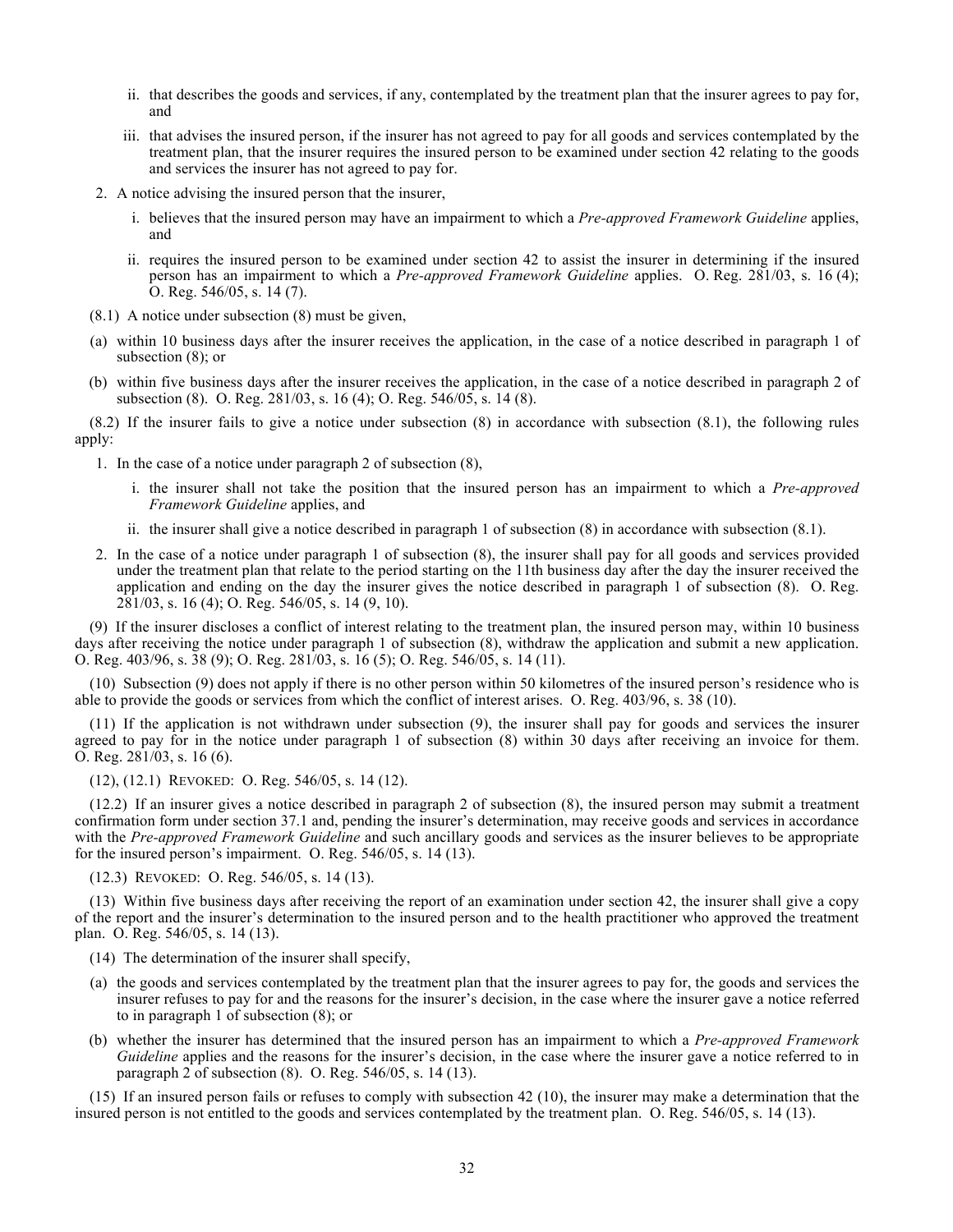- ii. that describes the goods and services, if any, contemplated by the treatment plan that the insurer agrees to pay for, and
- iii. that advises the insured person, if the insurer has not agreed to pay for all goods and services contemplated by the treatment plan, that the insurer requires the insured person to be examined under section 42 relating to the goods and services the insurer has not agreed to pay for.
- 2. A notice advising the insured person that the insurer,
	- i. believes that the insured person may have an impairment to which a *Pre-approved Framework Guideline* applies, and
	- ii. requires the insured person to be examined under section 42 to assist the insurer in determining if the insured person has an impairment to which a *Pre-approved Framework Guideline* applies. O. Reg. 281/03, s. 16 (4); O. Reg. 546/05, s. 14 (7).
- (8.1) A notice under subsection (8) must be given,
- (a) within 10 business days after the insurer receives the application, in the case of a notice described in paragraph 1 of subsection (8); or
- (b) within five business days after the insurer receives the application, in the case of a notice described in paragraph 2 of subsection (8). O. Reg. 281/03, s. 16 (4); O. Reg. 546/05, s. 14 (8).

(8.2) If the insurer fails to give a notice under subsection (8) in accordance with subsection (8.1), the following rules apply:

- 1. In the case of a notice under paragraph 2 of subsection (8),
	- i. the insurer shall not take the position that the insured person has an impairment to which a *Pre-approved Framework Guideline* applies, and
	- ii. the insurer shall give a notice described in paragraph 1 of subsection (8) in accordance with subsection (8.1).
- 2. In the case of a notice under paragraph 1 of subsection (8), the insurer shall pay for all goods and services provided under the treatment plan that relate to the period starting on the 11th business day after the day the insurer received the application and ending on the day the insurer gives the notice described in paragraph 1 of subsection (8). O. Reg. 281/03, s. 16 (4); O. Reg. 546/05, s. 14 (9, 10).

(9) If the insurer discloses a conflict of interest relating to the treatment plan, the insured person may, within 10 business days after receiving the notice under paragraph 1 of subsection (8), withdraw the application and submit a new application. O. Reg. 403/96, s. 38 (9); O. Reg. 281/03, s. 16 (5); O. Reg. 546/05, s. 14 (11).

(10) Subsection (9) does not apply if there is no other person within 50 kilometres of the insured person's residence who is able to provide the goods or services from which the conflict of interest arises. O. Reg. 403/96, s. 38 (10).

(11) If the application is not withdrawn under subsection (9), the insurer shall pay for goods and services the insurer agreed to pay for in the notice under paragraph 1 of subsection (8) within 30 days after receiving an invoice for them. O. Reg. 281/03, s. 16 (6).

(12), (12.1) REVOKED: O. Reg. 546/05, s. 14 (12).

(12.2) If an insurer gives a notice described in paragraph 2 of subsection (8), the insured person may submit a treatment confirmation form under section 37.1 and, pending the insurer's determination, may receive goods and services in accordance with the *Pre-approved Framework Guideline* and such ancillary goods and services as the insurer believes to be appropriate for the insured person's impairment. O. Reg. 546/05, s. 14 (13).

(12.3) REVOKED: O. Reg. 546/05, s. 14 (13).

(13) Within five business days after receiving the report of an examination under section 42, the insurer shall give a copy of the report and the insurer's determination to the insured person and to the health practitioner who approved the treatment plan. O. Reg. 546/05, s. 14 (13).

(14) The determination of the insurer shall specify,

- (a) the goods and services contemplated by the treatment plan that the insurer agrees to pay for, the goods and services the insurer refuses to pay for and the reasons for the insurer's decision, in the case where the insurer gave a notice referred to in paragraph 1 of subsection (8); or
- (b) whether the insurer has determined that the insured person has an impairment to which a *Pre-approved Framework Guideline* applies and the reasons for the insurer's decision, in the case where the insurer gave a notice referred to in paragraph 2 of subsection (8). O. Reg. 546/05, s. 14 (13).

(15) If an insured person fails or refuses to comply with subsection 42 (10), the insurer may make a determination that the insured person is not entitled to the goods and services contemplated by the treatment plan. O. Reg. 546/05, s. 14 (13).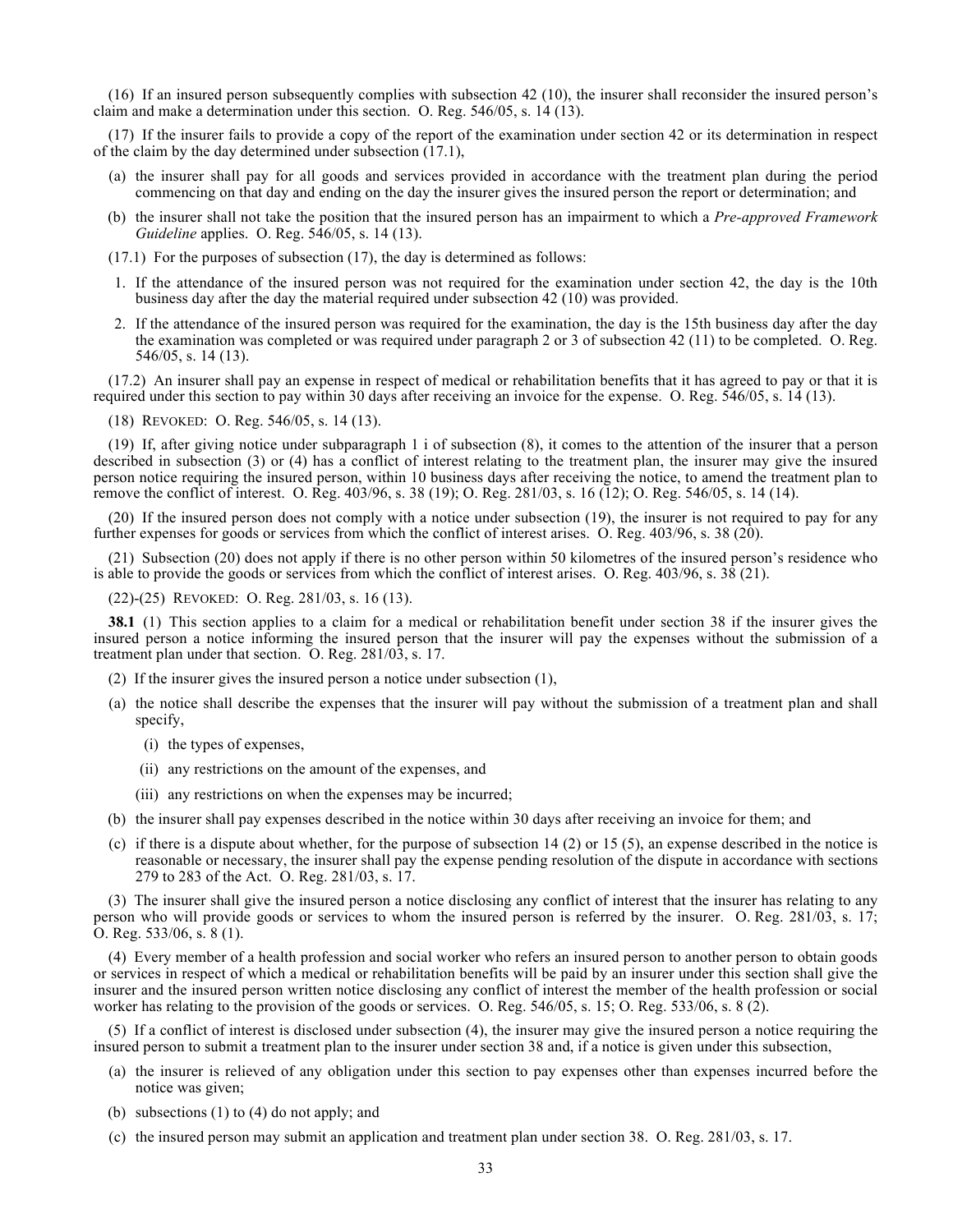(16) If an insured person subsequently complies with subsection 42 (10), the insurer shall reconsider the insured person's claim and make a determination under this section. O. Reg. 546/05, s. 14 (13).

(17) If the insurer fails to provide a copy of the report of the examination under section 42 or its determination in respect of the claim by the day determined under subsection (17.1),

- (a) the insurer shall pay for all goods and services provided in accordance with the treatment plan during the period commencing on that day and ending on the day the insurer gives the insured person the report or determination; and
- (b) the insurer shall not take the position that the insured person has an impairment to which a *Pre-approved Framework Guideline* applies. O. Reg. 546/05, s. 14 (13).
- (17.1) For the purposes of subsection (17), the day is determined as follows:
- 1. If the attendance of the insured person was not required for the examination under section 42, the day is the 10th business day after the day the material required under subsection 42 (10) was provided.
- 2. If the attendance of the insured person was required for the examination, the day is the 15th business day after the day the examination was completed or was required under paragraph 2 or 3 of subsection 42 (11) to be completed. O. Reg. 546/05, s. 14 (13).

(17.2) An insurer shall pay an expense in respect of medical or rehabilitation benefits that it has agreed to pay or that it is required under this section to pay within 30 days after receiving an invoice for the expense. O. Reg. 546/05, s. 14 (13).

(18) REVOKED: O. Reg. 546/05, s. 14 (13).

(19) If, after giving notice under subparagraph 1 i of subsection (8), it comes to the attention of the insurer that a person described in subsection (3) or (4) has a conflict of interest relating to the treatment plan, the insurer may give the insured person notice requiring the insured person, within 10 business days after receiving the notice, to amend the treatment plan to remove the conflict of interest. O. Reg. 403/96, s. 38 (19); O. Reg. 281/03, s. 16 (12); O. Reg. 546/05, s. 14 (14).

(20) If the insured person does not comply with a notice under subsection (19), the insurer is not required to pay for any further expenses for goods or services from which the conflict of interest arises. O. Reg. 403/96, s. 38 (20).

(21) Subsection (20) does not apply if there is no other person within 50 kilometres of the insured person's residence who is able to provide the goods or services from which the conflict of interest arises. O. Reg. 403/96, s. 38 (21).

(22)-(25) REVOKED: O. Reg. 281/03, s. 16 (13).

**38.1** (1) This section applies to a claim for a medical or rehabilitation benefit under section 38 if the insurer gives the insured person a notice informing the insured person that the insurer will pay the expenses without the submission of a treatment plan under that section. O. Reg. 281/03, s. 17.

- (2) If the insurer gives the insured person a notice under subsection (1),
- (a) the notice shall describe the expenses that the insurer will pay without the submission of a treatment plan and shall specify,
	- (i) the types of expenses,
	- (ii) any restrictions on the amount of the expenses, and
	- (iii) any restrictions on when the expenses may be incurred;
- (b) the insurer shall pay expenses described in the notice within 30 days after receiving an invoice for them; and
- (c) if there is a dispute about whether, for the purpose of subsection  $14$  (2) or  $15$  (5), an expense described in the notice is reasonable or necessary, the insurer shall pay the expense pending resolution of the dispute in accordance with sections 279 to 283 of the Act. O. Reg. 281/03, s. 17.

(3) The insurer shall give the insured person a notice disclosing any conflict of interest that the insurer has relating to any person who will provide goods or services to whom the insured person is referred by the insurer. O. Reg. 281/03, s. 17; O. Reg. 533/06, s. 8 (1).

(4) Every member of a health profession and social worker who refers an insured person to another person to obtain goods or services in respect of which a medical or rehabilitation benefits will be paid by an insurer under this section shall give the insurer and the insured person written notice disclosing any conflict of interest the member of the health profession or social worker has relating to the provision of the goods or services. O. Reg. 546/05, s. 15; O. Reg. 533/06, s. 8 (2).

(5) If a conflict of interest is disclosed under subsection (4), the insurer may give the insured person a notice requiring the insured person to submit a treatment plan to the insurer under section 38 and, if a notice is given under this subsection,

- (a) the insurer is relieved of any obligation under this section to pay expenses other than expenses incurred before the notice was given;
- (b) subsections (1) to (4) do not apply; and
- (c) the insured person may submit an application and treatment plan under section 38. O. Reg. 281/03, s. 17.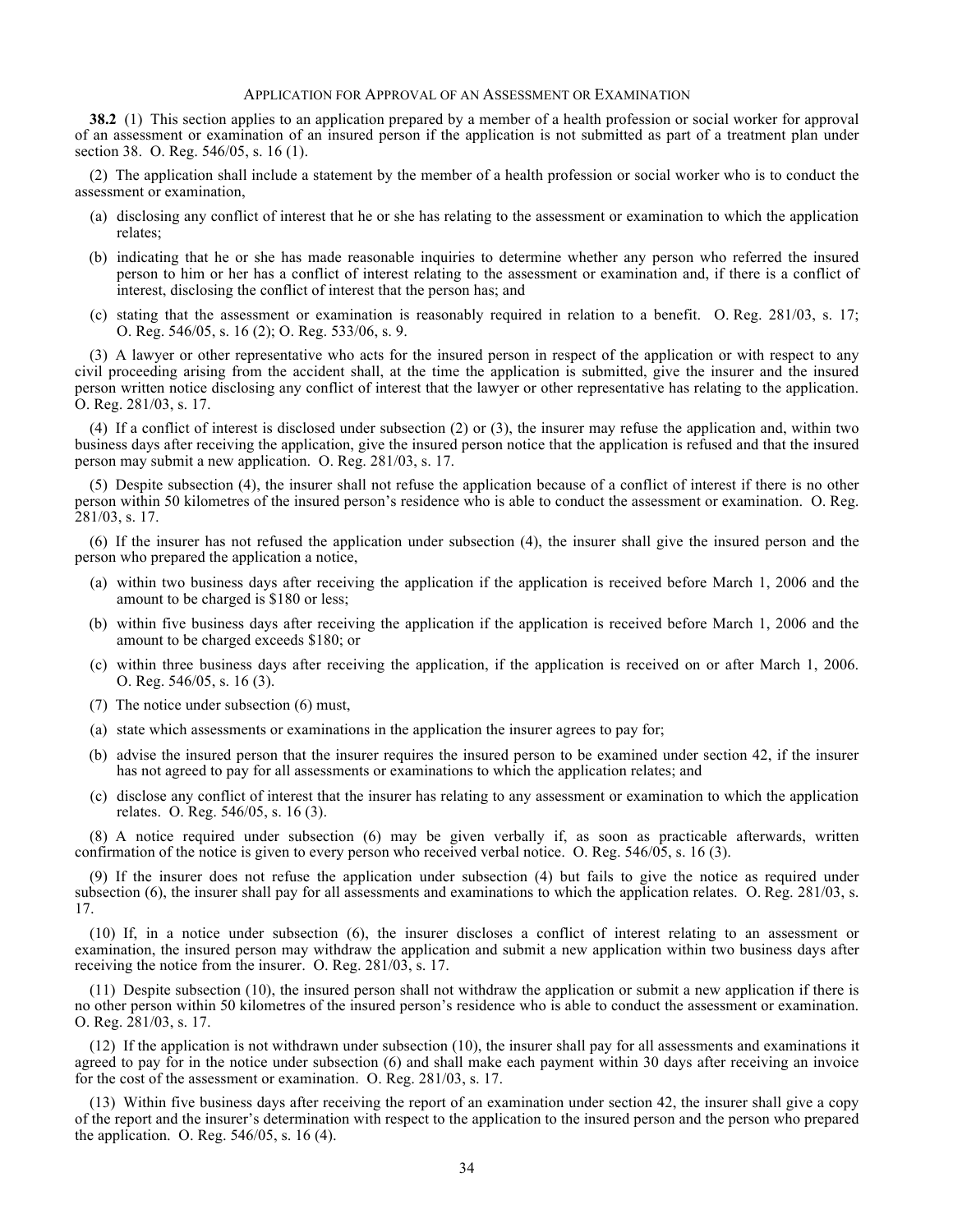#### APPLICATION FOR APPROVAL OF AN ASSESSMENT OR EXAMINATION

**38.2** (1) This section applies to an application prepared by a member of a health profession or social worker for approval of an assessment or examination of an insured person if the application is not submitted as part of a treatment plan under section 38. O. Reg. 546/05, s. 16 (1).

(2) The application shall include a statement by the member of a health profession or social worker who is to conduct the assessment or examination,

- (a) disclosing any conflict of interest that he or she has relating to the assessment or examination to which the application relates;
- (b) indicating that he or she has made reasonable inquiries to determine whether any person who referred the insured person to him or her has a conflict of interest relating to the assessment or examination and, if there is a conflict of interest, disclosing the conflict of interest that the person has; and
- (c) stating that the assessment or examination is reasonably required in relation to a benefit. O. Reg. 281/03, s. 17; O. Reg. 546/05, s. 16 (2); O. Reg. 533/06, s. 9.

(3) A lawyer or other representative who acts for the insured person in respect of the application or with respect to any civil proceeding arising from the accident shall, at the time the application is submitted, give the insurer and the insured person written notice disclosing any conflict of interest that the lawyer or other representative has relating to the application. O. Reg. 281/03, s. 17.

(4) If a conflict of interest is disclosed under subsection (2) or (3), the insurer may refuse the application and, within two business days after receiving the application, give the insured person notice that the application is refused and that the insured person may submit a new application. O. Reg. 281/03, s. 17.

(5) Despite subsection (4), the insurer shall not refuse the application because of a conflict of interest if there is no other person within 50 kilometres of the insured person's residence who is able to conduct the assessment or examination. O. Reg. 281/03, s. 17.

(6) If the insurer has not refused the application under subsection (4), the insurer shall give the insured person and the person who prepared the application a notice,

- (a) within two business days after receiving the application if the application is received before March 1, 2006 and the amount to be charged is \$180 or less;
- (b) within five business days after receiving the application if the application is received before March 1, 2006 and the amount to be charged exceeds \$180; or
- (c) within three business days after receiving the application, if the application is received on or after March 1, 2006. O. Reg. 546/05, s. 16 (3).
- (7) The notice under subsection (6) must,
- (a) state which assessments or examinations in the application the insurer agrees to pay for;
- (b) advise the insured person that the insurer requires the insured person to be examined under section 42, if the insurer has not agreed to pay for all assessments or examinations to which the application relates; and
- (c) disclose any conflict of interest that the insurer has relating to any assessment or examination to which the application relates. O. Reg. 546/05, s. 16 (3).

(8) A notice required under subsection (6) may be given verbally if, as soon as practicable afterwards, written confirmation of the notice is given to every person who received verbal notice. O. Reg. 546/05, s. 16 (3).

(9) If the insurer does not refuse the application under subsection (4) but fails to give the notice as required under subsection (6), the insurer shall pay for all assessments and examinations to which the application relates. O. Reg. 281/03, s. 17.

(10) If, in a notice under subsection (6), the insurer discloses a conflict of interest relating to an assessment or examination, the insured person may withdraw the application and submit a new application within two business days after receiving the notice from the insurer. O. Reg. 281/03, s. 17.

(11) Despite subsection (10), the insured person shall not withdraw the application or submit a new application if there is no other person within 50 kilometres of the insured person's residence who is able to conduct the assessment or examination. O. Reg. 281/03, s. 17.

(12) If the application is not withdrawn under subsection (10), the insurer shall pay for all assessments and examinations it agreed to pay for in the notice under subsection (6) and shall make each payment within 30 days after receiving an invoice for the cost of the assessment or examination. O. Reg. 281/03, s. 17.

(13) Within five business days after receiving the report of an examination under section 42, the insurer shall give a copy of the report and the insurer's determination with respect to the application to the insured person and the person who prepared the application. O. Reg. 546/05, s. 16 (4).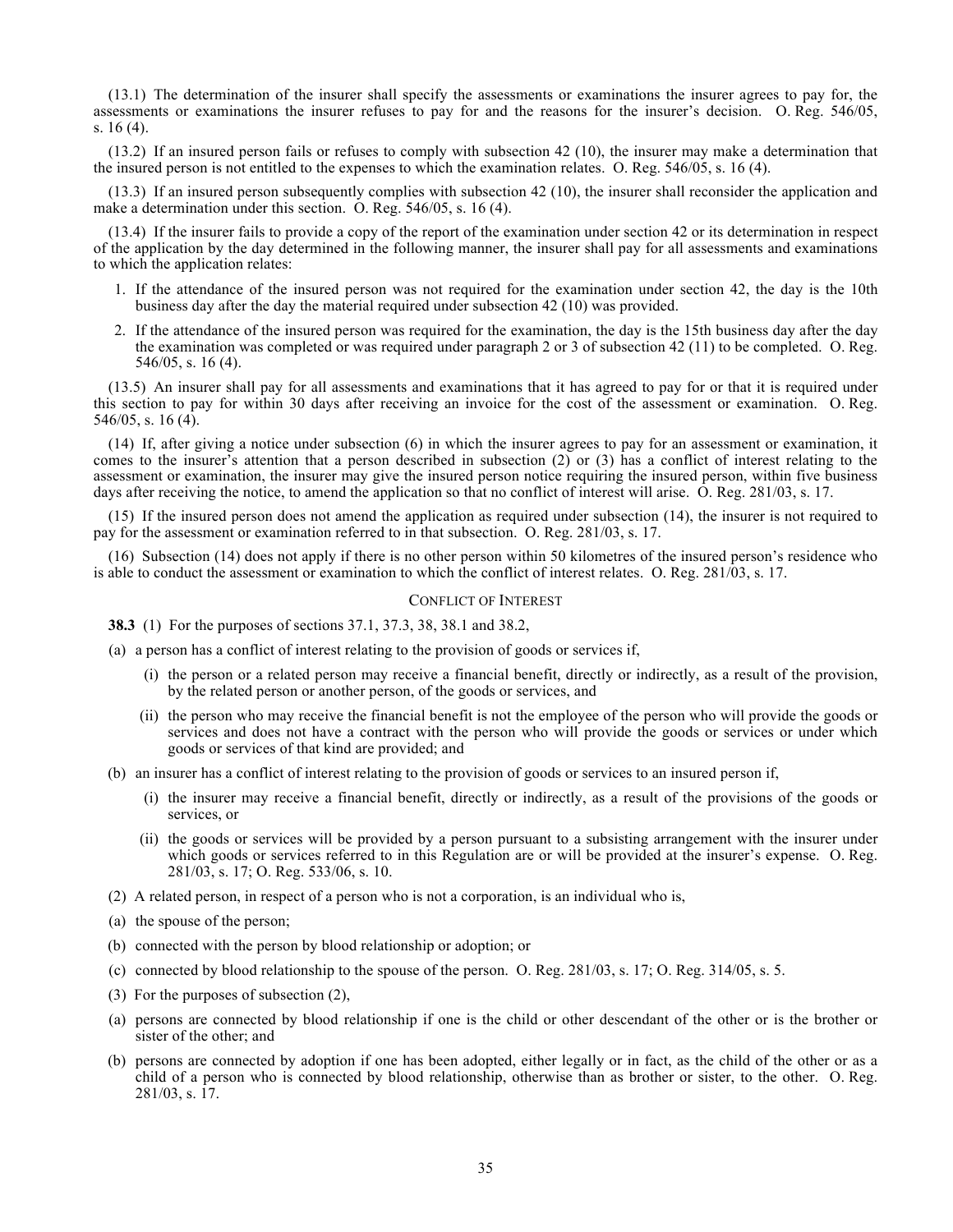(13.1) The determination of the insurer shall specify the assessments or examinations the insurer agrees to pay for, the assessments or examinations the insurer refuses to pay for and the reasons for the insurer's decision. O. Reg. 546/05, s. 16 (4).

(13.2) If an insured person fails or refuses to comply with subsection 42 (10), the insurer may make a determination that the insured person is not entitled to the expenses to which the examination relates. O. Reg. 546/05, s. 16 (4).

(13.3) If an insured person subsequently complies with subsection 42 (10), the insurer shall reconsider the application and make a determination under this section. O. Reg. 546/05, s. 16 (4).

(13.4) If the insurer fails to provide a copy of the report of the examination under section 42 or its determination in respect of the application by the day determined in the following manner, the insurer shall pay for all assessments and examinations to which the application relates:

- 1. If the attendance of the insured person was not required for the examination under section 42, the day is the 10th business day after the day the material required under subsection 42 (10) was provided.
- 2. If the attendance of the insured person was required for the examination, the day is the 15th business day after the day the examination was completed or was required under paragraph 2 or 3 of subsection 42 (11) to be completed. O. Reg. 546/05, s. 16 (4).

(13.5) An insurer shall pay for all assessments and examinations that it has agreed to pay for or that it is required under this section to pay for within 30 days after receiving an invoice for the cost of the assessment or examination. O. Reg. 546/05, s. 16 (4).

(14) If, after giving a notice under subsection (6) in which the insurer agrees to pay for an assessment or examination, it comes to the insurer's attention that a person described in subsection (2) or (3) has a conflict of interest relating to the assessment or examination, the insurer may give the insured person notice requiring the insured person, within five business days after receiving the notice, to amend the application so that no conflict of interest will arise. O. Reg. 281/03, s. 17.

(15) If the insured person does not amend the application as required under subsection (14), the insurer is not required to pay for the assessment or examination referred to in that subsection. O. Reg. 281/03, s. 17.

(16) Subsection (14) does not apply if there is no other person within 50 kilometres of the insured person's residence who is able to conduct the assessment or examination to which the conflict of interest relates. O. Reg. 281/03, s. 17.

## CONFLICT OF INTEREST

**38.3** (1) For the purposes of sections 37.1, 37.3, 38, 38.1 and 38.2,

(a) a person has a conflict of interest relating to the provision of goods or services if,

- (i) the person or a related person may receive a financial benefit, directly or indirectly, as a result of the provision, by the related person or another person, of the goods or services, and
- (ii) the person who may receive the financial benefit is not the employee of the person who will provide the goods or services and does not have a contract with the person who will provide the goods or services or under which goods or services of that kind are provided; and
- (b) an insurer has a conflict of interest relating to the provision of goods or services to an insured person if,
	- (i) the insurer may receive a financial benefit, directly or indirectly, as a result of the provisions of the goods or services, or
	- (ii) the goods or services will be provided by a person pursuant to a subsisting arrangement with the insurer under which goods or services referred to in this Regulation are or will be provided at the insurer's expense. O. Reg. 281/03, s. 17; O. Reg. 533/06, s. 10.
- (2) A related person, in respect of a person who is not a corporation, is an individual who is,
- (a) the spouse of the person;
- (b) connected with the person by blood relationship or adoption; or
- (c) connected by blood relationship to the spouse of the person. O. Reg. 281/03, s. 17; O. Reg. 314/05, s. 5.
- (3) For the purposes of subsection (2),
- (a) persons are connected by blood relationship if one is the child or other descendant of the other or is the brother or sister of the other; and
- (b) persons are connected by adoption if one has been adopted, either legally or in fact, as the child of the other or as a child of a person who is connected by blood relationship, otherwise than as brother or sister, to the other. O. Reg. 281/03, s. 17.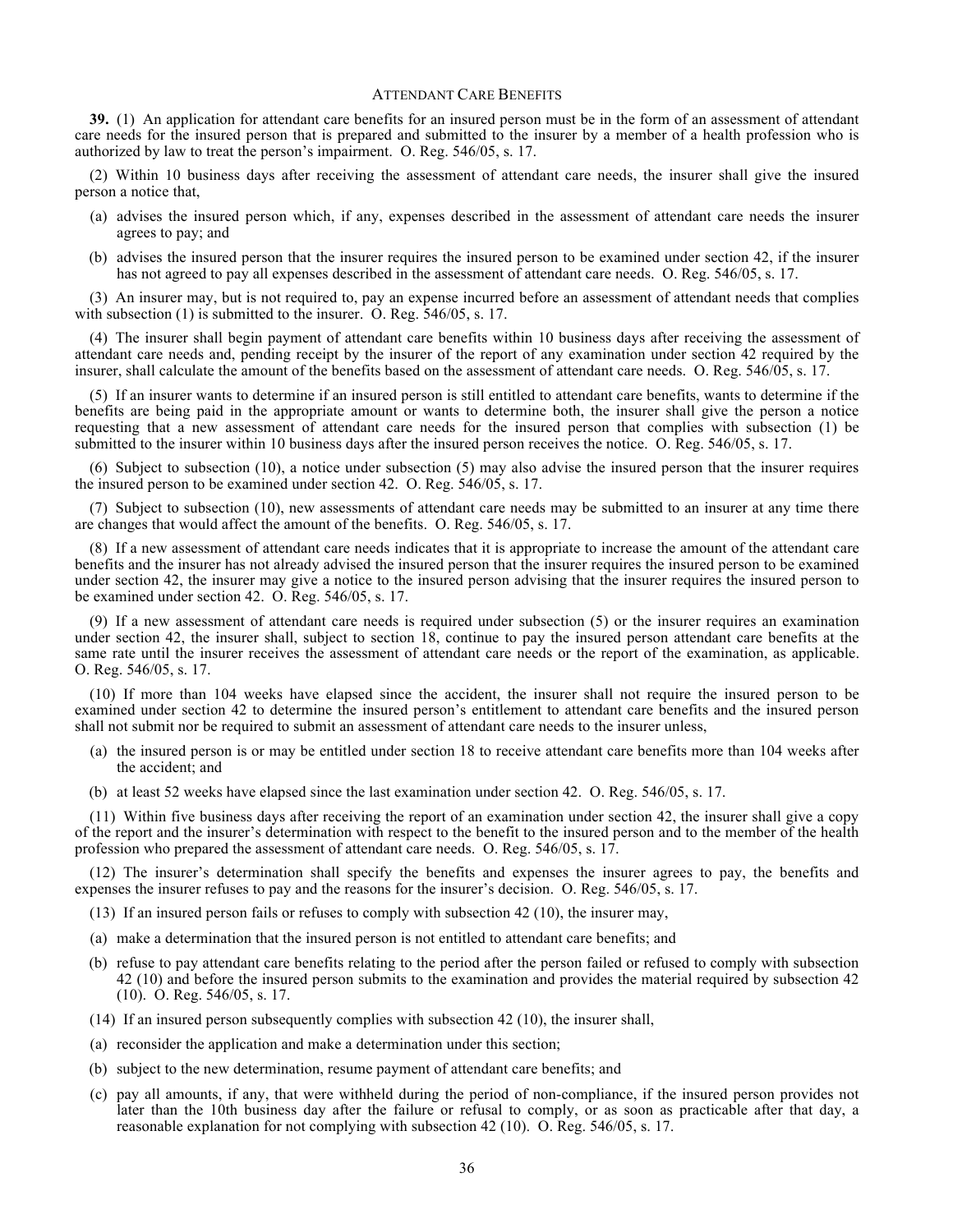#### ATTENDANT CARE BENEFITS

**39.** (1) An application for attendant care benefits for an insured person must be in the form of an assessment of attendant care needs for the insured person that is prepared and submitted to the insurer by a member of a health profession who is authorized by law to treat the person's impairment. O. Reg. 546/05, s. 17.

(2) Within 10 business days after receiving the assessment of attendant care needs, the insurer shall give the insured person a notice that,

- (a) advises the insured person which, if any, expenses described in the assessment of attendant care needs the insurer agrees to pay; and
- (b) advises the insured person that the insurer requires the insured person to be examined under section 42, if the insurer has not agreed to pay all expenses described in the assessment of attendant care needs. O. Reg. 546/05, s. 17.

(3) An insurer may, but is not required to, pay an expense incurred before an assessment of attendant needs that complies with subsection (1) is submitted to the insurer. O. Reg. 546/05, s. 17.

(4) The insurer shall begin payment of attendant care benefits within 10 business days after receiving the assessment of attendant care needs and, pending receipt by the insurer of the report of any examination under section 42 required by the insurer, shall calculate the amount of the benefits based on the assessment of attendant care needs. O. Reg. 546/05, s. 17.

(5) If an insurer wants to determine if an insured person is still entitled to attendant care benefits, wants to determine if the benefits are being paid in the appropriate amount or wants to determine both, the insurer shall give the person a notice requesting that a new assessment of attendant care needs for the insured person that complies with subsection (1) be submitted to the insurer within 10 business days after the insured person receives the notice. O. Reg. 546/05, s. 17.

(6) Subject to subsection (10), a notice under subsection (5) may also advise the insured person that the insurer requires the insured person to be examined under section 42. O. Reg. 546/05, s. 17.

(7) Subject to subsection (10), new assessments of attendant care needs may be submitted to an insurer at any time there are changes that would affect the amount of the benefits. O. Reg. 546/05, s. 17.

(8) If a new assessment of attendant care needs indicates that it is appropriate to increase the amount of the attendant care benefits and the insurer has not already advised the insured person that the insurer requires the insured person to be examined under section 42, the insurer may give a notice to the insured person advising that the insurer requires the insured person to be examined under section 42. O. Reg. 546/05, s. 17.

(9) If a new assessment of attendant care needs is required under subsection (5) or the insurer requires an examination under section 42, the insurer shall, subject to section 18, continue to pay the insured person attendant care benefits at the same rate until the insurer receives the assessment of attendant care needs or the report of the examination, as applicable. O. Reg. 546/05, s. 17.

(10) If more than 104 weeks have elapsed since the accident, the insurer shall not require the insured person to be examined under section 42 to determine the insured person's entitlement to attendant care benefits and the insured person shall not submit nor be required to submit an assessment of attendant care needs to the insurer unless,

- (a) the insured person is or may be entitled under section 18 to receive attendant care benefits more than 104 weeks after the accident; and
- (b) at least 52 weeks have elapsed since the last examination under section 42. O. Reg. 546/05, s. 17.

(11) Within five business days after receiving the report of an examination under section 42, the insurer shall give a copy of the report and the insurer's determination with respect to the benefit to the insured person and to the member of the health profession who prepared the assessment of attendant care needs. O. Reg. 546/05, s. 17.

(12) The insurer's determination shall specify the benefits and expenses the insurer agrees to pay, the benefits and expenses the insurer refuses to pay and the reasons for the insurer's decision. O. Reg. 546/05, s. 17.

- (13) If an insured person fails or refuses to comply with subsection 42 (10), the insurer may,
- (a) make a determination that the insured person is not entitled to attendant care benefits; and
- (b) refuse to pay attendant care benefits relating to the period after the person failed or refused to comply with subsection 42 (10) and before the insured person submits to the examination and provides the material required by subsection 42 (10). O. Reg. 546/05, s. 17.
- (14) If an insured person subsequently complies with subsection 42 (10), the insurer shall,
- (a) reconsider the application and make a determination under this section;
- (b) subject to the new determination, resume payment of attendant care benefits; and
- (c) pay all amounts, if any, that were withheld during the period of non-compliance, if the insured person provides not later than the 10th business day after the failure or refusal to comply, or as soon as practicable after that day, a reasonable explanation for not complying with subsection 42 (10). O. Reg. 546/05, s. 17.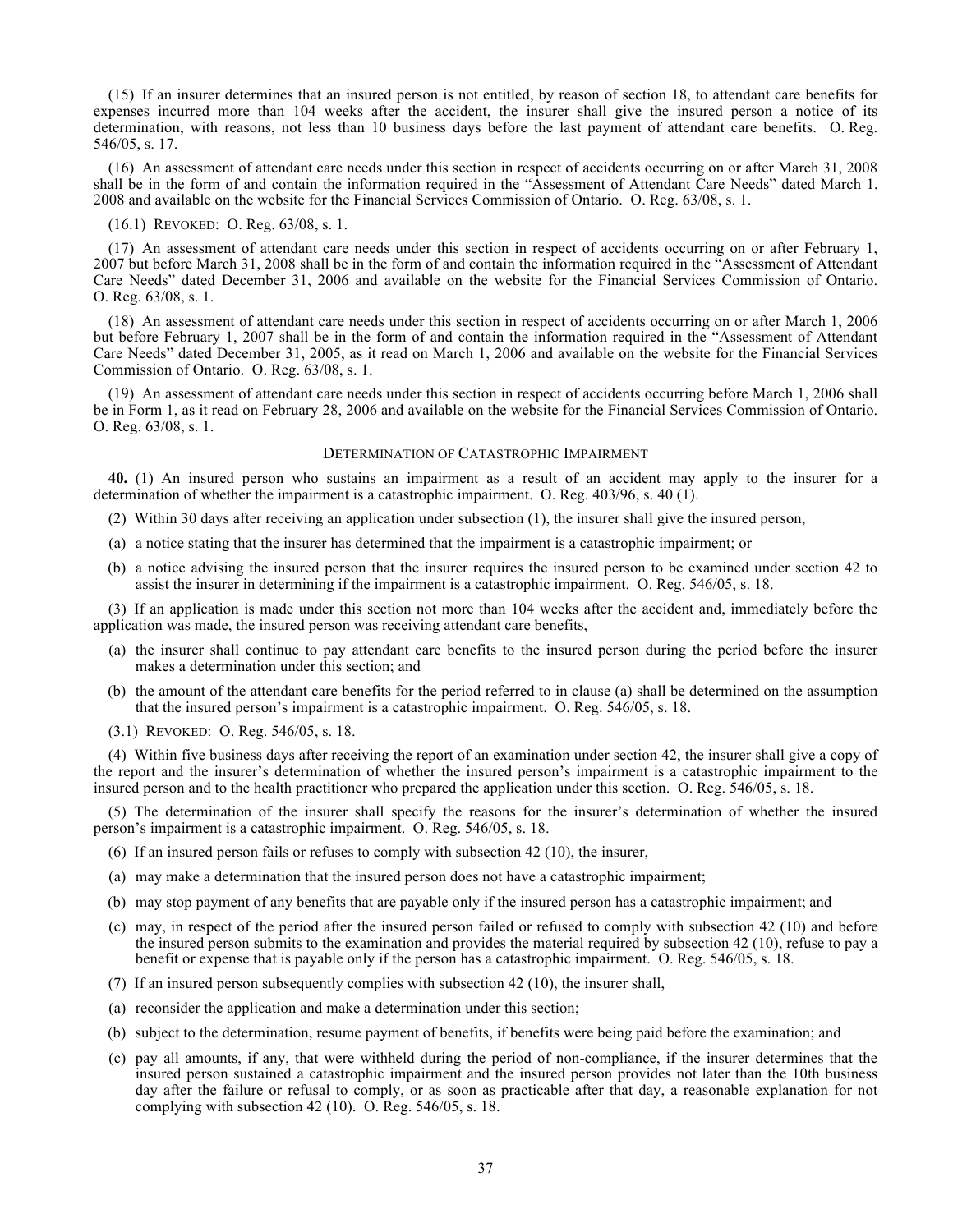(15) If an insurer determines that an insured person is not entitled, by reason of section 18, to attendant care benefits for expenses incurred more than 104 weeks after the accident, the insurer shall give the insured person a notice of its determination, with reasons, not less than 10 business days before the last payment of attendant care benefits. O. Reg. 546/05, s. 17.

(16) An assessment of attendant care needs under this section in respect of accidents occurring on or after March 31, 2008 shall be in the form of and contain the information required in the "Assessment of Attendant Care Needs" dated March 1, 2008 and available on the website for the Financial Services Commission of Ontario. O. Reg. 63/08, s. 1.

(16.1) REVOKED: O. Reg. 63/08, s. 1.

(17) An assessment of attendant care needs under this section in respect of accidents occurring on or after February 1, 2007 but before March 31, 2008 shall be in the form of and contain the information required in the "Assessment of Attendant Care Needs" dated December 31, 2006 and available on the website for the Financial Services Commission of Ontario. O. Reg. 63/08, s. 1.

(18) An assessment of attendant care needs under this section in respect of accidents occurring on or after March 1, 2006 but before February 1, 2007 shall be in the form of and contain the information required in the "Assessment of Attendant Care Needs" dated December 31, 2005, as it read on March 1, 2006 and available on the website for the Financial Services Commission of Ontario. O. Reg. 63/08, s. 1.

(19) An assessment of attendant care needs under this section in respect of accidents occurring before March 1, 2006 shall be in Form 1, as it read on February 28, 2006 and available on the website for the Financial Services Commission of Ontario. O. Reg. 63/08, s. 1.

## DETERMINATION OF CATASTROPHIC IMPAIRMENT

**40.** (1) An insured person who sustains an impairment as a result of an accident may apply to the insurer for a determination of whether the impairment is a catastrophic impairment. O. Reg. 403/96, s. 40 (1).

- (2) Within 30 days after receiving an application under subsection (1), the insurer shall give the insured person,
- (a) a notice stating that the insurer has determined that the impairment is a catastrophic impairment; or
- (b) a notice advising the insured person that the insurer requires the insured person to be examined under section 42 to assist the insurer in determining if the impairment is a catastrophic impairment. O. Reg. 546/05, s. 18.

(3) If an application is made under this section not more than 104 weeks after the accident and, immediately before the application was made, the insured person was receiving attendant care benefits,

- (a) the insurer shall continue to pay attendant care benefits to the insured person during the period before the insurer makes a determination under this section; and
- (b) the amount of the attendant care benefits for the period referred to in clause (a) shall be determined on the assumption that the insured person's impairment is a catastrophic impairment. O. Reg. 546/05, s. 18.

(3.1) REVOKED: O. Reg. 546/05, s. 18.

(4) Within five business days after receiving the report of an examination under section 42, the insurer shall give a copy of the report and the insurer's determination of whether the insured person's impairment is a catastrophic impairment to the insured person and to the health practitioner who prepared the application under this section. O. Reg. 546/05, s. 18.

(5) The determination of the insurer shall specify the reasons for the insurer's determination of whether the insured person's impairment is a catastrophic impairment. O. Reg. 546/05, s. 18.

- (6) If an insured person fails or refuses to comply with subsection 42 (10), the insurer,
- (a) may make a determination that the insured person does not have a catastrophic impairment;
- (b) may stop payment of any benefits that are payable only if the insured person has a catastrophic impairment; and
- (c) may, in respect of the period after the insured person failed or refused to comply with subsection 42 (10) and before the insured person submits to the examination and provides the material required by subsection 42 (10), refuse to pay a benefit or expense that is payable only if the person has a catastrophic impairment. O. Reg. 546/05, s. 18.
- (7) If an insured person subsequently complies with subsection 42 (10), the insurer shall,
- (a) reconsider the application and make a determination under this section;
- (b) subject to the determination, resume payment of benefits, if benefits were being paid before the examination; and
- (c) pay all amounts, if any, that were withheld during the period of non-compliance, if the insurer determines that the insured person sustained a catastrophic impairment and the insured person provides not later than the 10th business day after the failure or refusal to comply, or as soon as practicable after that day, a reasonable explanation for not complying with subsection 42 (10). O. Reg. 546/05, s. 18.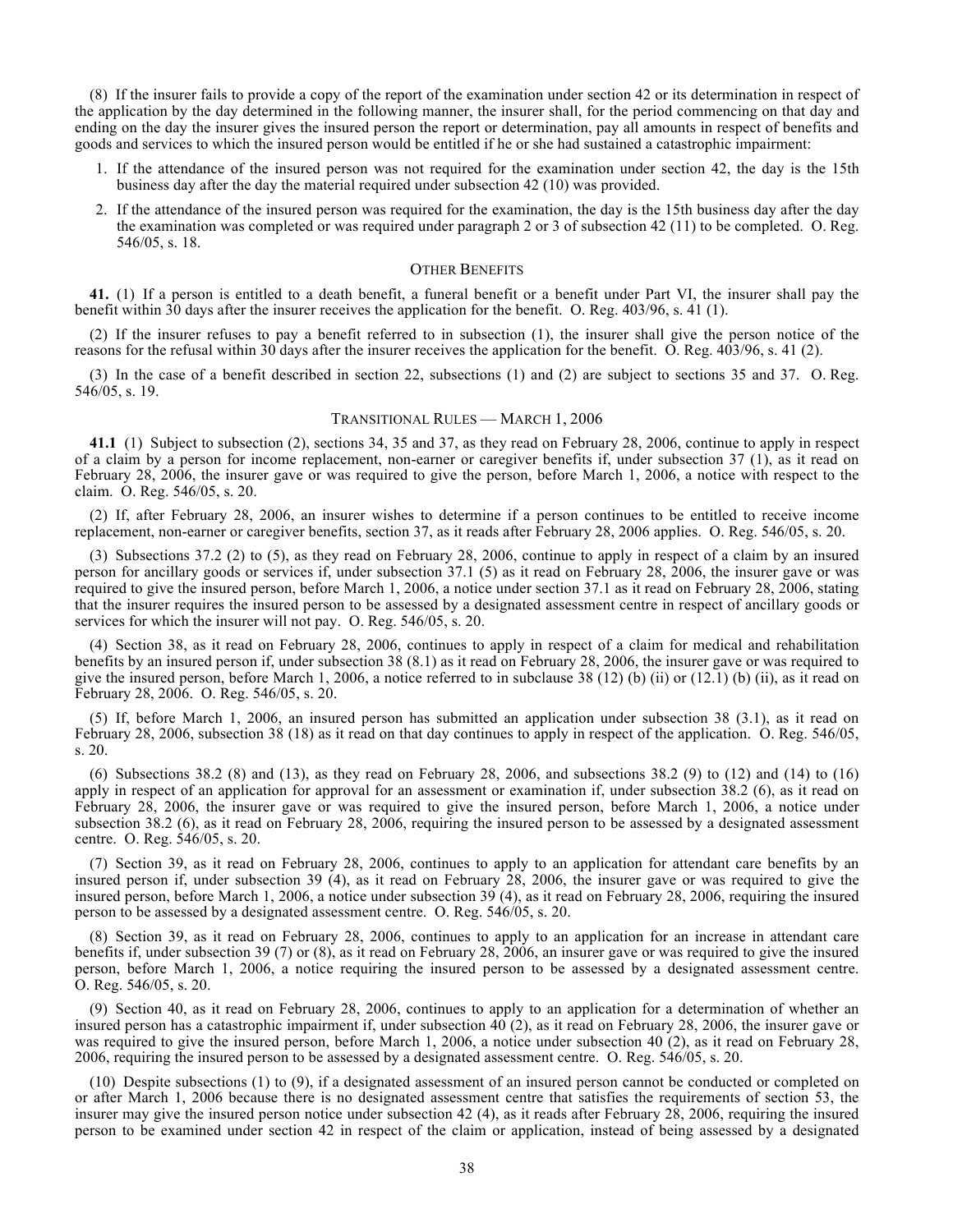(8) If the insurer fails to provide a copy of the report of the examination under section 42 or its determination in respect of the application by the day determined in the following manner, the insurer shall, for the period commencing on that day and ending on the day the insurer gives the insured person the report or determination, pay all amounts in respect of benefits and goods and services to which the insured person would be entitled if he or she had sustained a catastrophic impairment:

- 1. If the attendance of the insured person was not required for the examination under section 42, the day is the 15th business day after the day the material required under subsection 42 (10) was provided.
- 2. If the attendance of the insured person was required for the examination, the day is the 15th business day after the day the examination was completed or was required under paragraph 2 or 3 of subsection 42 (11) to be completed. O. Reg. 546/05, s. 18.

#### OTHER BENEFITS

**41.** (1) If a person is entitled to a death benefit, a funeral benefit or a benefit under Part VI, the insurer shall pay the benefit within 30 days after the insurer receives the application for the benefit. O. Reg. 403/96, s. 41 (1).

(2) If the insurer refuses to pay a benefit referred to in subsection (1), the insurer shall give the person notice of the reasons for the refusal within 30 days after the insurer receives the application for the benefit. O. Reg. 403/96, s. 41 (2).

(3) In the case of a benefit described in section 22, subsections (1) and (2) are subject to sections 35 and 37. O. Reg. 546/05, s. 19.

#### TRANSITIONAL RULES — MARCH 1, 2006

**41.1** (1) Subject to subsection (2), sections 34, 35 and 37, as they read on February 28, 2006, continue to apply in respect of a claim by a person for income replacement, non-earner or caregiver benefits if, under subsection 37 (1), as it read on February 28, 2006, the insurer gave or was required to give the person, before March 1, 2006, a notice with respect to the claim. O. Reg. 546/05, s. 20.

(2) If, after February 28, 2006, an insurer wishes to determine if a person continues to be entitled to receive income replacement, non-earner or caregiver benefits, section 37, as it reads after February 28, 2006 applies. O. Reg. 546/05, s. 20.

(3) Subsections 37.2 (2) to (5), as they read on February 28, 2006, continue to apply in respect of a claim by an insured person for ancillary goods or services if, under subsection 37.1 (5) as it read on February 28, 2006, the insurer gave or was required to give the insured person, before March 1, 2006, a notice under section 37.1 as it read on February 28, 2006, stating that the insurer requires the insured person to be assessed by a designated assessment centre in respect of ancillary goods or services for which the insurer will not pay. O. Reg. 546/05, s. 20.

(4) Section 38, as it read on February 28, 2006, continues to apply in respect of a claim for medical and rehabilitation benefits by an insured person if, under subsection 38 (8.1) as it read on February 28, 2006, the insurer gave or was required to give the insured person, before March 1, 2006, a notice referred to in subclause 38 (12) (b) (ii) or (12.1) (b) (ii), as it read on February 28, 2006. O. Reg. 546/05, s. 20.

(5) If, before March 1, 2006, an insured person has submitted an application under subsection 38 (3.1), as it read on February 28, 2006, subsection 38 (18) as it read on that day continues to apply in respect of the application. O. Reg. 546/05, s. 20.

(6) Subsections 38.2 (8) and (13), as they read on February 28, 2006, and subsections 38.2 (9) to (12) and (14) to (16) apply in respect of an application for approval for an assessment or examination if, under subsection 38.2 (6), as it read on February 28, 2006, the insurer gave or was required to give the insured person, before March 1, 2006, a notice under subsection 38.2 (6), as it read on February 28, 2006, requiring the insured person to be assessed by a designated assessment centre. O. Reg. 546/05, s. 20.

(7) Section 39, as it read on February 28, 2006, continues to apply to an application for attendant care benefits by an insured person if, under subsection 39 (4), as it read on February 28, 2006, the insurer gave or was required to give the insured person, before March 1, 2006, a notice under subsection 39 (4), as it read on February 28, 2006, requiring the insured person to be assessed by a designated assessment centre. O. Reg. 546/05, s. 20.

(8) Section 39, as it read on February 28, 2006, continues to apply to an application for an increase in attendant care benefits if, under subsection 39 (7) or (8), as it read on February 28, 2006, an insurer gave or was required to give the insured person, before March 1, 2006, a notice requiring the insured person to be assessed by a designated assessment centre. O. Reg. 546/05, s. 20.

(9) Section 40, as it read on February 28, 2006, continues to apply to an application for a determination of whether an insured person has a catastrophic impairment if, under subsection 40 (2), as it read on February 28, 2006, the insurer gave or was required to give the insured person, before March 1, 2006, a notice under subsection 40 (2), as it read on February 28, 2006, requiring the insured person to be assessed by a designated assessment centre. O. Reg. 546/05, s. 20.

(10) Despite subsections (1) to (9), if a designated assessment of an insured person cannot be conducted or completed on or after March 1, 2006 because there is no designated assessment centre that satisfies the requirements of section 53, the insurer may give the insured person notice under subsection 42 (4), as it reads after February 28, 2006, requiring the insured person to be examined under section 42 in respect of the claim or application, instead of being assessed by a designated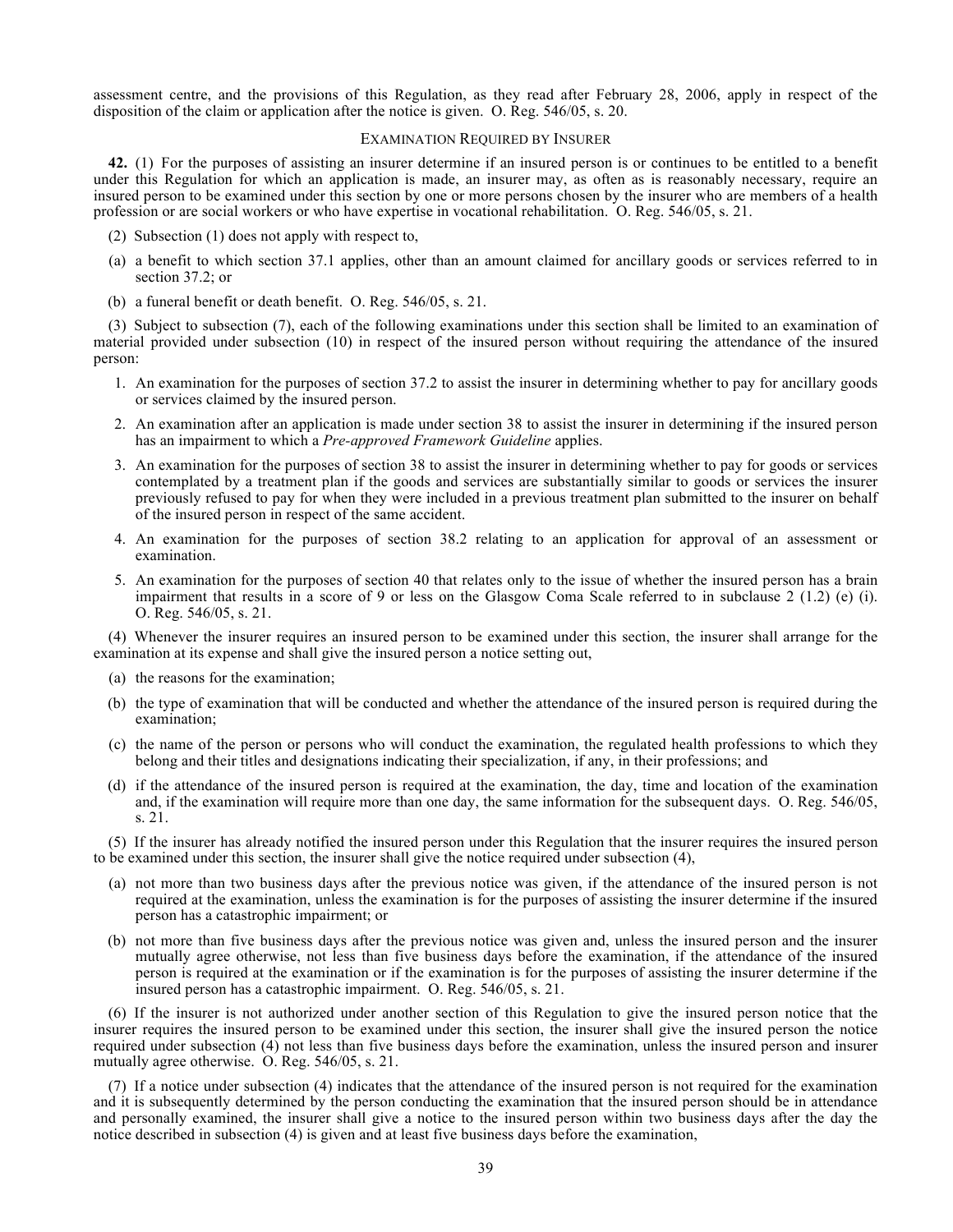assessment centre, and the provisions of this Regulation, as they read after February 28, 2006, apply in respect of the disposition of the claim or application after the notice is given. O. Reg. 546/05, s. 20.

## EXAMINATION REQUIRED BY INSURER

**42.** (1) For the purposes of assisting an insurer determine if an insured person is or continues to be entitled to a benefit under this Regulation for which an application is made, an insurer may, as often as is reasonably necessary, require an insured person to be examined under this section by one or more persons chosen by the insurer who are members of a health profession or are social workers or who have expertise in vocational rehabilitation. O. Reg. 546/05, s. 21.

- (2) Subsection (1) does not apply with respect to,
- (a) a benefit to which section 37.1 applies, other than an amount claimed for ancillary goods or services referred to in section 37.2; or
- (b) a funeral benefit or death benefit. O. Reg. 546/05, s. 21.

(3) Subject to subsection (7), each of the following examinations under this section shall be limited to an examination of material provided under subsection (10) in respect of the insured person without requiring the attendance of the insured person:

- 1. An examination for the purposes of section 37.2 to assist the insurer in determining whether to pay for ancillary goods or services claimed by the insured person.
- 2. An examination after an application is made under section 38 to assist the insurer in determining if the insured person has an impairment to which a *Pre-approved Framework Guideline* applies.
- 3. An examination for the purposes of section 38 to assist the insurer in determining whether to pay for goods or services contemplated by a treatment plan if the goods and services are substantially similar to goods or services the insurer previously refused to pay for when they were included in a previous treatment plan submitted to the insurer on behalf of the insured person in respect of the same accident.
- 4. An examination for the purposes of section 38.2 relating to an application for approval of an assessment or examination.
- 5. An examination for the purposes of section 40 that relates only to the issue of whether the insured person has a brain impairment that results in a score of 9 or less on the Glasgow Coma Scale referred to in subclause 2 (1.2) (e) (i). O. Reg. 546/05, s. 21.

(4) Whenever the insurer requires an insured person to be examined under this section, the insurer shall arrange for the examination at its expense and shall give the insured person a notice setting out,

- (a) the reasons for the examination;
- (b) the type of examination that will be conducted and whether the attendance of the insured person is required during the examination;
- (c) the name of the person or persons who will conduct the examination, the regulated health professions to which they belong and their titles and designations indicating their specialization, if any, in their professions; and
- (d) if the attendance of the insured person is required at the examination, the day, time and location of the examination and, if the examination will require more than one day, the same information for the subsequent days. O. Reg. 546/05, s. 21.

(5) If the insurer has already notified the insured person under this Regulation that the insurer requires the insured person to be examined under this section, the insurer shall give the notice required under subsection (4),

- (a) not more than two business days after the previous notice was given, if the attendance of the insured person is not required at the examination, unless the examination is for the purposes of assisting the insurer determine if the insured person has a catastrophic impairment; or
- (b) not more than five business days after the previous notice was given and, unless the insured person and the insurer mutually agree otherwise, not less than five business days before the examination, if the attendance of the insured person is required at the examination or if the examination is for the purposes of assisting the insurer determine if the insured person has a catastrophic impairment. O. Reg. 546/05, s. 21.

(6) If the insurer is not authorized under another section of this Regulation to give the insured person notice that the insurer requires the insured person to be examined under this section, the insurer shall give the insured person the notice required under subsection (4) not less than five business days before the examination, unless the insured person and insurer mutually agree otherwise. O. Reg. 546/05, s. 21.

(7) If a notice under subsection (4) indicates that the attendance of the insured person is not required for the examination and it is subsequently determined by the person conducting the examination that the insured person should be in attendance and personally examined, the insurer shall give a notice to the insured person within two business days after the day the notice described in subsection (4) is given and at least five business days before the examination,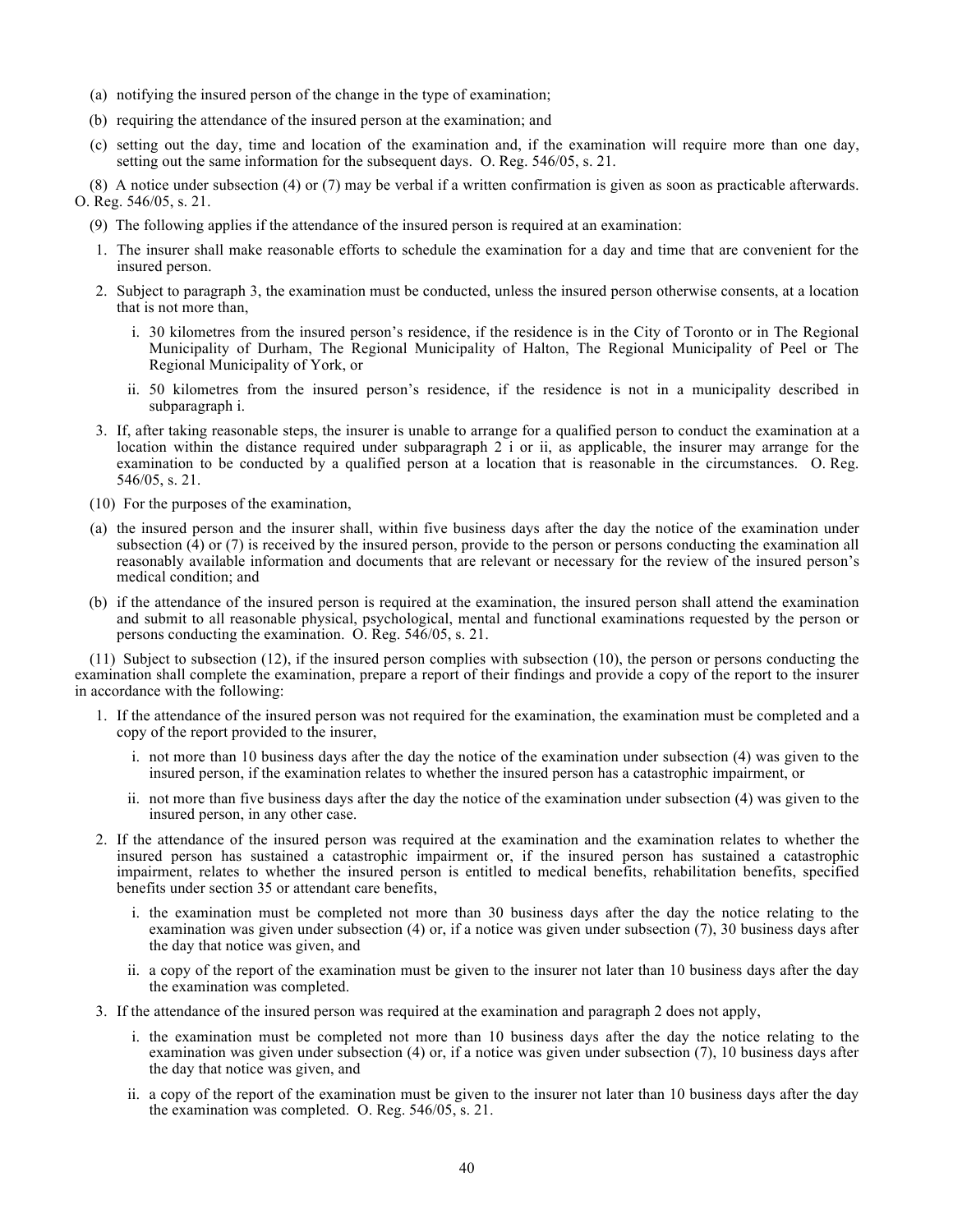- (a) notifying the insured person of the change in the type of examination;
- (b) requiring the attendance of the insured person at the examination; and
- (c) setting out the day, time and location of the examination and, if the examination will require more than one day, setting out the same information for the subsequent days. O. Reg. 546/05, s. 21.

(8) A notice under subsection (4) or (7) may be verbal if a written confirmation is given as soon as practicable afterwards. O. Reg. 546/05, s. 21.

- (9) The following applies if the attendance of the insured person is required at an examination:
- 1. The insurer shall make reasonable efforts to schedule the examination for a day and time that are convenient for the insured person.
- 2. Subject to paragraph 3, the examination must be conducted, unless the insured person otherwise consents, at a location that is not more than,
	- i. 30 kilometres from the insured person's residence, if the residence is in the City of Toronto or in The Regional Municipality of Durham, The Regional Municipality of Halton, The Regional Municipality of Peel or The Regional Municipality of York, or
	- ii. 50 kilometres from the insured person's residence, if the residence is not in a municipality described in subparagraph i.
- 3. If, after taking reasonable steps, the insurer is unable to arrange for a qualified person to conduct the examination at a location within the distance required under subparagraph 2 i or ii, as applicable, the insurer may arrange for the examination to be conducted by a qualified person at a location that is reasonable in the circumstances. O. Reg. 546/05, s. 21.
- (10) For the purposes of the examination,
- (a) the insured person and the insurer shall, within five business days after the day the notice of the examination under subsection (4) or (7) is received by the insured person, provide to the person or persons conducting the examination all reasonably available information and documents that are relevant or necessary for the review of the insured person's medical condition; and
- (b) if the attendance of the insured person is required at the examination, the insured person shall attend the examination and submit to all reasonable physical, psychological, mental and functional examinations requested by the person or persons conducting the examination. O. Reg. 546/05, s. 21.

(11) Subject to subsection (12), if the insured person complies with subsection (10), the person or persons conducting the examination shall complete the examination, prepare a report of their findings and provide a copy of the report to the insurer in accordance with the following:

- 1. If the attendance of the insured person was not required for the examination, the examination must be completed and a copy of the report provided to the insurer,
	- i. not more than 10 business days after the day the notice of the examination under subsection (4) was given to the insured person, if the examination relates to whether the insured person has a catastrophic impairment, or
	- ii. not more than five business days after the day the notice of the examination under subsection (4) was given to the insured person, in any other case.
- 2. If the attendance of the insured person was required at the examination and the examination relates to whether the insured person has sustained a catastrophic impairment or, if the insured person has sustained a catastrophic impairment, relates to whether the insured person is entitled to medical benefits, rehabilitation benefits, specified benefits under section 35 or attendant care benefits,
	- i. the examination must be completed not more than 30 business days after the day the notice relating to the examination was given under subsection (4) or, if a notice was given under subsection (7), 30 business days after the day that notice was given, and
	- ii. a copy of the report of the examination must be given to the insurer not later than 10 business days after the day the examination was completed.
- 3. If the attendance of the insured person was required at the examination and paragraph 2 does not apply,
	- i. the examination must be completed not more than 10 business days after the day the notice relating to the examination was given under subsection (4) or, if a notice was given under subsection (7), 10 business days after the day that notice was given, and
	- ii. a copy of the report of the examination must be given to the insurer not later than 10 business days after the day the examination was completed. O. Reg. 546/05, s. 21.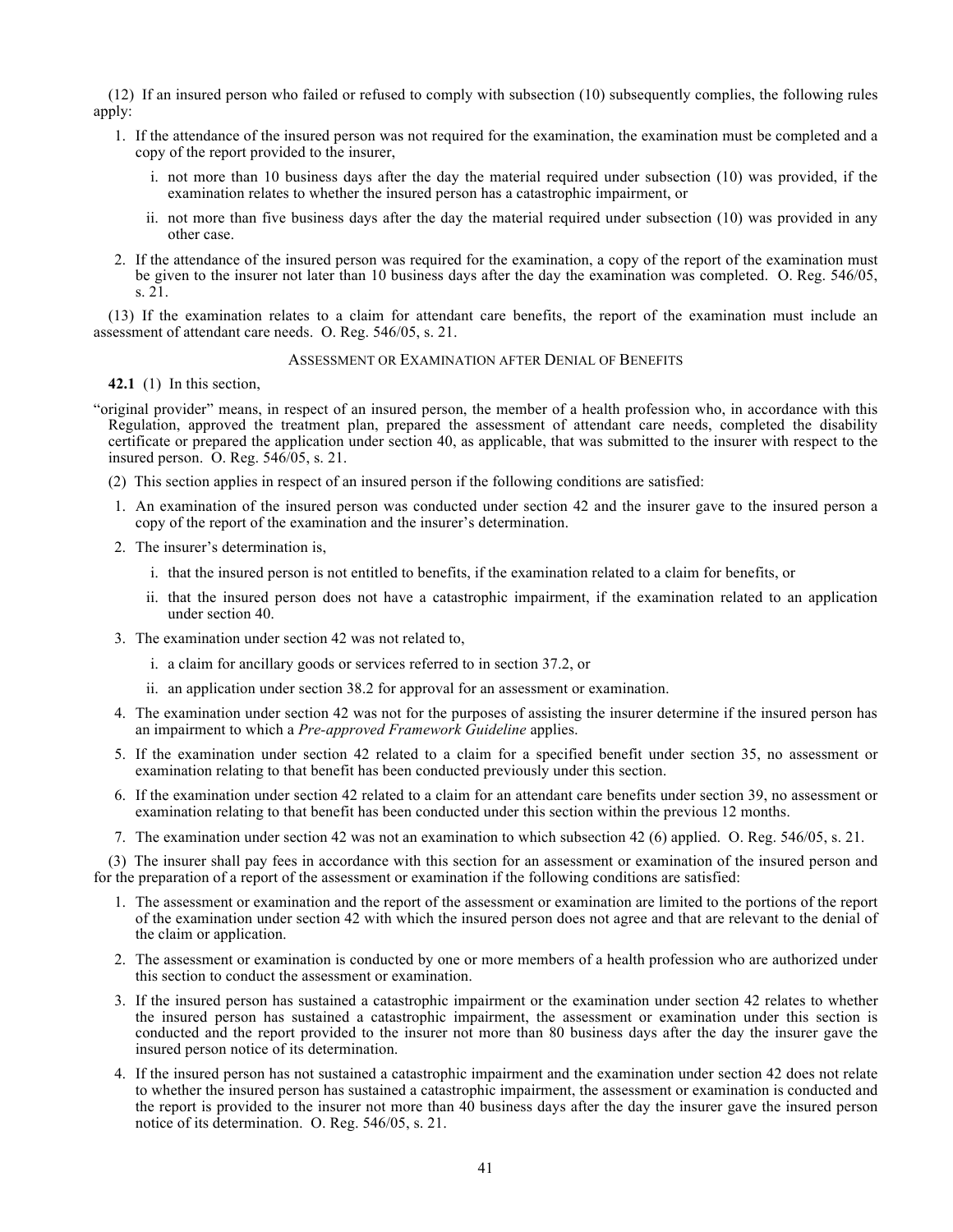(12) If an insured person who failed or refused to comply with subsection (10) subsequently complies, the following rules apply:

- 1. If the attendance of the insured person was not required for the examination, the examination must be completed and a copy of the report provided to the insurer,
	- i. not more than 10 business days after the day the material required under subsection (10) was provided, if the examination relates to whether the insured person has a catastrophic impairment, or
	- ii. not more than five business days after the day the material required under subsection (10) was provided in any other case.
- 2. If the attendance of the insured person was required for the examination, a copy of the report of the examination must be given to the insurer not later than 10 business days after the day the examination was completed. O. Reg. 546/05, s. 21.

(13) If the examination relates to a claim for attendant care benefits, the report of the examination must include an assessment of attendant care needs. O. Reg. 546/05, s. 21.

## ASSESSMENT OR EXAMINATION AFTER DENIAL OF BENEFITS

**42.1** (1) In this section,

- "original provider" means, in respect of an insured person, the member of a health profession who, in accordance with this Regulation, approved the treatment plan, prepared the assessment of attendant care needs, completed the disability certificate or prepared the application under section 40, as applicable, that was submitted to the insurer with respect to the insured person. O. Reg. 546/05, s. 21.
	- (2) This section applies in respect of an insured person if the following conditions are satisfied:
	- 1. An examination of the insured person was conducted under section 42 and the insurer gave to the insured person a copy of the report of the examination and the insurer's determination.
	- 2. The insurer's determination is,
		- i. that the insured person is not entitled to benefits, if the examination related to a claim for benefits, or
		- ii. that the insured person does not have a catastrophic impairment, if the examination related to an application under section 40.
	- 3. The examination under section 42 was not related to,
		- i. a claim for ancillary goods or services referred to in section 37.2, or
		- ii. an application under section 38.2 for approval for an assessment or examination.
	- 4. The examination under section 42 was not for the purposes of assisting the insurer determine if the insured person has an impairment to which a *Pre-approved Framework Guideline* applies.
	- 5. If the examination under section 42 related to a claim for a specified benefit under section 35, no assessment or examination relating to that benefit has been conducted previously under this section.
	- 6. If the examination under section 42 related to a claim for an attendant care benefits under section 39, no assessment or examination relating to that benefit has been conducted under this section within the previous 12 months.
	- 7. The examination under section 42 was not an examination to which subsection 42 (6) applied. O. Reg. 546/05, s. 21.

(3) The insurer shall pay fees in accordance with this section for an assessment or examination of the insured person and for the preparation of a report of the assessment or examination if the following conditions are satisfied:

- 1. The assessment or examination and the report of the assessment or examination are limited to the portions of the report of the examination under section 42 with which the insured person does not agree and that are relevant to the denial of the claim or application.
- 2. The assessment or examination is conducted by one or more members of a health profession who are authorized under this section to conduct the assessment or examination.
- 3. If the insured person has sustained a catastrophic impairment or the examination under section 42 relates to whether the insured person has sustained a catastrophic impairment, the assessment or examination under this section is conducted and the report provided to the insurer not more than 80 business days after the day the insurer gave the insured person notice of its determination.
- 4. If the insured person has not sustained a catastrophic impairment and the examination under section 42 does not relate to whether the insured person has sustained a catastrophic impairment, the assessment or examination is conducted and the report is provided to the insurer not more than 40 business days after the day the insurer gave the insured person notice of its determination. O. Reg. 546/05, s. 21.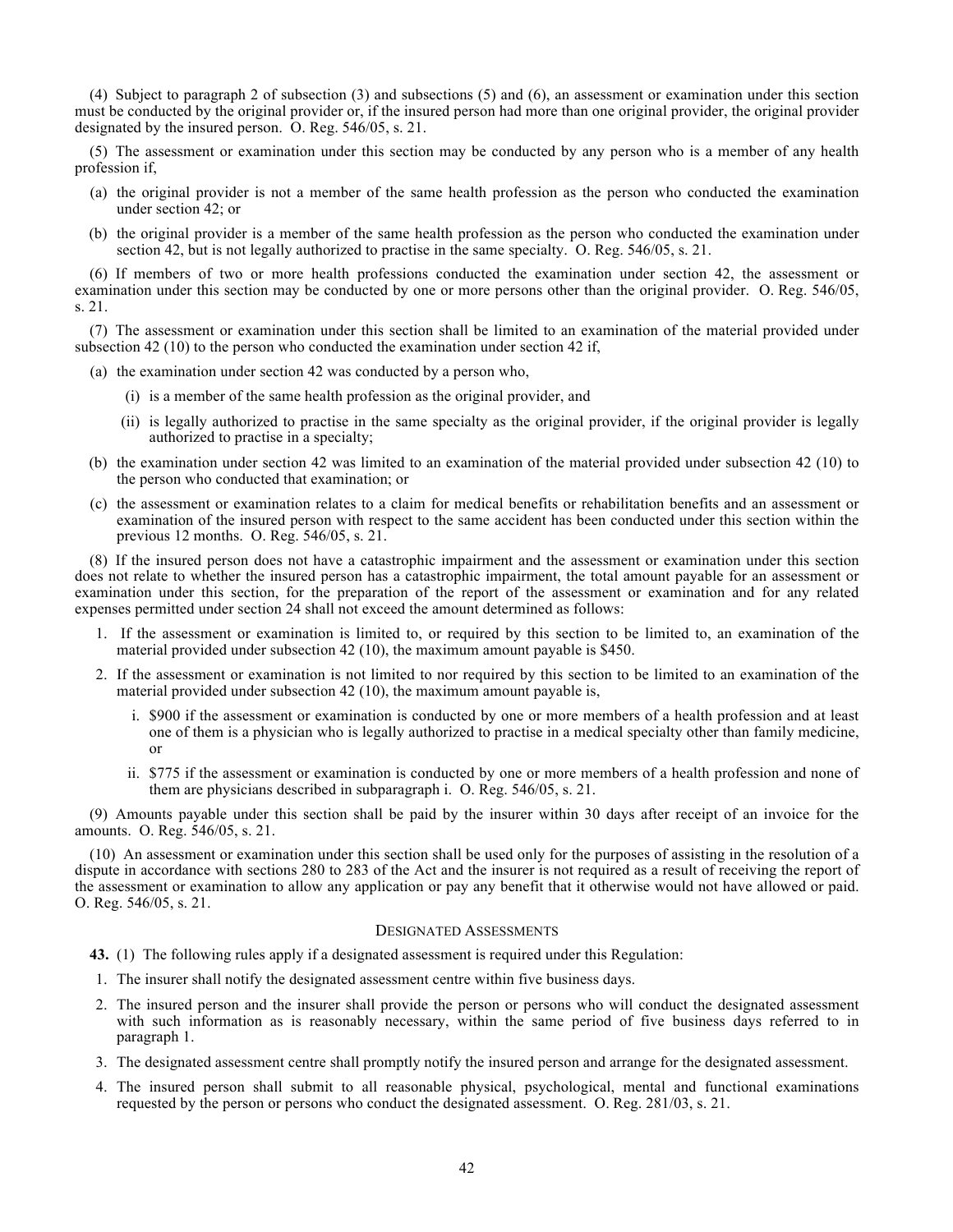(4) Subject to paragraph 2 of subsection (3) and subsections (5) and (6), an assessment or examination under this section must be conducted by the original provider or, if the insured person had more than one original provider, the original provider designated by the insured person. O. Reg. 546/05, s. 21.

(5) The assessment or examination under this section may be conducted by any person who is a member of any health profession if,

- (a) the original provider is not a member of the same health profession as the person who conducted the examination under section 42; or
- (b) the original provider is a member of the same health profession as the person who conducted the examination under section 42, but is not legally authorized to practise in the same specialty. O. Reg. 546/05, s. 21.

(6) If members of two or more health professions conducted the examination under section 42, the assessment or examination under this section may be conducted by one or more persons other than the original provider. O. Reg. 546/05, s. 21.

(7) The assessment or examination under this section shall be limited to an examination of the material provided under subsection 42 (10) to the person who conducted the examination under section 42 if,

- (a) the examination under section 42 was conducted by a person who,
	- (i) is a member of the same health profession as the original provider, and
	- (ii) is legally authorized to practise in the same specialty as the original provider, if the original provider is legally authorized to practise in a specialty;
- (b) the examination under section 42 was limited to an examination of the material provided under subsection 42 (10) to the person who conducted that examination; or
- (c) the assessment or examination relates to a claim for medical benefits or rehabilitation benefits and an assessment or examination of the insured person with respect to the same accident has been conducted under this section within the previous 12 months. O. Reg. 546/05, s. 21.

(8) If the insured person does not have a catastrophic impairment and the assessment or examination under this section does not relate to whether the insured person has a catastrophic impairment, the total amount payable for an assessment or examination under this section, for the preparation of the report of the assessment or examination and for any related expenses permitted under section 24 shall not exceed the amount determined as follows:

- 1. If the assessment or examination is limited to, or required by this section to be limited to, an examination of the material provided under subsection 42 (10), the maximum amount payable is \$450.
- 2. If the assessment or examination is not limited to nor required by this section to be limited to an examination of the material provided under subsection 42 (10), the maximum amount payable is,
	- i. \$900 if the assessment or examination is conducted by one or more members of a health profession and at least one of them is a physician who is legally authorized to practise in a medical specialty other than family medicine, or
	- ii. \$775 if the assessment or examination is conducted by one or more members of a health profession and none of them are physicians described in subparagraph i. O. Reg. 546/05, s. 21.

(9) Amounts payable under this section shall be paid by the insurer within 30 days after receipt of an invoice for the amounts. O. Reg. 546/05, s. 21.

(10) An assessment or examination under this section shall be used only for the purposes of assisting in the resolution of a dispute in accordance with sections 280 to 283 of the Act and the insurer is not required as a result of receiving the report of the assessment or examination to allow any application or pay any benefit that it otherwise would not have allowed or paid. O. Reg. 546/05, s. 21.

## DESIGNATED ASSESSMENTS

**43.** (1) The following rules apply if a designated assessment is required under this Regulation:

- 1. The insurer shall notify the designated assessment centre within five business days.
- 2. The insured person and the insurer shall provide the person or persons who will conduct the designated assessment with such information as is reasonably necessary, within the same period of five business days referred to in paragraph 1.
- 3. The designated assessment centre shall promptly notify the insured person and arrange for the designated assessment.
- 4. The insured person shall submit to all reasonable physical, psychological, mental and functional examinations requested by the person or persons who conduct the designated assessment. O. Reg. 281/03, s. 21.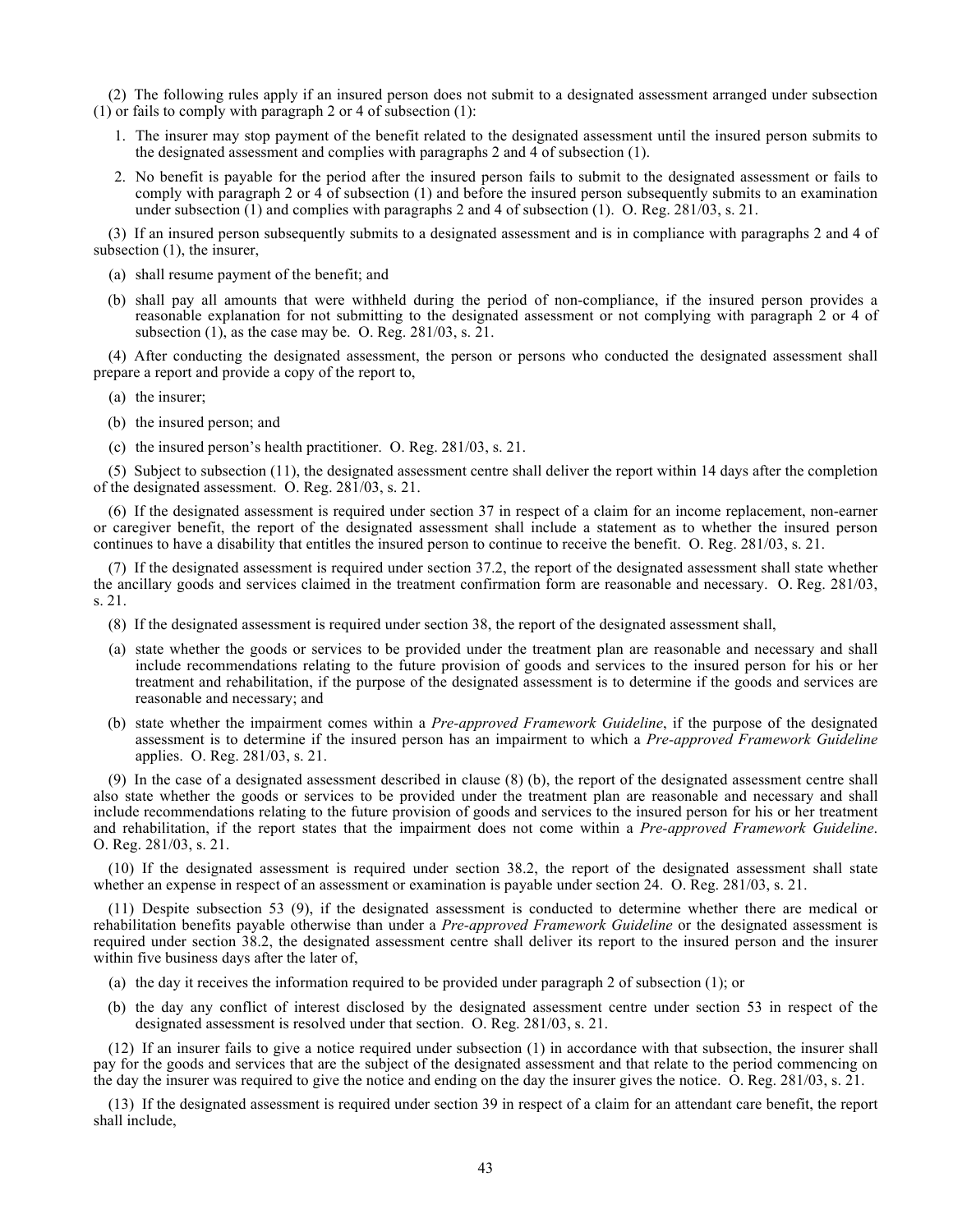(2) The following rules apply if an insured person does not submit to a designated assessment arranged under subsection (1) or fails to comply with paragraph 2 or 4 of subsection (1):

- 1. The insurer may stop payment of the benefit related to the designated assessment until the insured person submits to the designated assessment and complies with paragraphs 2 and 4 of subsection (1).
- 2. No benefit is payable for the period after the insured person fails to submit to the designated assessment or fails to comply with paragraph 2 or 4 of subsection (1) and before the insured person subsequently submits to an examination under subsection (1) and complies with paragraphs 2 and 4 of subsection (1). O. Reg. 281/03, s. 21.

(3) If an insured person subsequently submits to a designated assessment and is in compliance with paragraphs 2 and 4 of subsection (1), the insurer,

- (a) shall resume payment of the benefit; and
- (b) shall pay all amounts that were withheld during the period of non-compliance, if the insured person provides a reasonable explanation for not submitting to the designated assessment or not complying with paragraph 2 or 4 of subsection (1), as the case may be. O. Reg. 281/03, s. 21.

(4) After conducting the designated assessment, the person or persons who conducted the designated assessment shall prepare a report and provide a copy of the report to,

- (a) the insurer;
- (b) the insured person; and
- (c) the insured person's health practitioner. O. Reg. 281/03, s. 21.

(5) Subject to subsection (11), the designated assessment centre shall deliver the report within 14 days after the completion of the designated assessment. O. Reg. 281/03, s. 21.

(6) If the designated assessment is required under section 37 in respect of a claim for an income replacement, non-earner or caregiver benefit, the report of the designated assessment shall include a statement as to whether the insured person continues to have a disability that entitles the insured person to continue to receive the benefit. O. Reg. 281/03, s. 21.

(7) If the designated assessment is required under section 37.2, the report of the designated assessment shall state whether the ancillary goods and services claimed in the treatment confirmation form are reasonable and necessary. O. Reg. 281/03, s. 21.

- (8) If the designated assessment is required under section 38, the report of the designated assessment shall,
- (a) state whether the goods or services to be provided under the treatment plan are reasonable and necessary and shall include recommendations relating to the future provision of goods and services to the insured person for his or her treatment and rehabilitation, if the purpose of the designated assessment is to determine if the goods and services are reasonable and necessary; and
- (b) state whether the impairment comes within a *Pre-approved Framework Guideline*, if the purpose of the designated assessment is to determine if the insured person has an impairment to which a *Pre-approved Framework Guideline* applies. O. Reg. 281/03, s. 21.

(9) In the case of a designated assessment described in clause (8) (b), the report of the designated assessment centre shall also state whether the goods or services to be provided under the treatment plan are reasonable and necessary and shall include recommendations relating to the future provision of goods and services to the insured person for his or her treatment and rehabilitation, if the report states that the impairment does not come within a *Pre-approved Framework Guideline*. O. Reg. 281/03, s. 21.

(10) If the designated assessment is required under section 38.2, the report of the designated assessment shall state whether an expense in respect of an assessment or examination is payable under section 24. O. Reg. 281/03, s. 21.

(11) Despite subsection 53 (9), if the designated assessment is conducted to determine whether there are medical or rehabilitation benefits payable otherwise than under a *Pre-approved Framework Guideline* or the designated assessment is required under section 38.2, the designated assessment centre shall deliver its report to the insured person and the insurer within five business days after the later of,

- (a) the day it receives the information required to be provided under paragraph 2 of subsection (1); or
- (b) the day any conflict of interest disclosed by the designated assessment centre under section 53 in respect of the designated assessment is resolved under that section. O. Reg. 281/03, s. 21.

(12) If an insurer fails to give a notice required under subsection (1) in accordance with that subsection, the insurer shall pay for the goods and services that are the subject of the designated assessment and that relate to the period commencing on the day the insurer was required to give the notice and ending on the day the insurer gives the notice. O. Reg. 281/03, s. 21.

(13) If the designated assessment is required under section 39 in respect of a claim for an attendant care benefit, the report shall include,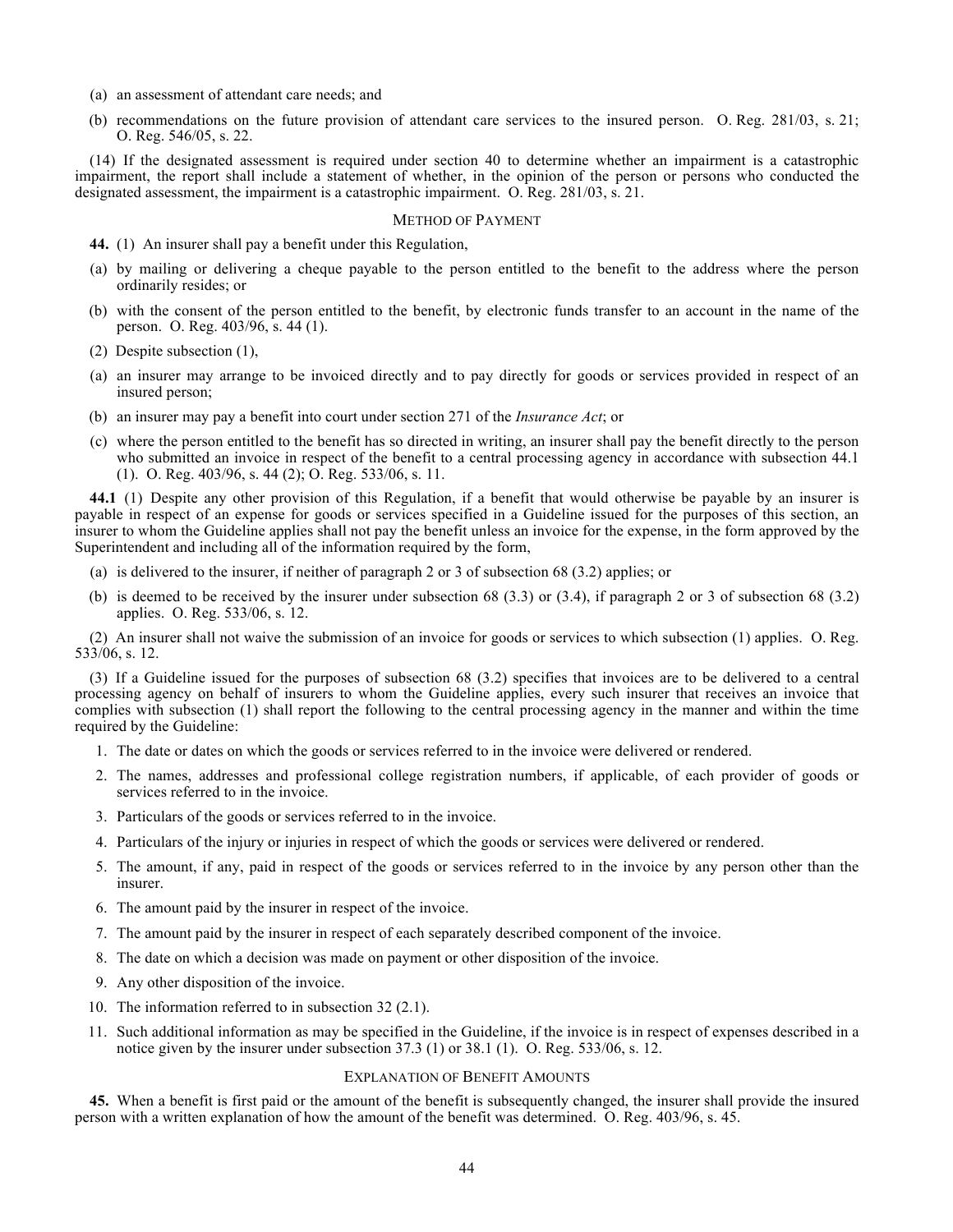- (a) an assessment of attendant care needs; and
- (b) recommendations on the future provision of attendant care services to the insured person. O. Reg. 281/03, s. 21; O. Reg. 546/05, s. 22.

(14) If the designated assessment is required under section 40 to determine whether an impairment is a catastrophic impairment, the report shall include a statement of whether, in the opinion of the person or persons who conducted the designated assessment, the impairment is a catastrophic impairment. O. Reg. 281/03, s. 21.

## METHOD OF PAYMENT

- **44.** (1) An insurer shall pay a benefit under this Regulation,
- (a) by mailing or delivering a cheque payable to the person entitled to the benefit to the address where the person ordinarily resides; or
- (b) with the consent of the person entitled to the benefit, by electronic funds transfer to an account in the name of the person. O. Reg. 403/96, s. 44 (1).
- (2) Despite subsection (1),
- (a) an insurer may arrange to be invoiced directly and to pay directly for goods or services provided in respect of an insured person;
- (b) an insurer may pay a benefit into court under section 271 of the *Insurance Act*; or
- (c) where the person entitled to the benefit has so directed in writing, an insurer shall pay the benefit directly to the person who submitted an invoice in respect of the benefit to a central processing agency in accordance with subsection 44.1 (1). O. Reg. 403/96, s. 44 (2); O. Reg. 533/06, s. 11.

**44.1** (1) Despite any other provision of this Regulation, if a benefit that would otherwise be payable by an insurer is payable in respect of an expense for goods or services specified in a Guideline issued for the purposes of this section, an insurer to whom the Guideline applies shall not pay the benefit unless an invoice for the expense, in the form approved by the Superintendent and including all of the information required by the form,

- (a) is delivered to the insurer, if neither of paragraph 2 or 3 of subsection 68 (3.2) applies; or
- (b) is deemed to be received by the insurer under subsection 68 (3.3) or (3.4), if paragraph 2 or 3 of subsection 68 (3.2) applies. O. Reg. 533/06, s. 12.

(2) An insurer shall not waive the submission of an invoice for goods or services to which subsection (1) applies. O. Reg. 533/06, s. 12.

(3) If a Guideline issued for the purposes of subsection 68 (3.2) specifies that invoices are to be delivered to a central processing agency on behalf of insurers to whom the Guideline applies, every such insurer that receives an invoice that complies with subsection (1) shall report the following to the central processing agency in the manner and within the time required by the Guideline:

- 1. The date or dates on which the goods or services referred to in the invoice were delivered or rendered.
- 2. The names, addresses and professional college registration numbers, if applicable, of each provider of goods or services referred to in the invoice.
- 3. Particulars of the goods or services referred to in the invoice.
- 4. Particulars of the injury or injuries in respect of which the goods or services were delivered or rendered.
- 5. The amount, if any, paid in respect of the goods or services referred to in the invoice by any person other than the insurer.
- 6. The amount paid by the insurer in respect of the invoice.
- 7. The amount paid by the insurer in respect of each separately described component of the invoice.
- 8. The date on which a decision was made on payment or other disposition of the invoice.
- 9. Any other disposition of the invoice.
- 10. The information referred to in subsection 32 (2.1).
- 11. Such additional information as may be specified in the Guideline, if the invoice is in respect of expenses described in a notice given by the insurer under subsection 37.3 (1) or 38.1 (1). O. Reg. 533/06, s. 12.

## EXPLANATION OF BENEFIT AMOUNTS

**45.** When a benefit is first paid or the amount of the benefit is subsequently changed, the insurer shall provide the insured person with a written explanation of how the amount of the benefit was determined. O. Reg. 403/96, s. 45.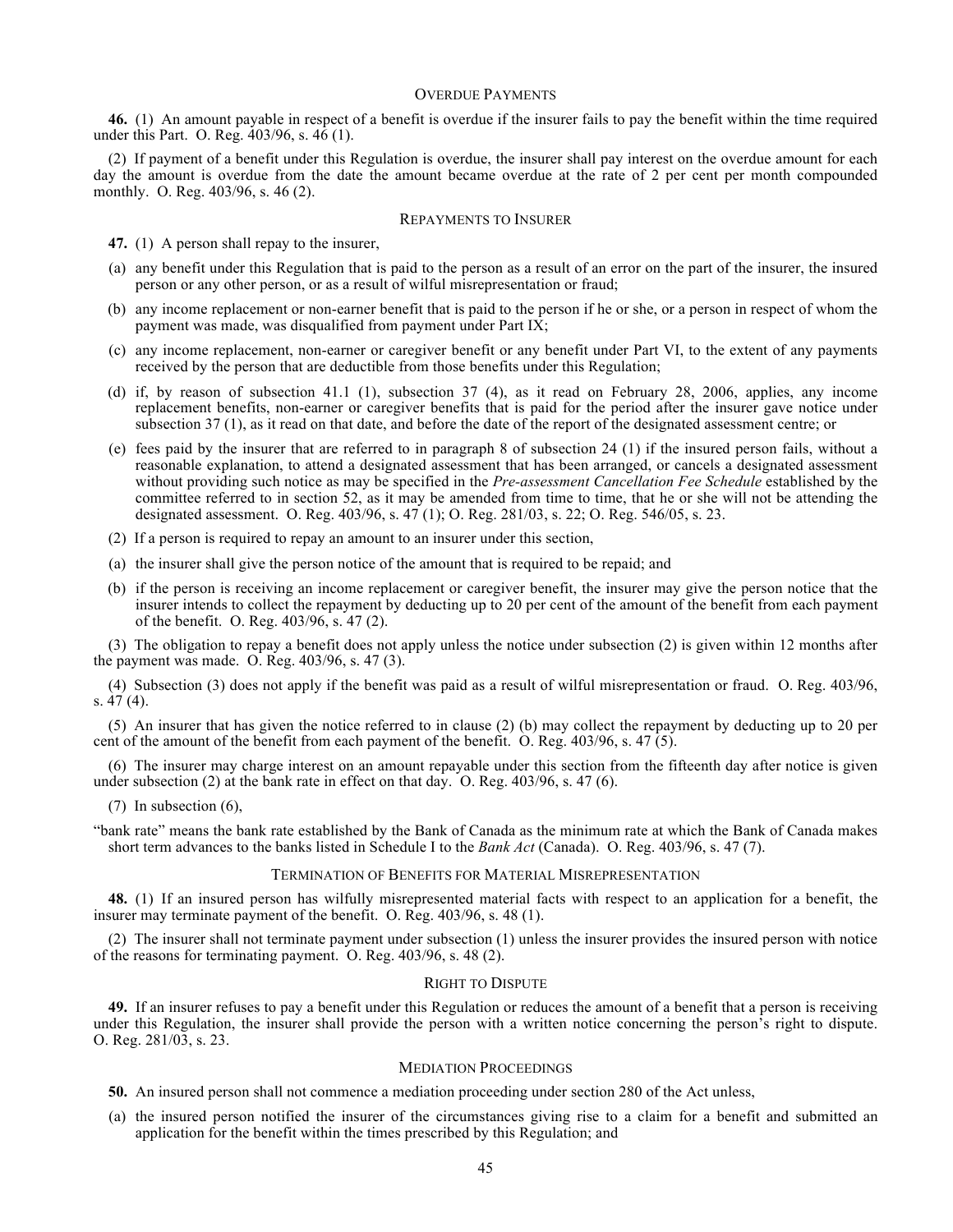## OVERDUE PAYMENTS

**46.** (1) An amount payable in respect of a benefit is overdue if the insurer fails to pay the benefit within the time required under this Part. O. Reg. 403/96, s. 46 (1).

(2) If payment of a benefit under this Regulation is overdue, the insurer shall pay interest on the overdue amount for each day the amount is overdue from the date the amount became overdue at the rate of 2 per cent per month compounded monthly. O. Reg. 403/96, s. 46 (2).

## REPAYMENTS TO INSURER

- **47.** (1) A person shall repay to the insurer,
- (a) any benefit under this Regulation that is paid to the person as a result of an error on the part of the insurer, the insured person or any other person, or as a result of wilful misrepresentation or fraud;
- (b) any income replacement or non-earner benefit that is paid to the person if he or she, or a person in respect of whom the payment was made, was disqualified from payment under Part IX;
- (c) any income replacement, non-earner or caregiver benefit or any benefit under Part VI, to the extent of any payments received by the person that are deductible from those benefits under this Regulation;
- (d) if, by reason of subsection 41.1 (1), subsection 37 (4), as it read on February 28, 2006, applies, any income replacement benefits, non-earner or caregiver benefits that is paid for the period after the insurer gave notice under subsection 37 (1), as it read on that date, and before the date of the report of the designated assessment centre; or
- (e) fees paid by the insurer that are referred to in paragraph 8 of subsection 24 (1) if the insured person fails, without a reasonable explanation, to attend a designated assessment that has been arranged, or cancels a designated assessment without providing such notice as may be specified in the *Pre-assessment Cancellation Fee Schedule* established by the committee referred to in section 52, as it may be amended from time to time, that he or she will not be attending the designated assessment. O. Reg. 403/96, s. 47 (1); O. Reg. 281/03, s. 22; O. Reg. 546/05, s. 23.
- (2) If a person is required to repay an amount to an insurer under this section,
- (a) the insurer shall give the person notice of the amount that is required to be repaid; and
- (b) if the person is receiving an income replacement or caregiver benefit, the insurer may give the person notice that the insurer intends to collect the repayment by deducting up to 20 per cent of the amount of the benefit from each payment of the benefit. O. Reg. 403/96, s. 47 (2).

(3) The obligation to repay a benefit does not apply unless the notice under subsection (2) is given within 12 months after the payment was made. O. Reg. 403/96, s. 47 (3).

(4) Subsection (3) does not apply if the benefit was paid as a result of wilful misrepresentation or fraud. O. Reg. 403/96, s. 47 (4).

(5) An insurer that has given the notice referred to in clause (2) (b) may collect the repayment by deducting up to 20 per cent of the amount of the benefit from each payment of the benefit. O. Reg. 403/96, s. 47 (5).

(6) The insurer may charge interest on an amount repayable under this section from the fifteenth day after notice is given under subsection (2) at the bank rate in effect on that day. O. Reg. 403/96, s. 47 (6).

(7) In subsection (6),

"bank rate" means the bank rate established by the Bank of Canada as the minimum rate at which the Bank of Canada makes short term advances to the banks listed in Schedule I to the *Bank Act* (Canada). O. Reg. 403/96, s. 47 (7).

### TERMINATION OF BENEFITS FOR MATERIAL MISREPRESENTATION

**48.** (1) If an insured person has wilfully misrepresented material facts with respect to an application for a benefit, the insurer may terminate payment of the benefit. O. Reg. 403/96, s. 48 (1).

(2) The insurer shall not terminate payment under subsection (1) unless the insurer provides the insured person with notice of the reasons for terminating payment. O. Reg. 403/96, s. 48 (2).

## RIGHT TO DISPUTE

**49.** If an insurer refuses to pay a benefit under this Regulation or reduces the amount of a benefit that a person is receiving under this Regulation, the insurer shall provide the person with a written notice concerning the person's right to dispute. O. Reg. 281/03, s. 23.

### MEDIATION PROCEEDINGS

**50.** An insured person shall not commence a mediation proceeding under section 280 of the Act unless,

(a) the insured person notified the insurer of the circumstances giving rise to a claim for a benefit and submitted an application for the benefit within the times prescribed by this Regulation; and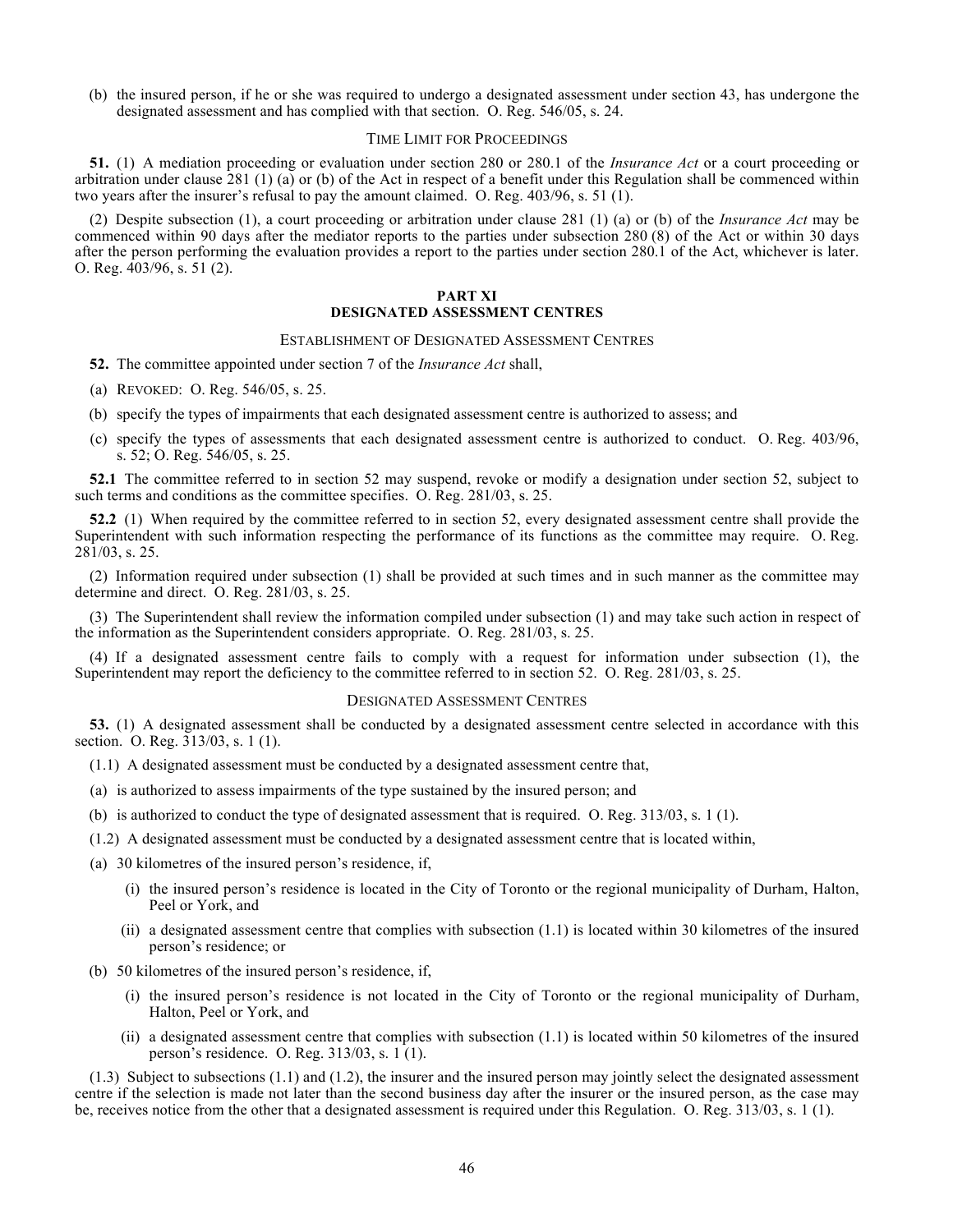(b) the insured person, if he or she was required to undergo a designated assessment under section 43, has undergone the designated assessment and has complied with that section. O. Reg. 546/05, s. 24.

## TIME LIMIT FOR PROCEEDINGS

**51.** (1) A mediation proceeding or evaluation under section 280 or 280.1 of the *Insurance Act* or a court proceeding or arbitration under clause 281 (1) (a) or (b) of the Act in respect of a benefit under this Regulation shall be commenced within two years after the insurer's refusal to pay the amount claimed. O. Reg. 403/96, s. 51 (1).

(2) Despite subsection (1), a court proceeding or arbitration under clause 281 (1) (a) or (b) of the *Insurance Act* may be commenced within 90 days after the mediator reports to the parties under subsection 280 (8) of the Act or within 30 days after the person performing the evaluation provides a report to the parties under section 280.1 of the Act, whichever is later. O. Reg. 403/96, s. 51 (2).

## **PART XI DESIGNATED ASSESSMENT CENTRES**

#### ESTABLISHMENT OF DESIGNATED ASSESSMENT CENTRES

- **52.** The committee appointed under section 7 of the *Insurance Act* shall,
- (a) REVOKED: O. Reg. 546/05, s. 25.
- (b) specify the types of impairments that each designated assessment centre is authorized to assess; and
- (c) specify the types of assessments that each designated assessment centre is authorized to conduct. O. Reg. 403/96, s. 52; O. Reg. 546/05, s. 25.

**52.1** The committee referred to in section 52 may suspend, revoke or modify a designation under section 52, subject to such terms and conditions as the committee specifies. O. Reg.  $281/03$ , s. 25.

**52.2** (1) When required by the committee referred to in section 52, every designated assessment centre shall provide the Superintendent with such information respecting the performance of its functions as the committee may require. O. Reg. 281/03, s. 25.

(2) Information required under subsection (1) shall be provided at such times and in such manner as the committee may determine and direct. O. Reg. 281/03, s. 25.

(3) The Superintendent shall review the information compiled under subsection (1) and may take such action in respect of the information as the Superintendent considers appropriate. O. Reg. 281/03, s. 25.

(4) If a designated assessment centre fails to comply with a request for information under subsection (1), the Superintendent may report the deficiency to the committee referred to in section 52. O. Reg. 281/03, s. 25.

#### DESIGNATED ASSESSMENT CENTRES

**53.** (1) A designated assessment shall be conducted by a designated assessment centre selected in accordance with this section. O. Reg. 313/03, s. 1 (1).

- (1.1) A designated assessment must be conducted by a designated assessment centre that,
- (a) is authorized to assess impairments of the type sustained by the insured person; and
- (b) is authorized to conduct the type of designated assessment that is required. O. Reg. 313/03, s. 1 (1).
- (1.2) A designated assessment must be conducted by a designated assessment centre that is located within,
- (a) 30 kilometres of the insured person's residence, if,
	- (i) the insured person's residence is located in the City of Toronto or the regional municipality of Durham, Halton, Peel or York, and
	- (ii) a designated assessment centre that complies with subsection (1.1) is located within 30 kilometres of the insured person's residence; or
- (b) 50 kilometres of the insured person's residence, if,
	- (i) the insured person's residence is not located in the City of Toronto or the regional municipality of Durham, Halton, Peel or York, and
	- (ii) a designated assessment centre that complies with subsection  $(1.1)$  is located within 50 kilometres of the insured person's residence. O. Reg. 313/03, s. 1 (1).

(1.3) Subject to subsections (1.1) and (1.2), the insurer and the insured person may jointly select the designated assessment centre if the selection is made not later than the second business day after the insurer or the insured person, as the case may be, receives notice from the other that a designated assessment is required under this Regulation. O. Reg. 313/03, s. 1 (1).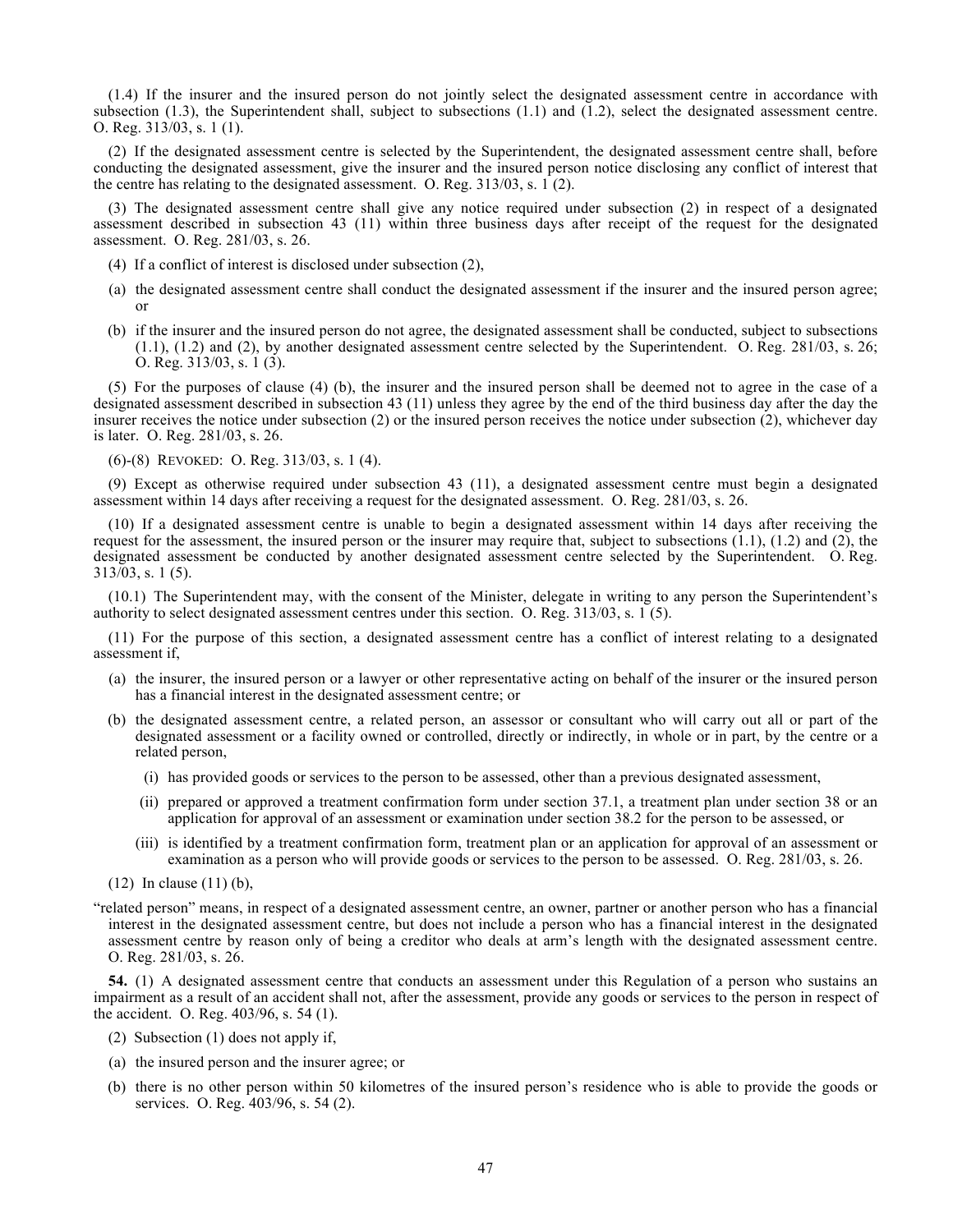(1.4) If the insurer and the insured person do not jointly select the designated assessment centre in accordance with subsection (1.3), the Superintendent shall, subject to subsections (1.1) and (1.2), select the designated assessment centre. O. Reg. 313/03, s. 1 (1).

(2) If the designated assessment centre is selected by the Superintendent, the designated assessment centre shall, before conducting the designated assessment, give the insurer and the insured person notice disclosing any conflict of interest that the centre has relating to the designated assessment. O. Reg. 313/03, s. 1 (2).

(3) The designated assessment centre shall give any notice required under subsection (2) in respect of a designated assessment described in subsection 43 (11) within three business days after receipt of the request for the designated assessment. O. Reg. 281/03, s. 26.

- (4) If a conflict of interest is disclosed under subsection (2),
- (a) the designated assessment centre shall conduct the designated assessment if the insurer and the insured person agree; or
- (b) if the insurer and the insured person do not agree, the designated assessment shall be conducted, subject to subsections (1.1), (1.2) and (2), by another designated assessment centre selected by the Superintendent. O. Reg. 281/03, s. 26; O. Reg. 313/03, s. 1 (3).

(5) For the purposes of clause (4) (b), the insurer and the insured person shall be deemed not to agree in the case of a designated assessment described in subsection 43 (11) unless they agree by the end of the third business day after the day the insurer receives the notice under subsection (2) or the insured person receives the notice under subsection (2), whichever day is later. O. Reg. 281/03, s. 26.

(6)-(8) REVOKED: O. Reg. 313/03, s. 1 (4).

(9) Except as otherwise required under subsection 43 (11), a designated assessment centre must begin a designated assessment within 14 days after receiving a request for the designated assessment. O. Reg. 281/03, s. 26.

(10) If a designated assessment centre is unable to begin a designated assessment within 14 days after receiving the request for the assessment, the insured person or the insurer may require that, subject to subsections (1.1), (1.2) and (2), the designated assessment be conducted by another designated assessment centre selected by the Superintendent. O. Reg. 313/03, s. 1 (5).

(10.1) The Superintendent may, with the consent of the Minister, delegate in writing to any person the Superintendent's authority to select designated assessment centres under this section. O. Reg. 313/03, s. 1 (5).

(11) For the purpose of this section, a designated assessment centre has a conflict of interest relating to a designated assessment if,

- (a) the insurer, the insured person or a lawyer or other representative acting on behalf of the insurer or the insured person has a financial interest in the designated assessment centre; or
- (b) the designated assessment centre, a related person, an assessor or consultant who will carry out all or part of the designated assessment or a facility owned or controlled, directly or indirectly, in whole or in part, by the centre or a related person,
	- (i) has provided goods or services to the person to be assessed, other than a previous designated assessment,
	- (ii) prepared or approved a treatment confirmation form under section 37.1, a treatment plan under section 38 or an application for approval of an assessment or examination under section 38.2 for the person to be assessed, or
	- (iii) is identified by a treatment confirmation form, treatment plan or an application for approval of an assessment or examination as a person who will provide goods or services to the person to be assessed. O. Reg. 281/03, s. 26.
- (12) In clause (11) (b),

"related person" means, in respect of a designated assessment centre, an owner, partner or another person who has a financial interest in the designated assessment centre, but does not include a person who has a financial interest in the designated assessment centre by reason only of being a creditor who deals at arm's length with the designated assessment centre. O. Reg. 281/03, s. 26.

**54.** (1) A designated assessment centre that conducts an assessment under this Regulation of a person who sustains an impairment as a result of an accident shall not, after the assessment, provide any goods or services to the person in respect of the accident. O. Reg. 403/96, s. 54 (1).

- (2) Subsection (1) does not apply if,
- (a) the insured person and the insurer agree; or
- (b) there is no other person within 50 kilometres of the insured person's residence who is able to provide the goods or services. O. Reg. 403/96, s. 54 (2).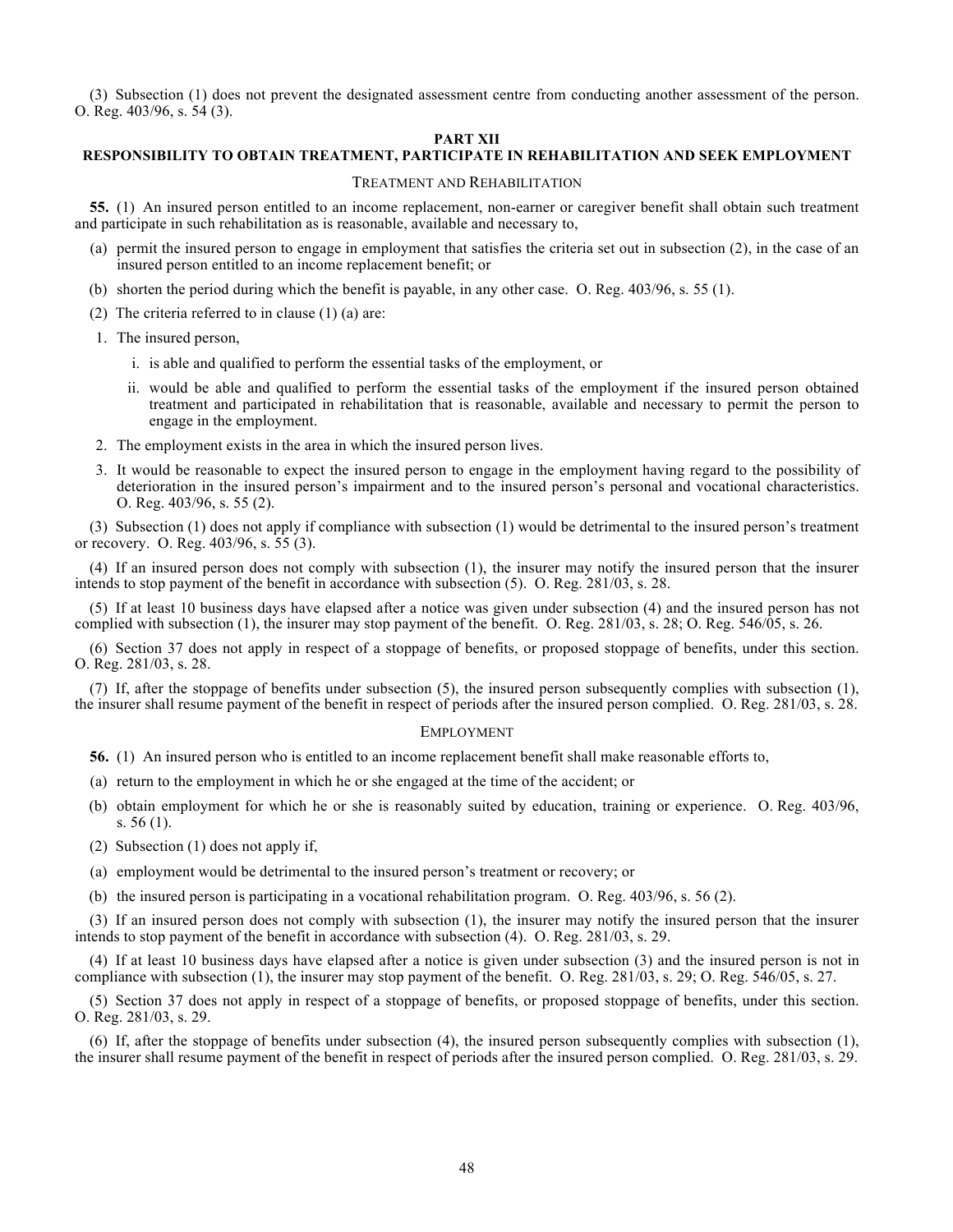(3) Subsection (1) does not prevent the designated assessment centre from conducting another assessment of the person. O. Reg. 403/96, s. 54 (3).

#### **PART XII**

## **RESPONSIBILITY TO OBTAIN TREATMENT, PARTICIPATE IN REHABILITATION AND SEEK EMPLOYMENT**

#### TREATMENT AND REHABILITATION

**55.** (1) An insured person entitled to an income replacement, non-earner or caregiver benefit shall obtain such treatment and participate in such rehabilitation as is reasonable, available and necessary to,

- (a) permit the insured person to engage in employment that satisfies the criteria set out in subsection (2), in the case of an insured person entitled to an income replacement benefit; or
- (b) shorten the period during which the benefit is payable, in any other case. O. Reg. 403/96, s. 55 (1).
- (2) The criteria referred to in clause (1) (a) are:
- 1. The insured person,
	- i. is able and qualified to perform the essential tasks of the employment, or
	- ii. would be able and qualified to perform the essential tasks of the employment if the insured person obtained treatment and participated in rehabilitation that is reasonable, available and necessary to permit the person to engage in the employment.
- 2. The employment exists in the area in which the insured person lives.
- 3. It would be reasonable to expect the insured person to engage in the employment having regard to the possibility of deterioration in the insured person's impairment and to the insured person's personal and vocational characteristics. O. Reg. 403/96, s. 55 (2).

(3) Subsection (1) does not apply if compliance with subsection (1) would be detrimental to the insured person's treatment or recovery. O. Reg. 403/96, s. 55 (3).

(4) If an insured person does not comply with subsection (1), the insurer may notify the insured person that the insurer intends to stop payment of the benefit in accordance with subsection (5). O. Reg. 281/03, s. 28.

(5) If at least 10 business days have elapsed after a notice was given under subsection (4) and the insured person has not complied with subsection (1), the insurer may stop payment of the benefit. O. Reg.  $281/03$ , s.  $28$ ; O. Reg.  $546/05$ , s.  $26$ .

(6) Section 37 does not apply in respect of a stoppage of benefits, or proposed stoppage of benefits, under this section. O. Reg. 281/03, s. 28.

(7) If, after the stoppage of benefits under subsection (5), the insured person subsequently complies with subsection (1), the insurer shall resume payment of the benefit in respect of periods after the insured person complied. O. Reg. 281/03, s. 28.

#### EMPLOYMENT

**56.** (1) An insured person who is entitled to an income replacement benefit shall make reasonable efforts to,

- (a) return to the employment in which he or she engaged at the time of the accident; or
- (b) obtain employment for which he or she is reasonably suited by education, training or experience. O. Reg. 403/96, s. 56 (1).
- (2) Subsection (1) does not apply if,
- (a) employment would be detrimental to the insured person's treatment or recovery; or
- (b) the insured person is participating in a vocational rehabilitation program. O. Reg. 403/96, s. 56 (2).

(3) If an insured person does not comply with subsection (1), the insurer may notify the insured person that the insurer intends to stop payment of the benefit in accordance with subsection (4). O. Reg. 281/03, s. 29.

(4) If at least 10 business days have elapsed after a notice is given under subsection (3) and the insured person is not in compliance with subsection (1), the insurer may stop payment of the benefit. O. Reg. 281/03, s. 29; O. Reg. 546/05, s. 27.

(5) Section 37 does not apply in respect of a stoppage of benefits, or proposed stoppage of benefits, under this section. O. Reg. 281/03, s. 29.

(6) If, after the stoppage of benefits under subsection (4), the insured person subsequently complies with subsection (1), the insurer shall resume payment of the benefit in respect of periods after the insured person complied. O. Reg. 281/03, s. 29.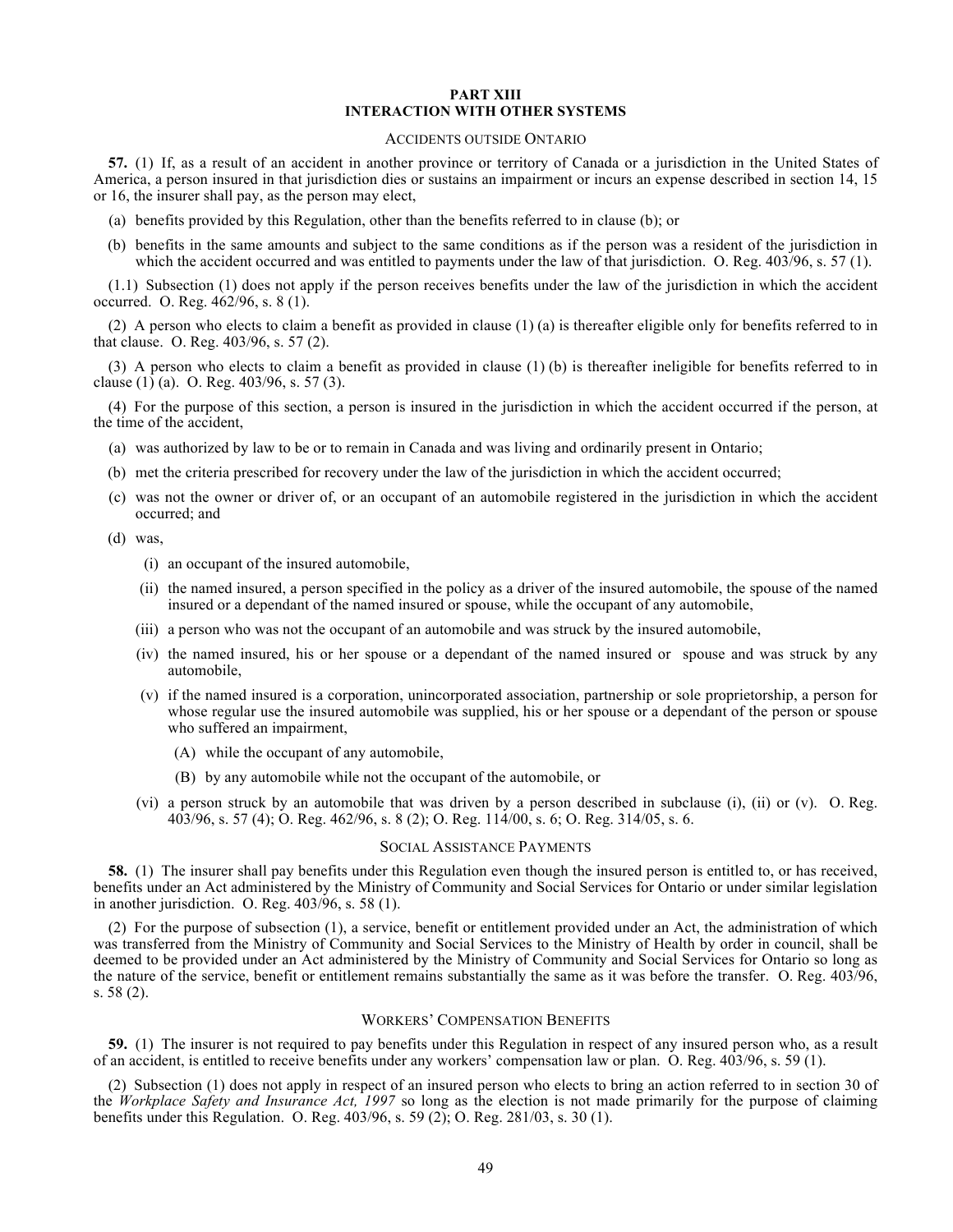## **PART XIII INTERACTION WITH OTHER SYSTEMS**

## ACCIDENTS OUTSIDE ONTARIO

**57.** (1) If, as a result of an accident in another province or territory of Canada or a jurisdiction in the United States of America, a person insured in that jurisdiction dies or sustains an impairment or incurs an expense described in section 14, 15 or 16, the insurer shall pay, as the person may elect,

- (a) benefits provided by this Regulation, other than the benefits referred to in clause (b); or
- (b) benefits in the same amounts and subject to the same conditions as if the person was a resident of the jurisdiction in which the accident occurred and was entitled to payments under the law of that jurisdiction. O. Reg. 403/96, s. 57 (1).

(1.1) Subsection (1) does not apply if the person receives benefits under the law of the jurisdiction in which the accident occurred. O. Reg. 462/96, s. 8 (1).

(2) A person who elects to claim a benefit as provided in clause (1) (a) is thereafter eligible only for benefits referred to in that clause. O. Reg. 403/96, s. 57 (2).

(3) A person who elects to claim a benefit as provided in clause (1) (b) is thereafter ineligible for benefits referred to in clause (1) (a). O. Reg. 403/96, s. 57 (3).

(4) For the purpose of this section, a person is insured in the jurisdiction in which the accident occurred if the person, at the time of the accident,

- (a) was authorized by law to be or to remain in Canada and was living and ordinarily present in Ontario;
- (b) met the criteria prescribed for recovery under the law of the jurisdiction in which the accident occurred;
- (c) was not the owner or driver of, or an occupant of an automobile registered in the jurisdiction in which the accident occurred; and

(d) was,

- (i) an occupant of the insured automobile,
- (ii) the named insured, a person specified in the policy as a driver of the insured automobile, the spouse of the named insured or a dependant of the named insured or spouse, while the occupant of any automobile,
- (iii) a person who was not the occupant of an automobile and was struck by the insured automobile,
- (iv) the named insured, his or her spouse or a dependant of the named insured or spouse and was struck by any automobile,
- (v) if the named insured is a corporation, unincorporated association, partnership or sole proprietorship, a person for whose regular use the insured automobile was supplied, his or her spouse or a dependant of the person or spouse who suffered an impairment,
	- (A) while the occupant of any automobile,
	- (B) by any automobile while not the occupant of the automobile, or
- (vi) a person struck by an automobile that was driven by a person described in subclause (i), (ii) or (v). O. Reg. 403/96, s. 57 (4); O. Reg. 462/96, s. 8 (2); O. Reg. 114/00, s. 6; O. Reg. 314/05, s. 6.

## SOCIAL ASSISTANCE PAYMENTS

**58.** (1) The insurer shall pay benefits under this Regulation even though the insured person is entitled to, or has received, benefits under an Act administered by the Ministry of Community and Social Services for Ontario or under similar legislation in another jurisdiction. O. Reg. 403/96, s. 58 (1).

(2) For the purpose of subsection (1), a service, benefit or entitlement provided under an Act, the administration of which was transferred from the Ministry of Community and Social Services to the Ministry of Health by order in council, shall be deemed to be provided under an Act administered by the Ministry of Community and Social Services for Ontario so long as the nature of the service, benefit or entitlement remains substantially the same as it was before the transfer. O. Reg. 403/96, s. 58 (2).

## WORKERS' COMPENSATION BENEFITS

**59.** (1) The insurer is not required to pay benefits under this Regulation in respect of any insured person who, as a result of an accident, is entitled to receive benefits under any workers' compensation law or plan. O. Reg. 403/96, s. 59 (1).

(2) Subsection (1) does not apply in respect of an insured person who elects to bring an action referred to in section 30 of the *Workplace Safety and Insurance Act, 1997* so long as the election is not made primarily for the purpose of claiming benefits under this Regulation. O. Reg. 403/96, s. 59 (2); O. Reg. 281/03, s. 30 (1).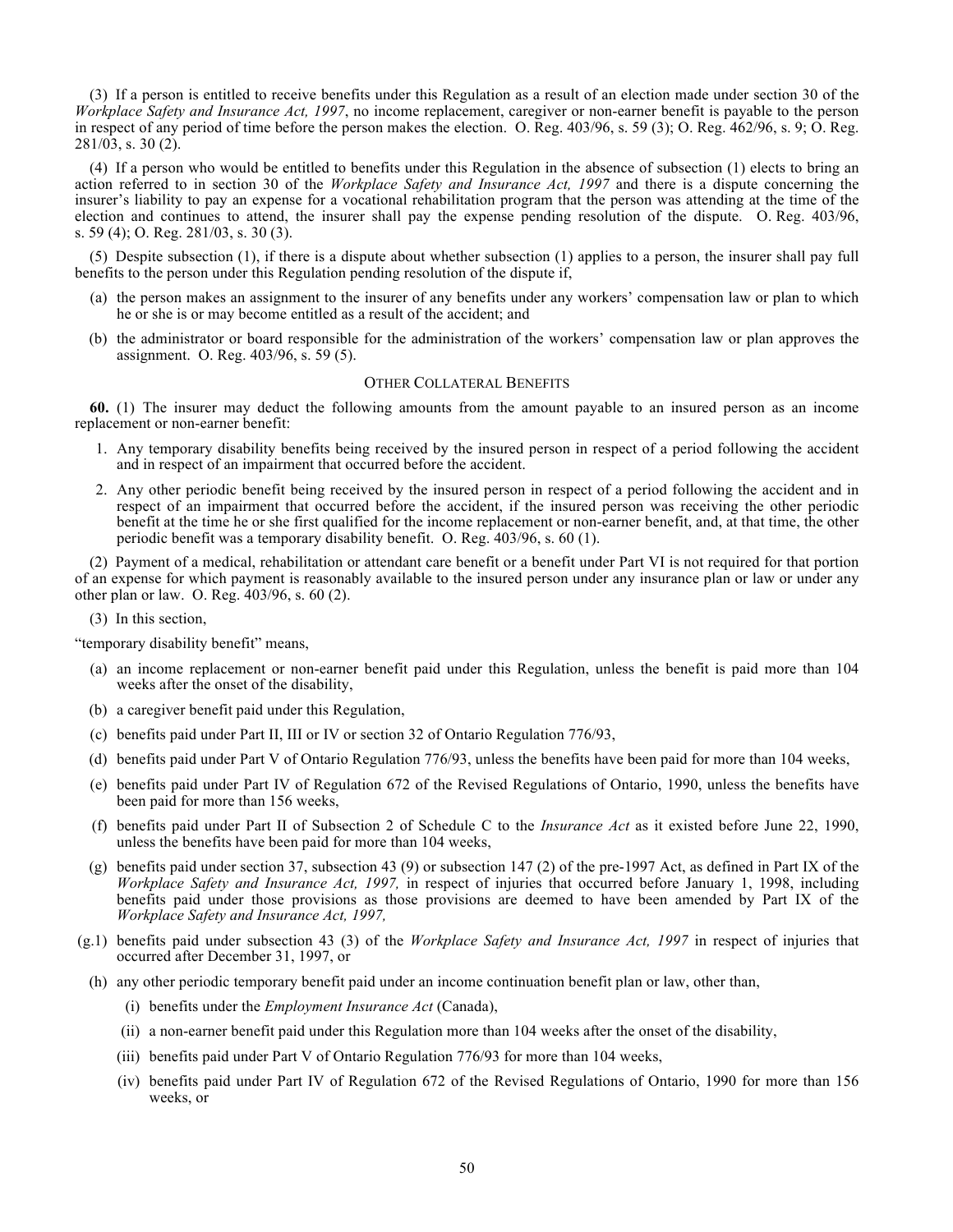(3) If a person is entitled to receive benefits under this Regulation as a result of an election made under section 30 of the *Workplace Safety and Insurance Act, 1997*, no income replacement, caregiver or non-earner benefit is payable to the person in respect of any period of time before the person makes the election. O. Reg. 403/96, s. 59 (3); O. Reg. 462/96, s. 9; O. Reg. 281/03, s. 30 (2).

(4) If a person who would be entitled to benefits under this Regulation in the absence of subsection (1) elects to bring an action referred to in section 30 of the *Workplace Safety and Insurance Act, 1997* and there is a dispute concerning the insurer's liability to pay an expense for a vocational rehabilitation program that the person was attending at the time of the election and continues to attend, the insurer shall pay the expense pending resolution of the dispute. O. Reg. 403/96, s. 59 (4); O. Reg. 281/03, s. 30 (3).

(5) Despite subsection (1), if there is a dispute about whether subsection (1) applies to a person, the insurer shall pay full benefits to the person under this Regulation pending resolution of the dispute if,

- (a) the person makes an assignment to the insurer of any benefits under any workers' compensation law or plan to which he or she is or may become entitled as a result of the accident; and
- (b) the administrator or board responsible for the administration of the workers' compensation law or plan approves the assignment. O. Reg. 403/96, s. 59 (5).

## OTHER COLLATERAL BENEFITS

**60.** (1) The insurer may deduct the following amounts from the amount payable to an insured person as an income replacement or non-earner benefit:

- 1. Any temporary disability benefits being received by the insured person in respect of a period following the accident and in respect of an impairment that occurred before the accident.
- 2. Any other periodic benefit being received by the insured person in respect of a period following the accident and in respect of an impairment that occurred before the accident, if the insured person was receiving the other periodic benefit at the time he or she first qualified for the income replacement or non-earner benefit, and, at that time, the other periodic benefit was a temporary disability benefit. O. Reg. 403/96, s. 60 (1).

(2) Payment of a medical, rehabilitation or attendant care benefit or a benefit under Part VI is not required for that portion of an expense for which payment is reasonably available to the insured person under any insurance plan or law or under any other plan or law. O. Reg. 403/96, s. 60 (2).

(3) In this section,

"temporary disability benefit" means,

- (a) an income replacement or non-earner benefit paid under this Regulation, unless the benefit is paid more than 104 weeks after the onset of the disability,
- (b) a caregiver benefit paid under this Regulation,
- (c) benefits paid under Part II, III or IV or section 32 of Ontario Regulation 776/93,
- (d) benefits paid under Part V of Ontario Regulation 776/93, unless the benefits have been paid for more than 104 weeks,
- (e) benefits paid under Part IV of Regulation 672 of the Revised Regulations of Ontario, 1990, unless the benefits have been paid for more than 156 weeks,
- (f) benefits paid under Part II of Subsection 2 of Schedule C to the *Insurance Act* as it existed before June 22, 1990, unless the benefits have been paid for more than 104 weeks,
- (g) benefits paid under section 37, subsection 43 (9) or subsection 147 (2) of the pre-1997 Act, as defined in Part IX of the *Workplace Safety and Insurance Act, 1997,* in respect of injuries that occurred before January 1, 1998, including benefits paid under those provisions as those provisions are deemed to have been amended by Part IX of the *Workplace Safety and Insurance Act, 1997,*
- (g.1) benefits paid under subsection 43 (3) of the *Workplace Safety and Insurance Act, 1997* in respect of injuries that occurred after December 31, 1997, or
- (h) any other periodic temporary benefit paid under an income continuation benefit plan or law, other than,
	- (i) benefits under the *Employment Insurance Act* (Canada),
	- (ii) a non-earner benefit paid under this Regulation more than 104 weeks after the onset of the disability,
	- (iii) benefits paid under Part V of Ontario Regulation 776/93 for more than 104 weeks,
	- (iv) benefits paid under Part IV of Regulation 672 of the Revised Regulations of Ontario, 1990 for more than 156 weeks, or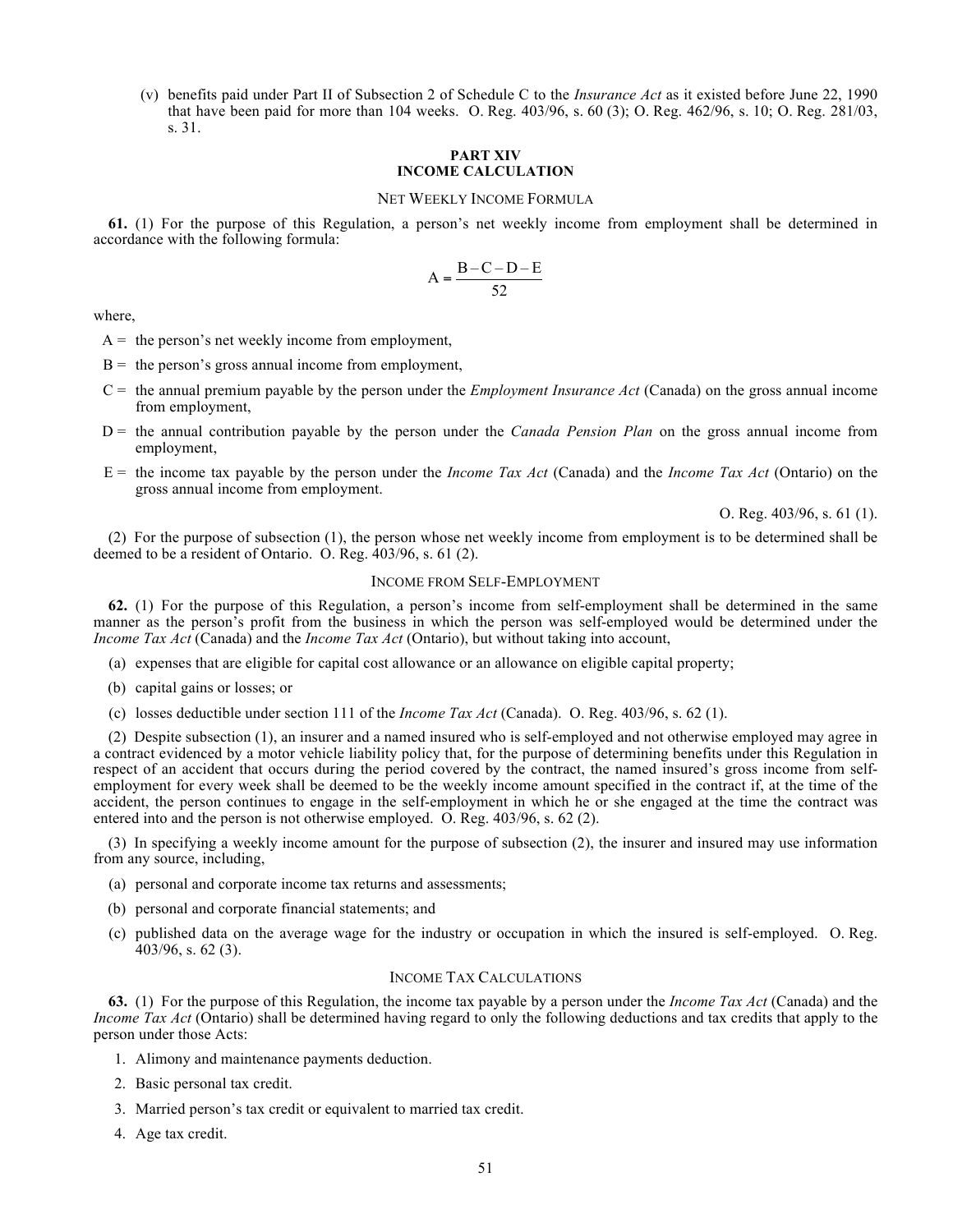(v) benefits paid under Part II of Subsection 2 of Schedule C to the *Insurance Act* as it existed before June 22, 1990 that have been paid for more than 104 weeks. O. Reg. 403/96, s. 60 (3); O. Reg. 462/96, s. 10; O. Reg. 281/03, s. 31.

## **PART XIV INCOME CALCULATION**

## NET WEEKLY INCOME FORMULA

**61.** (1) For the purpose of this Regulation, a person's net weekly income from employment shall be determined in accordance with the following formula:

$$
A = \frac{B - C - D - E}{52}
$$

where,

 $A =$  the person's net weekly income from employment,

- $B =$  the person's gross annual income from employment,
- $C =$  the annual premium payable by the person under the *Employment Insurance Act* (Canada) on the gross annual income from employment,
- D = the annual contribution payable by the person under the *Canada Pension Plan* on the gross annual income from employment,
- E = the income tax payable by the person under the *Income Tax Act* (Canada) and the *Income Tax Act* (Ontario) on the gross annual income from employment.

O. Reg. 403/96, s. 61 (1).

(2) For the purpose of subsection (1), the person whose net weekly income from employment is to be determined shall be deemed to be a resident of Ontario. O. Reg. 403/96, s. 61 (2).

## INCOME FROM SELF-EMPLOYMENT

**62.** (1) For the purpose of this Regulation, a person's income from self-employment shall be determined in the same manner as the person's profit from the business in which the person was self-employed would be determined under the *Income Tax Act* (Canada) and the *Income Tax Act* (Ontario), but without taking into account,

(a) expenses that are eligible for capital cost allowance or an allowance on eligible capital property;

(b) capital gains or losses; or

(c) losses deductible under section 111 of the *Income Tax Act* (Canada). O. Reg. 403/96, s. 62 (1).

(2) Despite subsection (1), an insurer and a named insured who is self-employed and not otherwise employed may agree in a contract evidenced by a motor vehicle liability policy that, for the purpose of determining benefits under this Regulation in respect of an accident that occurs during the period covered by the contract, the named insured's gross income from selfemployment for every week shall be deemed to be the weekly income amount specified in the contract if, at the time of the accident, the person continues to engage in the self-employment in which he or she engaged at the time the contract was entered into and the person is not otherwise employed. O. Reg. 403/96, s. 62 (2).

(3) In specifying a weekly income amount for the purpose of subsection (2), the insurer and insured may use information from any source, including,

- (a) personal and corporate income tax returns and assessments;
- (b) personal and corporate financial statements; and
- (c) published data on the average wage for the industry or occupation in which the insured is self-employed. O. Reg. 403/96, s. 62 (3).

#### INCOME TAX CALCULATIONS

**63.** (1) For the purpose of this Regulation, the income tax payable by a person under the *Income Tax Act* (Canada) and the *Income Tax Act* (Ontario) shall be determined having regard to only the following deductions and tax credits that apply to the person under those Acts:

- 1. Alimony and maintenance payments deduction.
- 2. Basic personal tax credit.
- 3. Married person's tax credit or equivalent to married tax credit.
- 4. Age tax credit.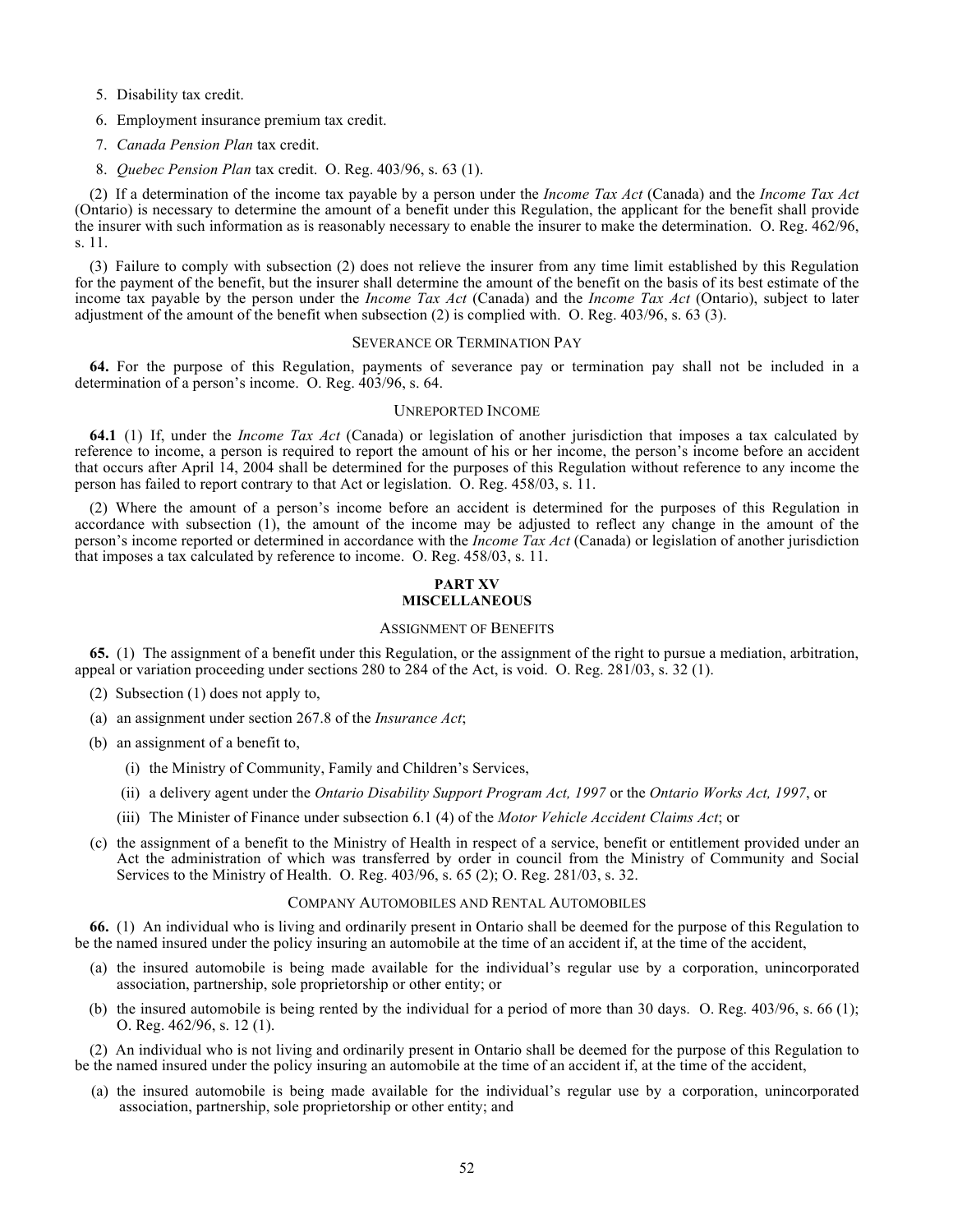5. Disability tax credit.

6. Employment insurance premium tax credit.

- 7. *Canada Pension Plan* tax credit.
- 8. *Quebec Pension Plan* tax credit. O. Reg. 403/96, s. 63 (1).

(2) If a determination of the income tax payable by a person under the *Income Tax Act* (Canada) and the *Income Tax Act* (Ontario) is necessary to determine the amount of a benefit under this Regulation, the applicant for the benefit shall provide the insurer with such information as is reasonably necessary to enable the insurer to make the determination. O. Reg. 462/96, s. 11.

(3) Failure to comply with subsection (2) does not relieve the insurer from any time limit established by this Regulation for the payment of the benefit, but the insurer shall determine the amount of the benefit on the basis of its best estimate of the income tax payable by the person under the *Income Tax Act* (Canada) and the *Income Tax Act* (Ontario), subject to later adjustment of the amount of the benefit when subsection (2) is complied with. O. Reg. 403/96, s. 63 (3).

#### SEVERANCE OR TERMINATION PAY

**64.** For the purpose of this Regulation, payments of severance pay or termination pay shall not be included in a determination of a person's income. O. Reg. 403/96, s. 64.

### UNREPORTED INCOME

**64.1** (1) If, under the *Income Tax Act* (Canada) or legislation of another jurisdiction that imposes a tax calculated by reference to income, a person is required to report the amount of his or her income, the person's income before an accident that occurs after April 14, 2004 shall be determined for the purposes of this Regulation without reference to any income the person has failed to report contrary to that Act or legislation. O. Reg. 458/03, s. 11.

(2) Where the amount of a person's income before an accident is determined for the purposes of this Regulation in accordance with subsection (1), the amount of the income may be adjusted to reflect any change in the amount of the person's income reported or determined in accordance with the *Income Tax Act* (Canada) or legislation of another jurisdiction that imposes a tax calculated by reference to income. O. Reg. 458/03, s. 11.

## **PART XV MISCELLANEOUS**

#### ASSIGNMENT OF BENEFITS

**65.** (1) The assignment of a benefit under this Regulation, or the assignment of the right to pursue a mediation, arbitration, appeal or variation proceeding under sections 280 to 284 of the Act, is void. O. Reg. 281/03, s. 32 (1).

- (2) Subsection (1) does not apply to,
- (a) an assignment under section 267.8 of the *Insurance Act*;
- (b) an assignment of a benefit to,
	- (i) the Ministry of Community, Family and Children's Services,
	- (ii) a delivery agent under the *Ontario Disability Support Program Act, 1997* or the *Ontario Works Act, 1997*, or
	- (iii) The Minister of Finance under subsection 6.1 (4) of the *Motor Vehicle Accident Claims Act*; or
- (c) the assignment of a benefit to the Ministry of Health in respect of a service, benefit or entitlement provided under an Act the administration of which was transferred by order in council from the Ministry of Community and Social Services to the Ministry of Health. O. Reg. 403/96, s. 65 (2); O. Reg. 281/03, s. 32.

#### COMPANY AUTOMOBILES AND RENTAL AUTOMOBILES

**66.** (1) An individual who is living and ordinarily present in Ontario shall be deemed for the purpose of this Regulation to be the named insured under the policy insuring an automobile at the time of an accident if, at the time of the accident,

- (a) the insured automobile is being made available for the individual's regular use by a corporation, unincorporated association, partnership, sole proprietorship or other entity; or
- (b) the insured automobile is being rented by the individual for a period of more than 30 days. O. Reg. 403/96, s. 66 (1); O. Reg. 462/96, s. 12 (1).

(2) An individual who is not living and ordinarily present in Ontario shall be deemed for the purpose of this Regulation to be the named insured under the policy insuring an automobile at the time of an accident if, at the time of the accident,

(a) the insured automobile is being made available for the individual's regular use by a corporation, unincorporated association, partnership, sole proprietorship or other entity; and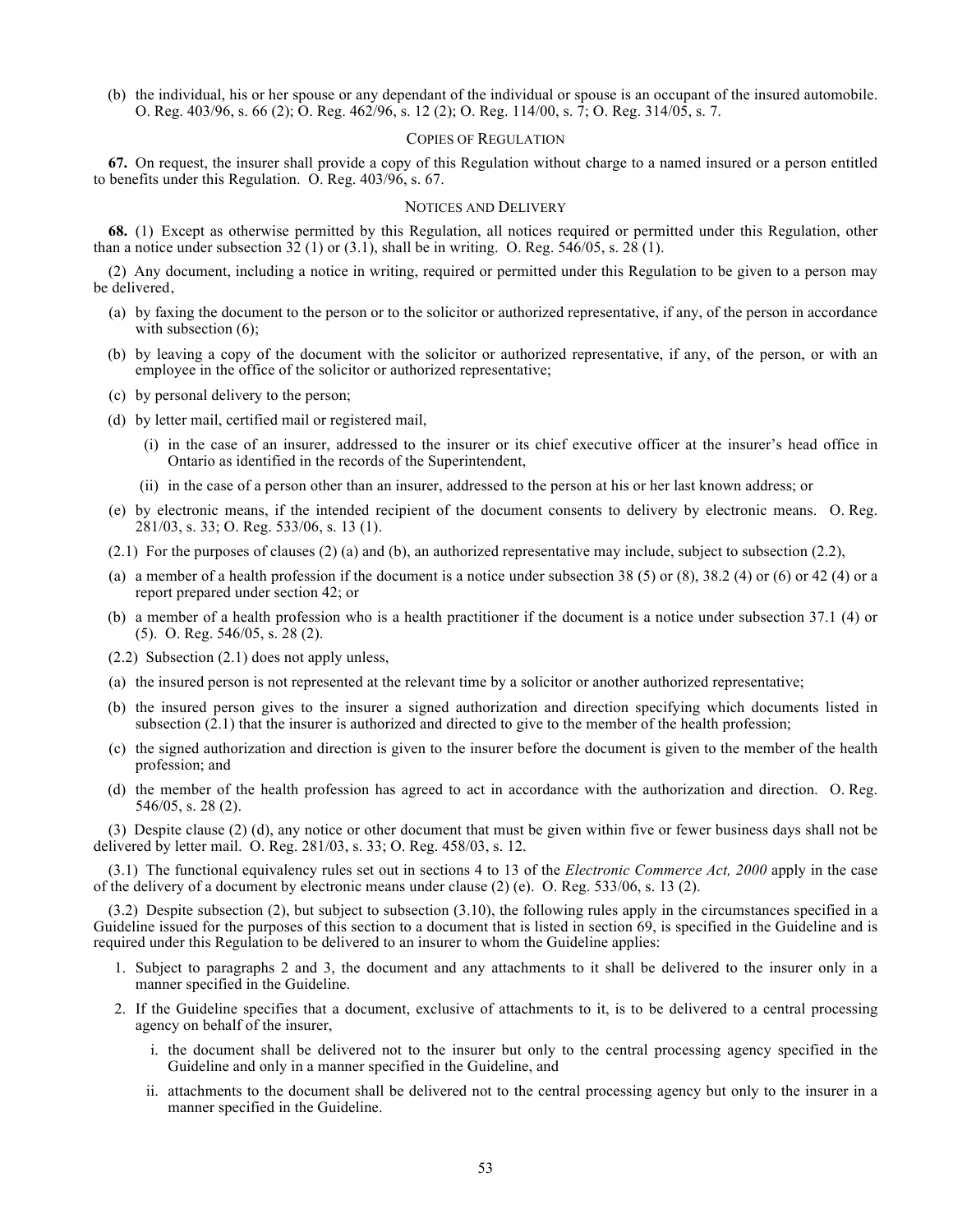(b) the individual, his or her spouse or any dependant of the individual or spouse is an occupant of the insured automobile. O. Reg. 403/96, s. 66 (2); O. Reg. 462/96, s. 12 (2); O. Reg. 114/00, s. 7; O. Reg. 314/05, s. 7.

#### COPIES OF REGULATION

**67.** On request, the insurer shall provide a copy of this Regulation without charge to a named insured or a person entitled to benefits under this Regulation. O. Reg. 403/96, s. 67.

## NOTICES AND DELIVERY

**68.** (1) Except as otherwise permitted by this Regulation, all notices required or permitted under this Regulation, other than a notice under subsection  $32$  (1) or (3.1), shall be in writing. O. Reg.  $546/05$ , s.  $28$  (1).

(2) Any document, including a notice in writing, required or permitted under this Regulation to be given to a person may be delivered,

- (a) by faxing the document to the person or to the solicitor or authorized representative, if any, of the person in accordance with subsection  $(6)$ :
- (b) by leaving a copy of the document with the solicitor or authorized representative, if any, of the person, or with an employee in the office of the solicitor or authorized representative;
- (c) by personal delivery to the person;
- (d) by letter mail, certified mail or registered mail,
	- (i) in the case of an insurer, addressed to the insurer or its chief executive officer at the insurer's head office in Ontario as identified in the records of the Superintendent,
	- (ii) in the case of a person other than an insurer, addressed to the person at his or her last known address; or
- (e) by electronic means, if the intended recipient of the document consents to delivery by electronic means. O. Reg. 281/03, s. 33; O. Reg. 533/06, s. 13 (1).
- (2.1) For the purposes of clauses (2) (a) and (b), an authorized representative may include, subject to subsection (2.2),
- (a) a member of a health profession if the document is a notice under subsection 38 (5) or (8), 38.2 (4) or (6) or 42 (4) or a report prepared under section 42; or
- (b) a member of a health profession who is a health practitioner if the document is a notice under subsection 37.1 (4) or (5). O. Reg. 546/05, s. 28 (2).
- (2.2) Subsection (2.1) does not apply unless,
- (a) the insured person is not represented at the relevant time by a solicitor or another authorized representative;
- (b) the insured person gives to the insurer a signed authorization and direction specifying which documents listed in subsection (2.1) that the insurer is authorized and directed to give to the member of the health profession;
- (c) the signed authorization and direction is given to the insurer before the document is given to the member of the health profession; and
- (d) the member of the health profession has agreed to act in accordance with the authorization and direction. O. Reg. 546/05, s. 28 (2).

(3) Despite clause (2) (d), any notice or other document that must be given within five or fewer business days shall not be delivered by letter mail. O. Reg. 281/03, s. 33; O. Reg. 458/03, s. 12.

(3.1) The functional equivalency rules set out in sections 4 to 13 of the *Electronic Commerce Act, 2000* apply in the case of the delivery of a document by electronic means under clause (2) (e). O. Reg. 533/06, s. 13 (2).

(3.2) Despite subsection (2), but subject to subsection (3.10), the following rules apply in the circumstances specified in a Guideline issued for the purposes of this section to a document that is listed in section 69, is specified in the Guideline and is required under this Regulation to be delivered to an insurer to whom the Guideline applies:

- 1. Subject to paragraphs 2 and 3, the document and any attachments to it shall be delivered to the insurer only in a manner specified in the Guideline.
- 2. If the Guideline specifies that a document, exclusive of attachments to it, is to be delivered to a central processing agency on behalf of the insurer,
	- i. the document shall be delivered not to the insurer but only to the central processing agency specified in the Guideline and only in a manner specified in the Guideline, and
	- ii. attachments to the document shall be delivered not to the central processing agency but only to the insurer in a manner specified in the Guideline.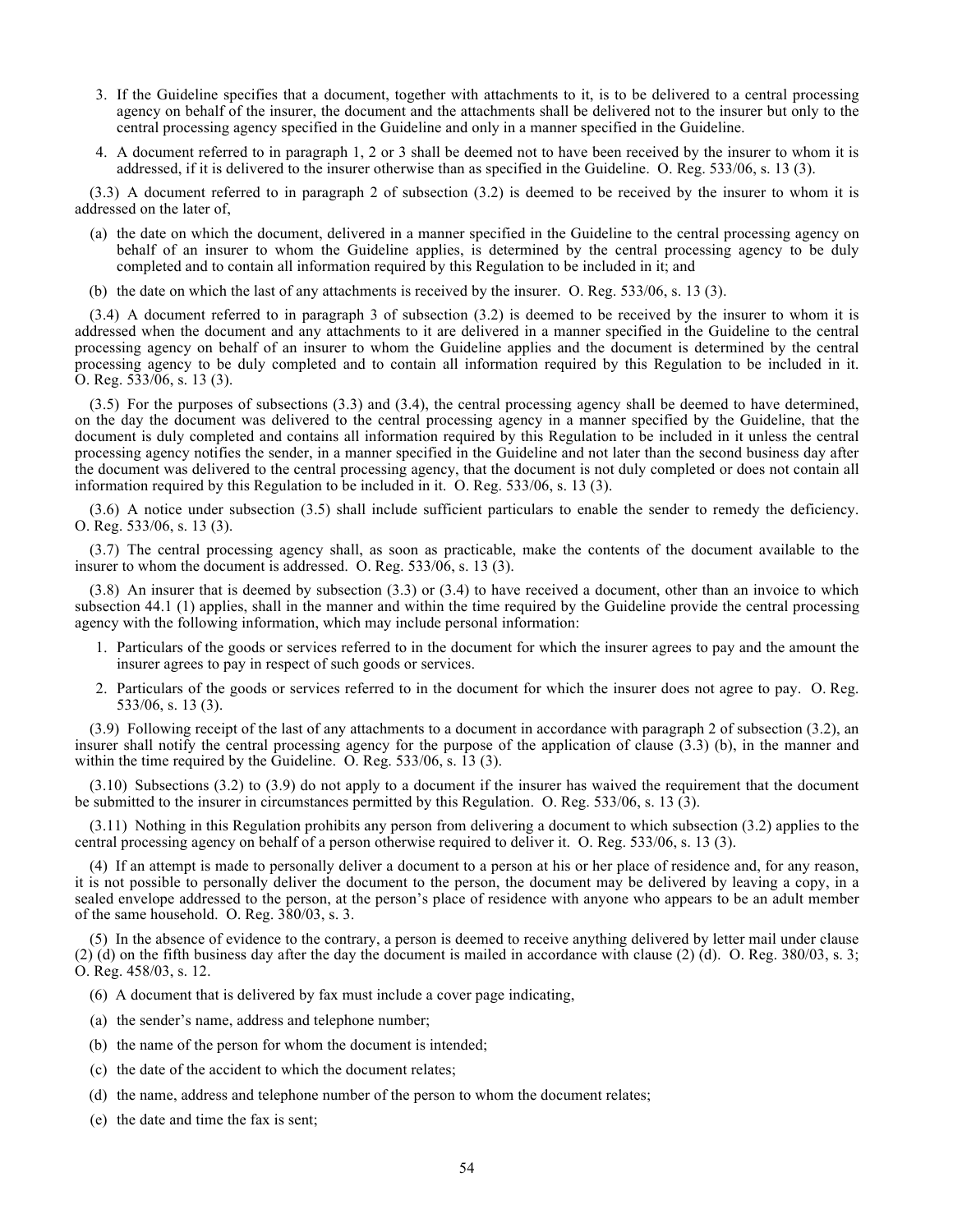- 3. If the Guideline specifies that a document, together with attachments to it, is to be delivered to a central processing agency on behalf of the insurer, the document and the attachments shall be delivered not to the insurer but only to the central processing agency specified in the Guideline and only in a manner specified in the Guideline.
- 4. A document referred to in paragraph 1, 2 or 3 shall be deemed not to have been received by the insurer to whom it is addressed, if it is delivered to the insurer otherwise than as specified in the Guideline. O. Reg. 533/06, s. 13 (3).

(3.3) A document referred to in paragraph 2 of subsection (3.2) is deemed to be received by the insurer to whom it is addressed on the later of,

- (a) the date on which the document, delivered in a manner specified in the Guideline to the central processing agency on behalf of an insurer to whom the Guideline applies, is determined by the central processing agency to be duly completed and to contain all information required by this Regulation to be included in it; and
- (b) the date on which the last of any attachments is received by the insurer. O. Reg. 533/06, s. 13 (3).

(3.4) A document referred to in paragraph 3 of subsection (3.2) is deemed to be received by the insurer to whom it is addressed when the document and any attachments to it are delivered in a manner specified in the Guideline to the central processing agency on behalf of an insurer to whom the Guideline applies and the document is determined by the central processing agency to be duly completed and to contain all information required by this Regulation to be included in it. O. Reg. 533/06, s. 13 (3).

(3.5) For the purposes of subsections (3.3) and (3.4), the central processing agency shall be deemed to have determined, on the day the document was delivered to the central processing agency in a manner specified by the Guideline, that the document is duly completed and contains all information required by this Regulation to be included in it unless the central processing agency notifies the sender, in a manner specified in the Guideline and not later than the second business day after the document was delivered to the central processing agency, that the document is not duly completed or does not contain all information required by this Regulation to be included in it. O. Reg. 533/06, s. 13 (3).

(3.6) A notice under subsection (3.5) shall include sufficient particulars to enable the sender to remedy the deficiency. O. Reg. 533/06, s. 13 (3).

(3.7) The central processing agency shall, as soon as practicable, make the contents of the document available to the insurer to whom the document is addressed. O. Reg. 533/06, s. 13 (3).

(3.8) An insurer that is deemed by subsection (3.3) or (3.4) to have received a document, other than an invoice to which subsection 44.1 (1) applies, shall in the manner and within the time required by the Guideline provide the central processing agency with the following information, which may include personal information:

- 1. Particulars of the goods or services referred to in the document for which the insurer agrees to pay and the amount the insurer agrees to pay in respect of such goods or services.
- 2. Particulars of the goods or services referred to in the document for which the insurer does not agree to pay. O. Reg. 533/06, s. 13 (3).

(3.9) Following receipt of the last of any attachments to a document in accordance with paragraph 2 of subsection (3.2), an insurer shall notify the central processing agency for the purpose of the application of clause (3.3) (b), in the manner and within the time required by the Guideline. O. Reg. 533/06, s. 13 (3).

(3.10) Subsections (3.2) to (3.9) do not apply to a document if the insurer has waived the requirement that the document be submitted to the insurer in circumstances permitted by this Regulation. O. Reg. 533/06, s. 13 (3).

(3.11) Nothing in this Regulation prohibits any person from delivering a document to which subsection (3.2) applies to the central processing agency on behalf of a person otherwise required to deliver it. O. Reg. 533/06, s. 13 (3).

(4) If an attempt is made to personally deliver a document to a person at his or her place of residence and, for any reason, it is not possible to personally deliver the document to the person, the document may be delivered by leaving a copy, in a sealed envelope addressed to the person, at the person's place of residence with anyone who appears to be an adult member of the same household. O. Reg. 380/03, s. 3.

(5) In the absence of evidence to the contrary, a person is deemed to receive anything delivered by letter mail under clause (2) (d) on the fifth business day after the day the document is mailed in accordance with clause (2) (d). O. Reg. 380/03, s. 3; O. Reg. 458/03, s. 12.

- (6) A document that is delivered by fax must include a cover page indicating,
- (a) the sender's name, address and telephone number;
- (b) the name of the person for whom the document is intended;
- (c) the date of the accident to which the document relates;
- (d) the name, address and telephone number of the person to whom the document relates;
- (e) the date and time the fax is sent;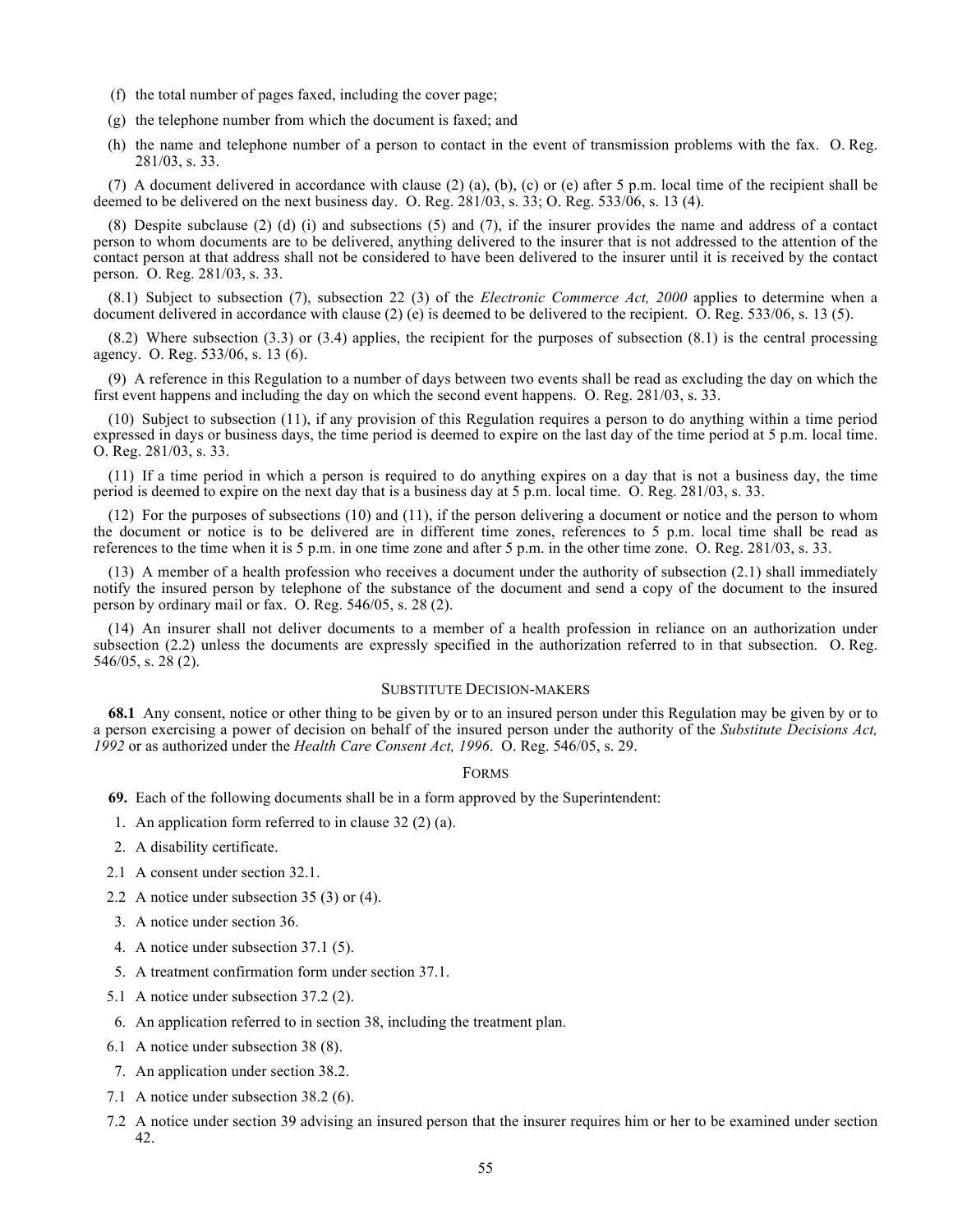- (f) the total number of pages faxed, including the cover page;
- (g) the telephone number from which the document is faxed; and
- (h) the name and telephone number of a person to contact in the event of transmission problems with the fax. O. Reg. 281/03, s. 33.

(7) A document delivered in accordance with clause (2) (a), (b), (c) or (e) after 5 p.m. local time of the recipient shall be deemed to be delivered on the next business day. O. Reg. 281/03, s. 33; O. Reg. 533/06, s. 13 (4).

(8) Despite subclause (2) (d) (i) and subsections (5) and (7), if the insurer provides the name and address of a contact person to whom documents are to be delivered, anything delivered to the insurer that is not addressed to the attention of the contact person at that address shall not be considered to have been delivered to the insurer until it is received by the contact person. O. Reg. 281/03, s. 33.

(8.1) Subject to subsection (7), subsection 22 (3) of the *Electronic Commerce Act, 2000* applies to determine when a document delivered in accordance with clause (2) (e) is deemed to be delivered to the recipient. O. Reg. 533/06, s. 13 (5).

(8.2) Where subsection (3.3) or (3.4) applies, the recipient for the purposes of subsection (8.1) is the central processing agency. O. Reg. 533/06, s. 13 (6).

(9) A reference in this Regulation to a number of days between two events shall be read as excluding the day on which the first event happens and including the day on which the second event happens. O. Reg. 281/03, s. 33.

(10) Subject to subsection (11), if any provision of this Regulation requires a person to do anything within a time period expressed in days or business days, the time period is deemed to expire on the last day of the time period at 5 p.m. local time. O. Reg. 281/03, s. 33.

(11) If a time period in which a person is required to do anything expires on a day that is not a business day, the time period is deemed to expire on the next day that is a business day at 5 p.m. local time. O. Reg. 281/03, s. 33.

(12) For the purposes of subsections (10) and (11), if the person delivering a document or notice and the person to whom the document or notice is to be delivered are in different time zones, references to 5 p.m. local time shall be read as references to the time when it is 5 p.m. in one time zone and after 5 p.m. in the other time zone. O. Reg. 281/03, s. 33.

(13) A member of a health profession who receives a document under the authority of subsection (2.1) shall immediately notify the insured person by telephone of the substance of the document and send a copy of the document to the insured person by ordinary mail or fax. O. Reg. 546/05, s. 28 (2).

(14) An insurer shall not deliver documents to a member of a health profession in reliance on an authorization under subsection (2.2) unless the documents are expressly specified in the authorization referred to in that subsection. O. Reg. 546/05, s. 28 (2).

## SUBSTITUTE DECISION-MAKERS

**68.1** Any consent, notice or other thing to be given by or to an insured person under this Regulation may be given by or to a person exercising a power of decision on behalf of the insured person under the authority of the *Substitute Decisions Act, 1992* or as authorized under the *Health Care Consent Act, 1996*. O. Reg. 546/05, s. 29.

## FORMS

**69.** Each of the following documents shall be in a form approved by the Superintendent:

- 1. An application form referred to in clause 32 (2) (a).
- 2. A disability certificate.
- 2.1 A consent under section 32.1.
- 2.2 A notice under subsection 35 (3) or (4).
- 3. A notice under section 36.
- 4. A notice under subsection 37.1 (5).
- 5. A treatment confirmation form under section 37.1.
- 5.1 A notice under subsection 37.2 (2).
- 6. An application referred to in section 38, including the treatment plan.
- 6.1 A notice under subsection 38 (8).
- 7. An application under section 38.2.
- 7.1 A notice under subsection 38.2 (6).
- 7.2 A notice under section 39 advising an insured person that the insurer requires him or her to be examined under section 42.